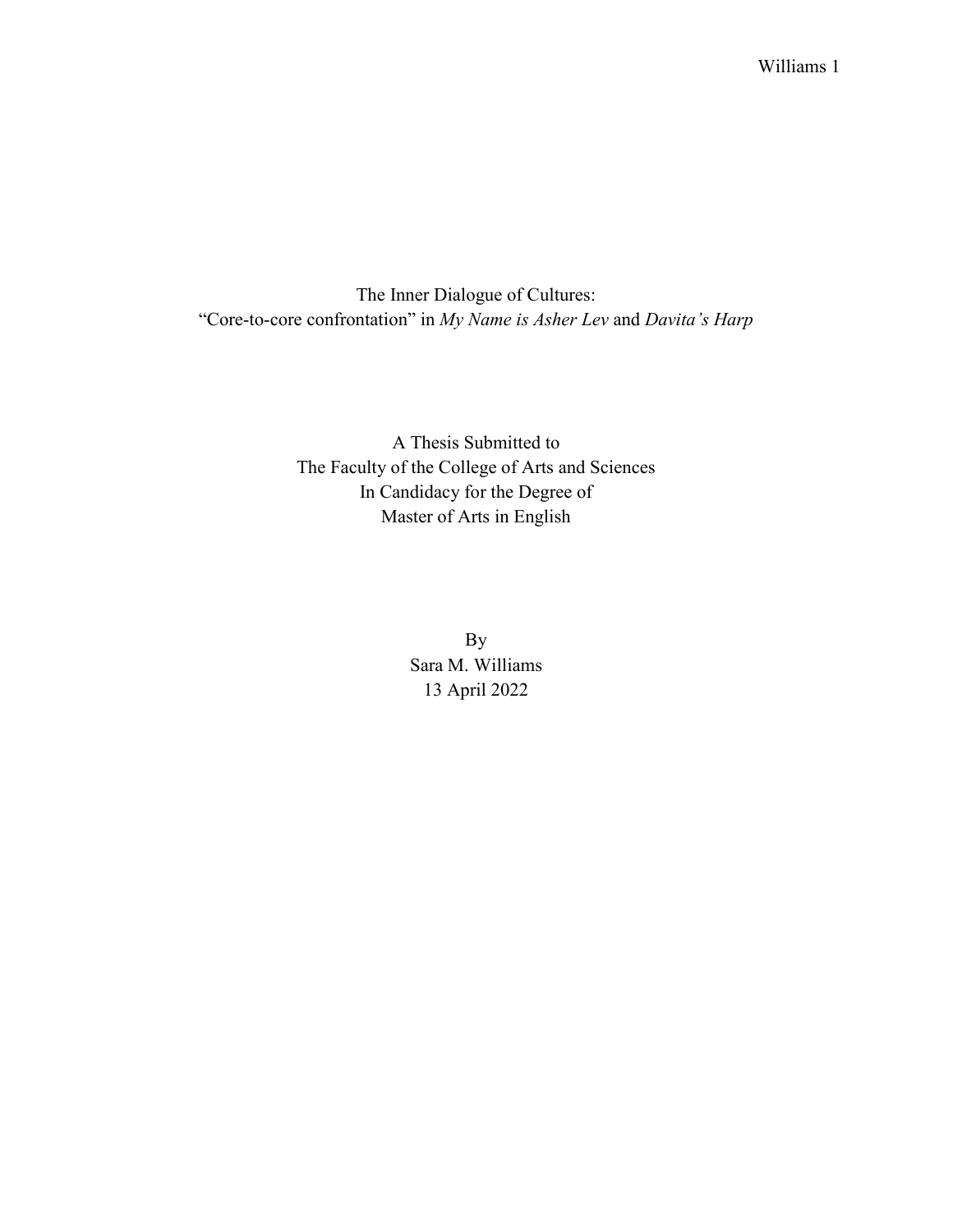The Inner Dialogue of Cultures: "Core-to-core confrontation" in *My Name is Asher Lev* and *Davita's Harp*

> A Thesis Submitted to The Faculty of the College of Arts and Sciences In Candidacy for the Degree of Master of Arts in English

> > By Sara M. Williams 13 April 2022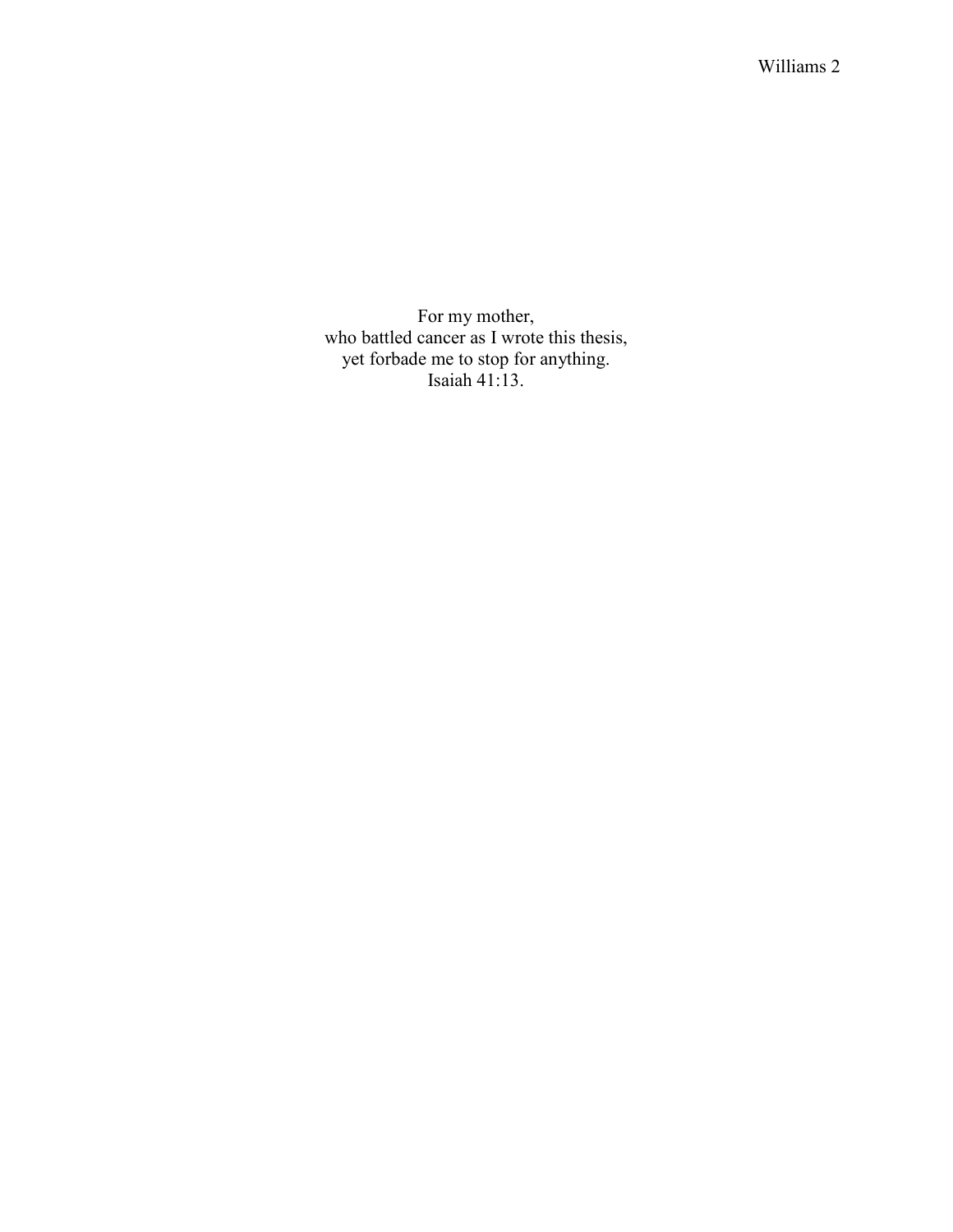For my mother, who battled cancer as I wrote this thesis, yet forbade me to stop for anything. Isaiah 41:13.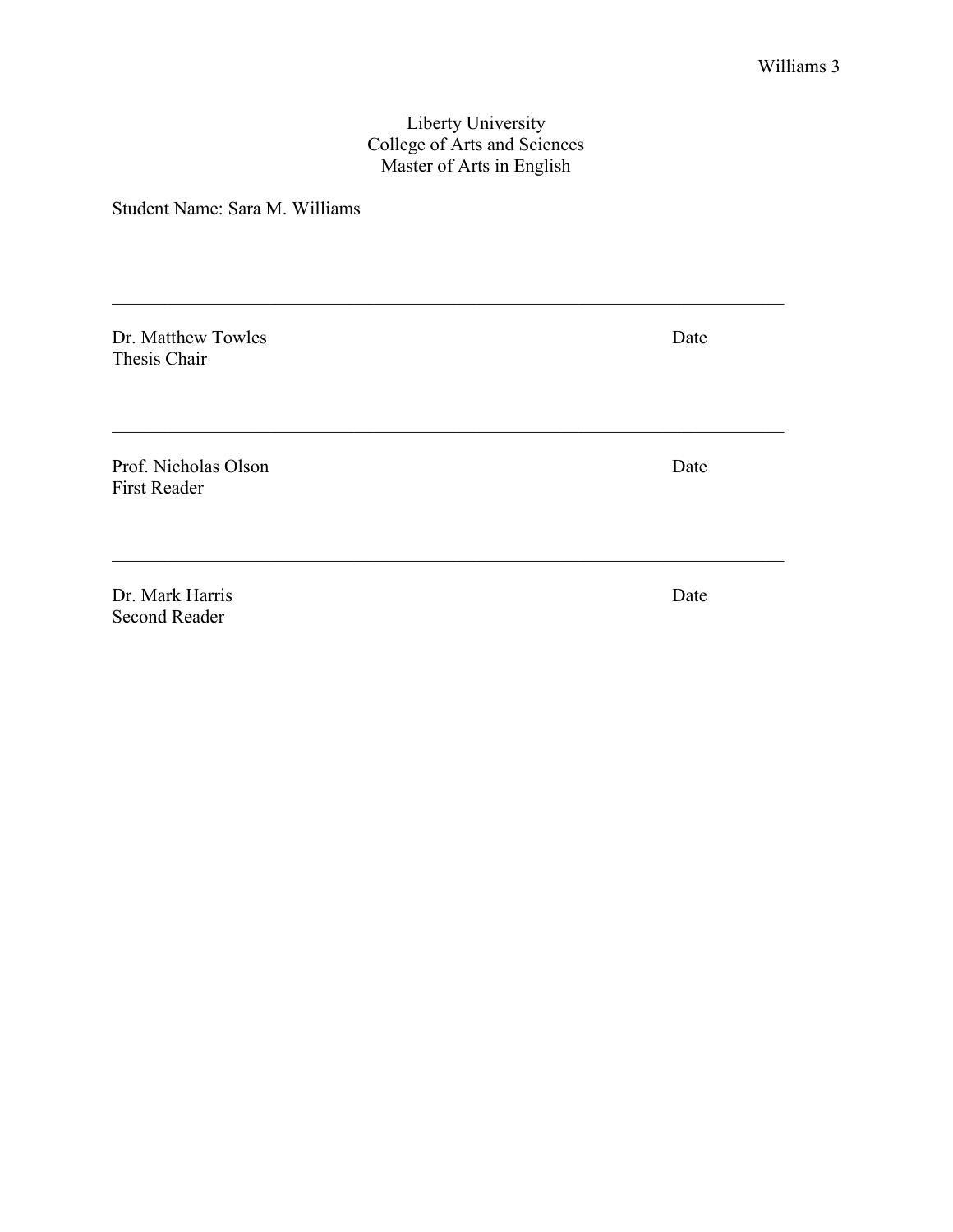# Liberty University College of Arts and Sciences Master of Arts in English

Student Name: Sara M. Williams

| Dr. Matthew Towles<br>Thesis Chair          | Date |
|---------------------------------------------|------|
|                                             |      |
| Prof. Nicholas Olson<br><b>First Reader</b> | Date |
|                                             |      |
| Dr. Mark Harris<br><b>Second Reader</b>     | Date |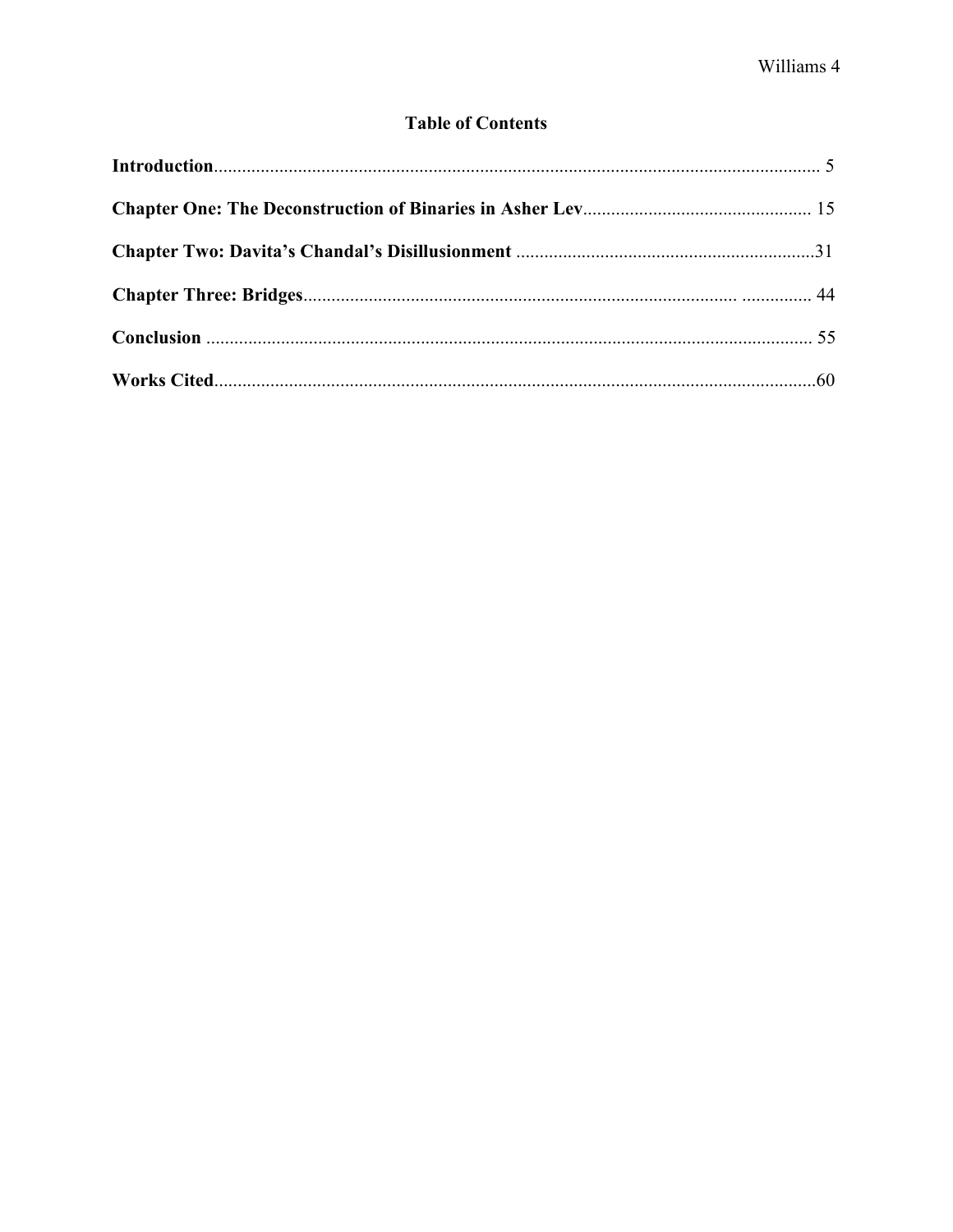# **Table of Contents**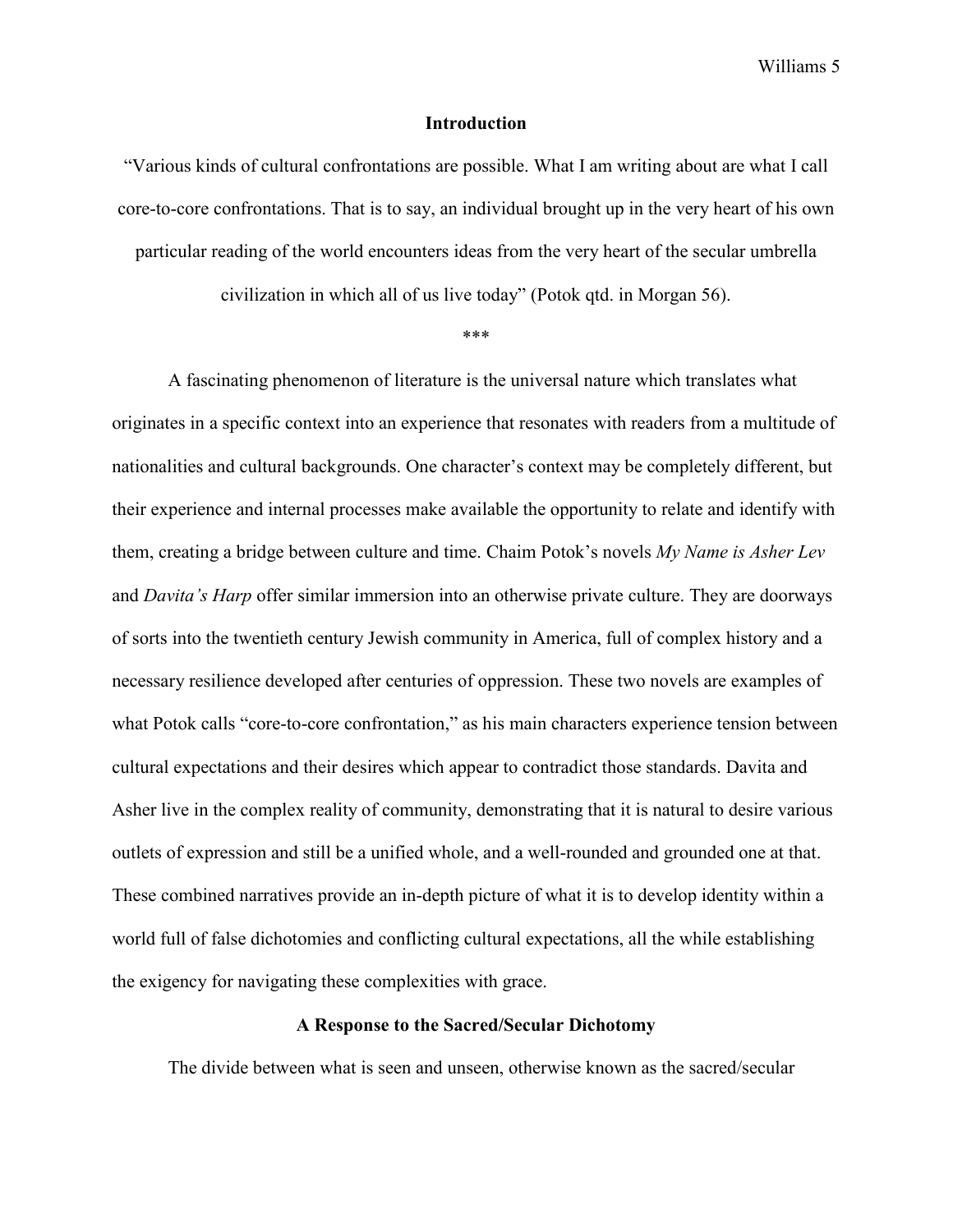#### **Introduction**

"Various kinds of cultural confrontations are possible. What I am writing about are what I call core-to-core confrontations. That is to say, an individual brought up in the very heart of his own particular reading of the world encounters ideas from the very heart of the secular umbrella

civilization in which all of us live today" (Potok qtd. in Morgan 56).

\*\*\*

A fascinating phenomenon of literature is the universal nature which translates what originates in a specific context into an experience that resonates with readers from a multitude of nationalities and cultural backgrounds. One character's context may be completely different, but their experience and internal processes make available the opportunity to relate and identify with them, creating a bridge between culture and time. Chaim Potok's novels *My Name is Asher Lev* and *Davita's Harp* offer similar immersion into an otherwise private culture. They are doorways of sorts into the twentieth century Jewish community in America, full of complex history and a necessary resilience developed after centuries of oppression. These two novels are examples of what Potok calls "core-to-core confrontation," as his main characters experience tension between cultural expectations and their desires which appear to contradict those standards. Davita and Asher live in the complex reality of community, demonstrating that it is natural to desire various outlets of expression and still be a unified whole, and a well-rounded and grounded one at that. These combined narratives provide an in-depth picture of what it is to develop identity within a world full of false dichotomies and conflicting cultural expectations, all the while establishing the exigency for navigating these complexities with grace.

# **A Response to the Sacred/Secular Dichotomy**

The divide between what is seen and unseen, otherwise known as the sacred/secular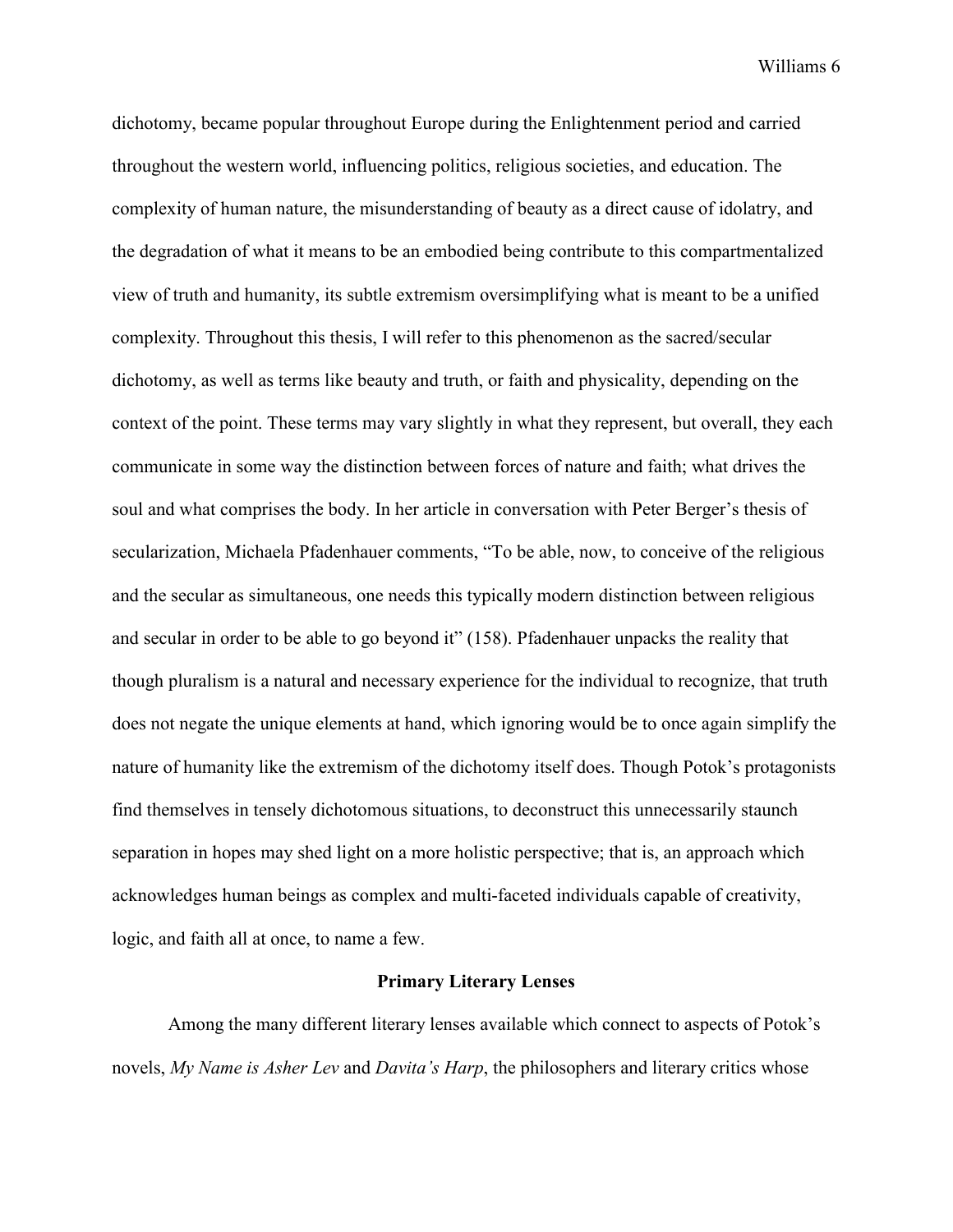dichotomy, became popular throughout Europe during the Enlightenment period and carried throughout the western world, influencing politics, religious societies, and education. The complexity of human nature, the misunderstanding of beauty as a direct cause of idolatry, and the degradation of what it means to be an embodied being contribute to this compartmentalized view of truth and humanity, its subtle extremism oversimplifying what is meant to be a unified complexity. Throughout this thesis, I will refer to this phenomenon as the sacred/secular dichotomy, as well as terms like beauty and truth, or faith and physicality, depending on the context of the point. These terms may vary slightly in what they represent, but overall, they each communicate in some way the distinction between forces of nature and faith; what drives the soul and what comprises the body. In her article in conversation with Peter Berger's thesis of secularization, Michaela Pfadenhauer comments, "To be able, now, to conceive of the religious and the secular as simultaneous, one needs this typically modern distinction between religious and secular in order to be able to go beyond it" (158). Pfadenhauer unpacks the reality that though pluralism is a natural and necessary experience for the individual to recognize, that truth does not negate the unique elements at hand, which ignoring would be to once again simplify the nature of humanity like the extremism of the dichotomy itself does. Though Potok's protagonists find themselves in tensely dichotomous situations, to deconstruct this unnecessarily staunch separation in hopes may shed light on a more holistic perspective; that is, an approach which acknowledges human beings as complex and multi-faceted individuals capable of creativity, logic, and faith all at once, to name a few.

## **Primary Literary Lenses**

Among the many different literary lenses available which connect to aspects of Potok's novels, *My Name is Asher Lev* and *Davita's Harp*, the philosophers and literary critics whose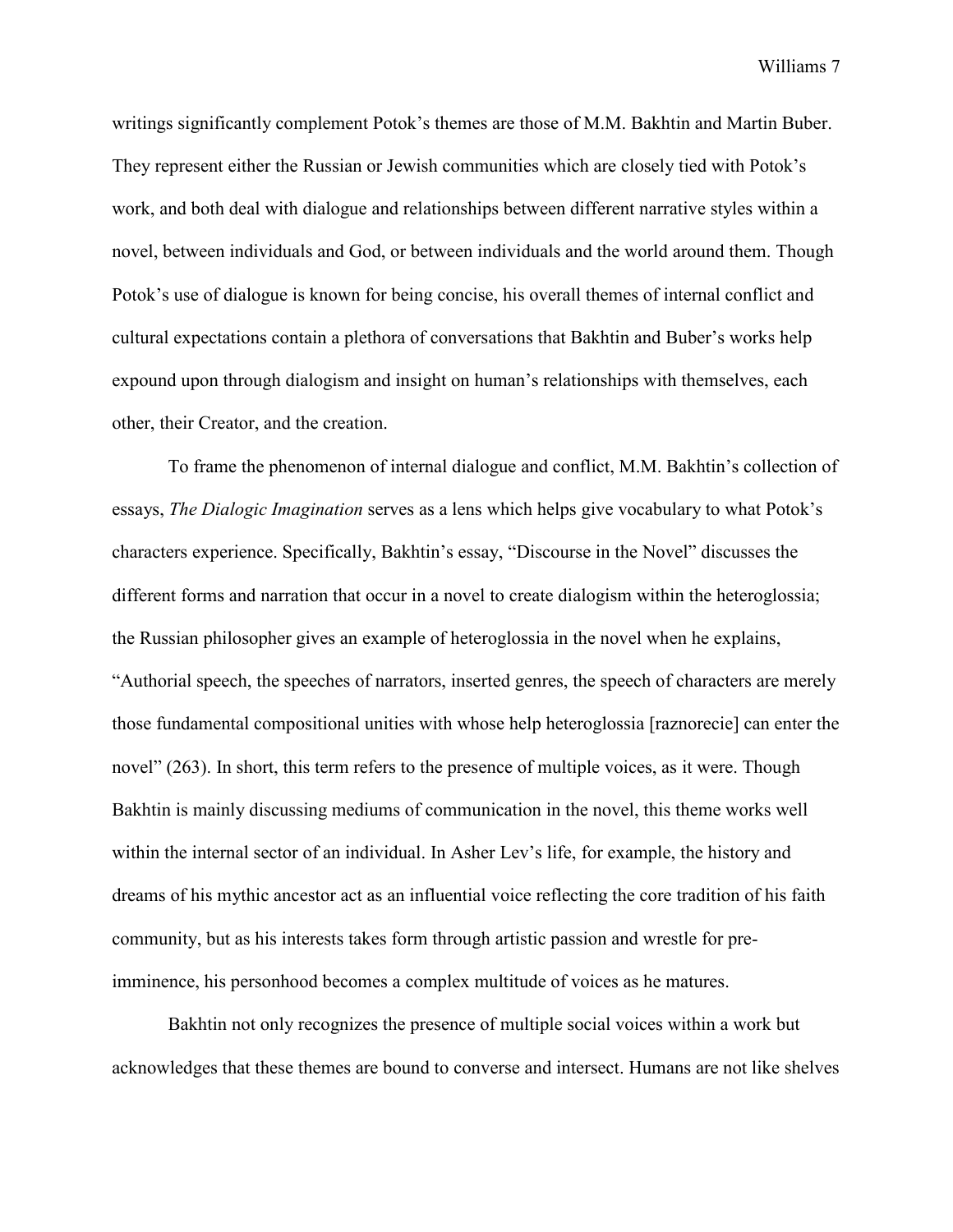writings significantly complement Potok's themes are those of M.M. Bakhtin and Martin Buber. They represent either the Russian or Jewish communities which are closely tied with Potok's work, and both deal with dialogue and relationships between different narrative styles within a novel, between individuals and God, or between individuals and the world around them. Though Potok's use of dialogue is known for being concise, his overall themes of internal conflict and cultural expectations contain a plethora of conversations that Bakhtin and Buber's works help expound upon through dialogism and insight on human's relationships with themselves, each other, their Creator, and the creation.

To frame the phenomenon of internal dialogue and conflict, M.M. Bakhtin's collection of essays, *The Dialogic Imagination* serves as a lens which helps give vocabulary to what Potok's characters experience. Specifically, Bakhtin's essay, "Discourse in the Novel" discusses the different forms and narration that occur in a novel to create dialogism within the heteroglossia; the Russian philosopher gives an example of heteroglossia in the novel when he explains, "Authorial speech, the speeches of narrators, inserted genres, the speech of characters are merely those fundamental compositional unities with whose help heteroglossia [raznorecie] can enter the novel" (263). In short, this term refers to the presence of multiple voices, as it were. Though Bakhtin is mainly discussing mediums of communication in the novel, this theme works well within the internal sector of an individual. In Asher Lev's life, for example, the history and dreams of his mythic ancestor act as an influential voice reflecting the core tradition of his faith community, but as his interests takes form through artistic passion and wrestle for preimminence, his personhood becomes a complex multitude of voices as he matures.

Bakhtin not only recognizes the presence of multiple social voices within a work but acknowledges that these themes are bound to converse and intersect. Humans are not like shelves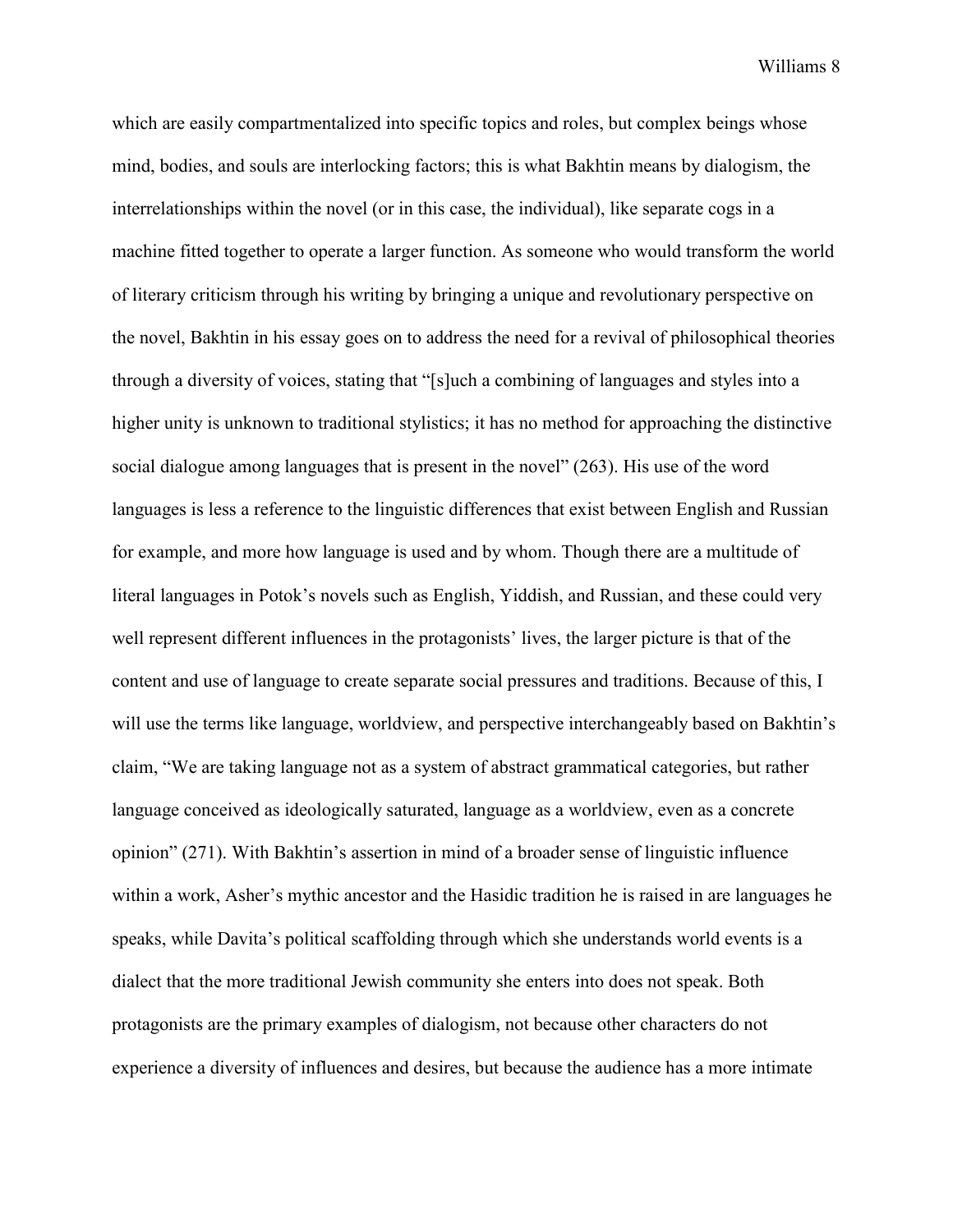which are easily compartmentalized into specific topics and roles, but complex beings whose mind, bodies, and souls are interlocking factors; this is what Bakhtin means by dialogism, the interrelationships within the novel (or in this case, the individual), like separate cogs in a machine fitted together to operate a larger function. As someone who would transform the world of literary criticism through his writing by bringing a unique and revolutionary perspective on the novel, Bakhtin in his essay goes on to address the need for a revival of philosophical theories through a diversity of voices, stating that "[s]uch a combining of languages and styles into a higher unity is unknown to traditional stylistics; it has no method for approaching the distinctive social dialogue among languages that is present in the novel" (263). His use of the word languages is less a reference to the linguistic differences that exist between English and Russian for example, and more how language is used and by whom. Though there are a multitude of literal languages in Potok's novels such as English, Yiddish, and Russian, and these could very well represent different influences in the protagonists' lives, the larger picture is that of the content and use of language to create separate social pressures and traditions. Because of this, I will use the terms like language, worldview, and perspective interchangeably based on Bakhtin's claim, "We are taking language not as a system of abstract grammatical categories, but rather language conceived as ideologically saturated, language as a worldview, even as a concrete opinion" (271). With Bakhtin's assertion in mind of a broader sense of linguistic influence within a work, Asher's mythic ancestor and the Hasidic tradition he is raised in are languages he speaks, while Davita's political scaffolding through which she understands world events is a dialect that the more traditional Jewish community she enters into does not speak. Both protagonists are the primary examples of dialogism, not because other characters do not experience a diversity of influences and desires, but because the audience has a more intimate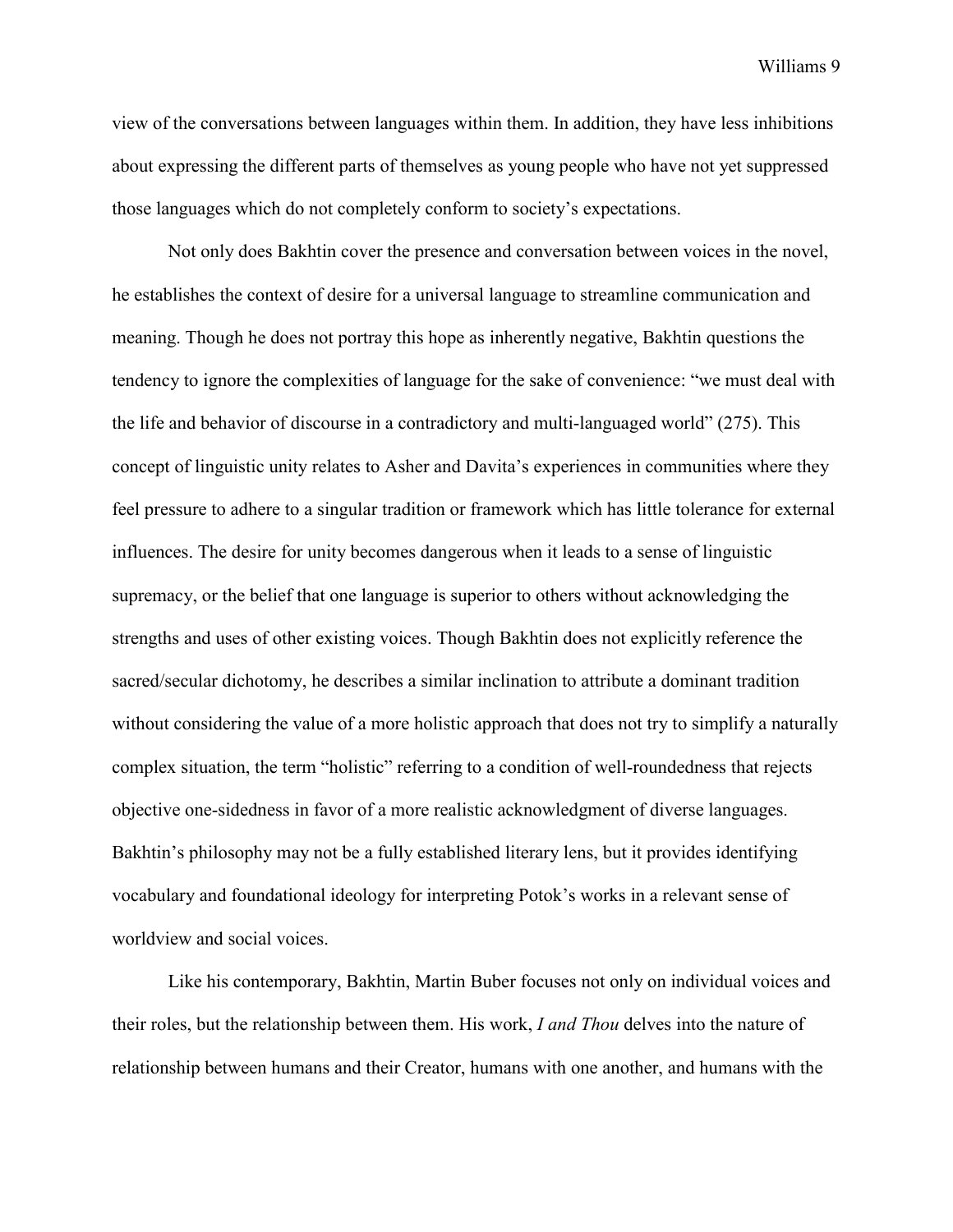view of the conversations between languages within them. In addition, they have less inhibitions about expressing the different parts of themselves as young people who have not yet suppressed those languages which do not completely conform to society's expectations.

Not only does Bakhtin cover the presence and conversation between voices in the novel, he establishes the context of desire for a universal language to streamline communication and meaning. Though he does not portray this hope as inherently negative, Bakhtin questions the tendency to ignore the complexities of language for the sake of convenience: "we must deal with the life and behavior of discourse in a contradictory and multi-languaged world" (275). This concept of linguistic unity relates to Asher and Davita's experiences in communities where they feel pressure to adhere to a singular tradition or framework which has little tolerance for external influences. The desire for unity becomes dangerous when it leads to a sense of linguistic supremacy, or the belief that one language is superior to others without acknowledging the strengths and uses of other existing voices. Though Bakhtin does not explicitly reference the sacred/secular dichotomy, he describes a similar inclination to attribute a dominant tradition without considering the value of a more holistic approach that does not try to simplify a naturally complex situation, the term "holistic" referring to a condition of well-roundedness that rejects objective one-sidedness in favor of a more realistic acknowledgment of diverse languages. Bakhtin's philosophy may not be a fully established literary lens, but it provides identifying vocabulary and foundational ideology for interpreting Potok's works in a relevant sense of worldview and social voices.

Like his contemporary, Bakhtin, Martin Buber focuses not only on individual voices and their roles, but the relationship between them. His work, *I and Thou* delves into the nature of relationship between humans and their Creator, humans with one another, and humans with the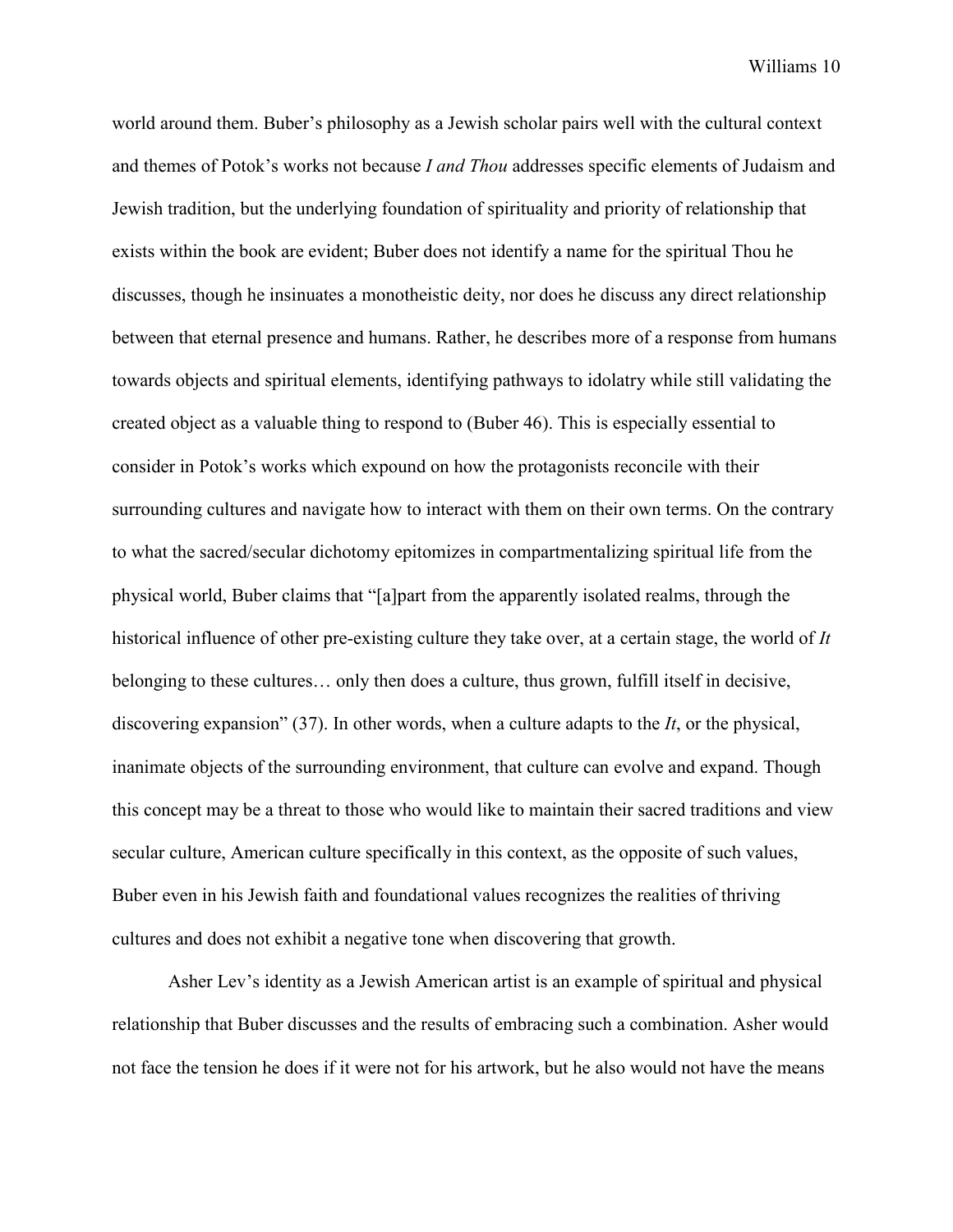world around them. Buber's philosophy as a Jewish scholar pairs well with the cultural context and themes of Potok's works not because *I and Thou* addresses specific elements of Judaism and Jewish tradition, but the underlying foundation of spirituality and priority of relationship that exists within the book are evident; Buber does not identify a name for the spiritual Thou he discusses, though he insinuates a monotheistic deity, nor does he discuss any direct relationship between that eternal presence and humans. Rather, he describes more of a response from humans towards objects and spiritual elements, identifying pathways to idolatry while still validating the created object as a valuable thing to respond to (Buber 46). This is especially essential to consider in Potok's works which expound on how the protagonists reconcile with their surrounding cultures and navigate how to interact with them on their own terms. On the contrary to what the sacred/secular dichotomy epitomizes in compartmentalizing spiritual life from the physical world, Buber claims that "[a]part from the apparently isolated realms, through the historical influence of other pre-existing culture they take over, at a certain stage, the world of *It* belonging to these cultures… only then does a culture, thus grown, fulfill itself in decisive, discovering expansion" (37). In other words, when a culture adapts to the *It*, or the physical, inanimate objects of the surrounding environment, that culture can evolve and expand. Though this concept may be a threat to those who would like to maintain their sacred traditions and view secular culture, American culture specifically in this context, as the opposite of such values, Buber even in his Jewish faith and foundational values recognizes the realities of thriving cultures and does not exhibit a negative tone when discovering that growth.

Asher Lev's identity as a Jewish American artist is an example of spiritual and physical relationship that Buber discusses and the results of embracing such a combination. Asher would not face the tension he does if it were not for his artwork, but he also would not have the means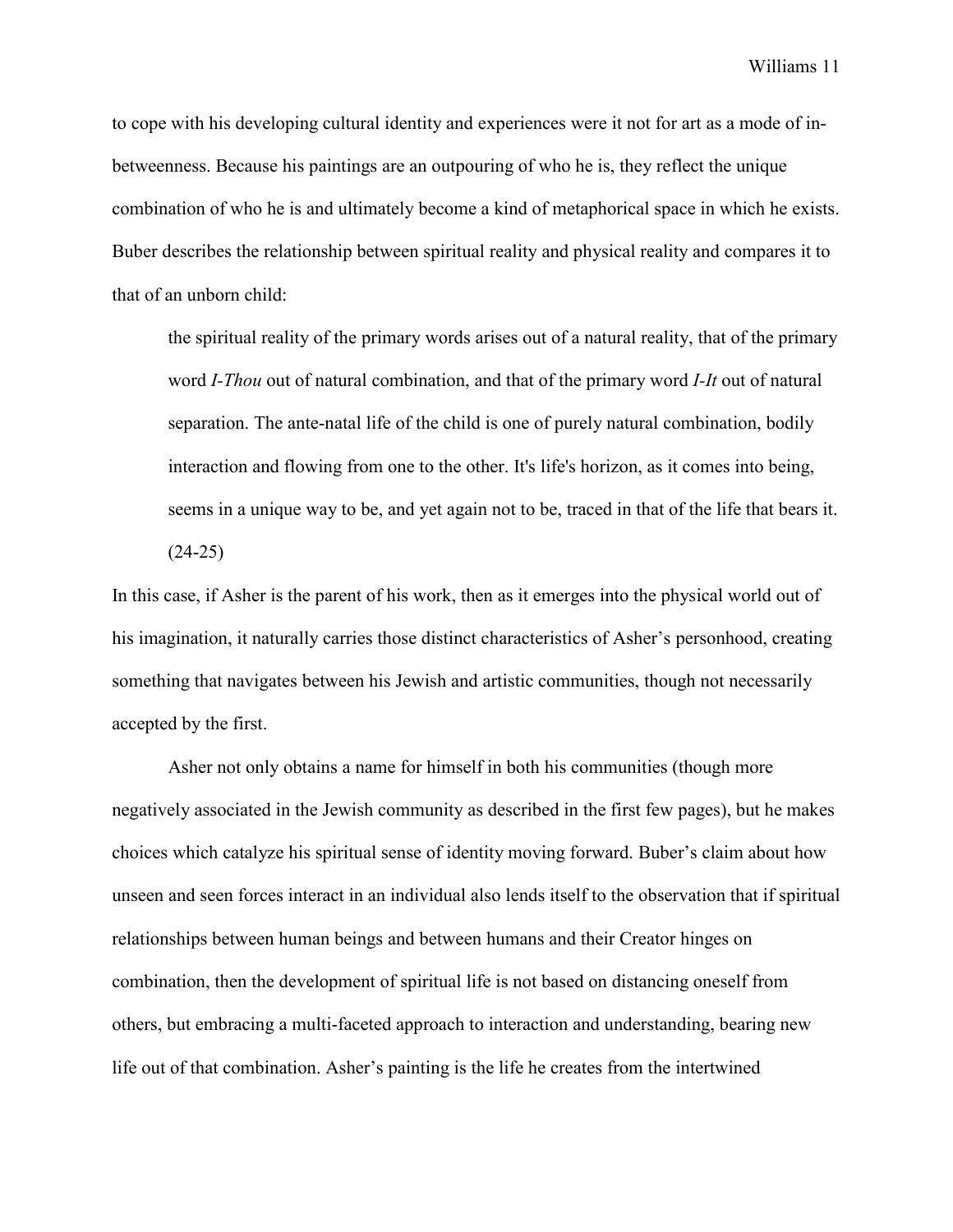to cope with his developing cultural identity and experiences were it not for art as a mode of inbetweenness. Because his paintings are an outpouring of who he is, they reflect the unique combination of who he is and ultimately become a kind of metaphorical space in which he exists. Buber describes the relationship between spiritual reality and physical reality and compares it to that of an unborn child:

the spiritual reality of the primary words arises out of a natural reality, that of the primary word *I-Thou* out of natural combination, and that of the primary word *I-It* out of natural separation. The ante-natal life of the child is one of purely natural combination, bodily interaction and flowing from one to the other. It's life's horizon, as it comes into being, seems in a unique way to be, and yet again not to be, traced in that of the life that bears it. (24-25)

In this case, if Asher is the parent of his work, then as it emerges into the physical world out of his imagination, it naturally carries those distinct characteristics of Asher's personhood, creating something that navigates between his Jewish and artistic communities, though not necessarily accepted by the first.

Asher not only obtains a name for himself in both his communities (though more negatively associated in the Jewish community as described in the first few pages), but he makes choices which catalyze his spiritual sense of identity moving forward. Buber's claim about how unseen and seen forces interact in an individual also lends itself to the observation that if spiritual relationships between human beings and between humans and their Creator hinges on combination, then the development of spiritual life is not based on distancing oneself from others, but embracing a multi-faceted approach to interaction and understanding, bearing new life out of that combination. Asher's painting is the life he creates from the intertwined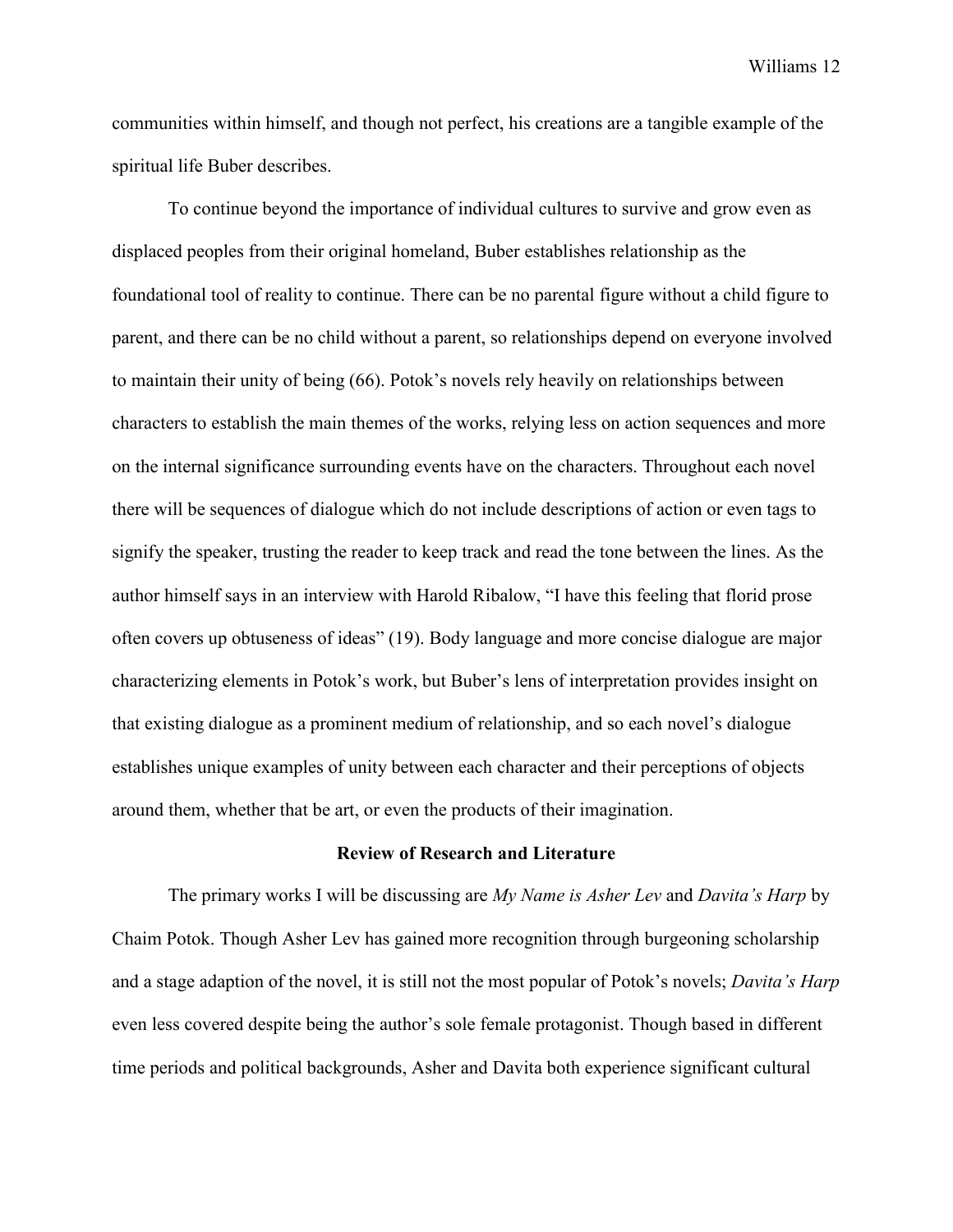communities within himself, and though not perfect, his creations are a tangible example of the spiritual life Buber describes.

To continue beyond the importance of individual cultures to survive and grow even as displaced peoples from their original homeland, Buber establishes relationship as the foundational tool of reality to continue. There can be no parental figure without a child figure to parent, and there can be no child without a parent, so relationships depend on everyone involved to maintain their unity of being (66). Potok's novels rely heavily on relationships between characters to establish the main themes of the works, relying less on action sequences and more on the internal significance surrounding events have on the characters. Throughout each novel there will be sequences of dialogue which do not include descriptions of action or even tags to signify the speaker, trusting the reader to keep track and read the tone between the lines. As the author himself says in an interview with Harold Ribalow, "I have this feeling that florid prose often covers up obtuseness of ideas" (19). Body language and more concise dialogue are major characterizing elements in Potok's work, but Buber's lens of interpretation provides insight on that existing dialogue as a prominent medium of relationship, and so each novel's dialogue establishes unique examples of unity between each character and their perceptions of objects around them, whether that be art, or even the products of their imagination.

## **Review of Research and Literature**

The primary works I will be discussing are *My Name is Asher Lev* and *Davita's Harp* by Chaim Potok. Though Asher Lev has gained more recognition through burgeoning scholarship and a stage adaption of the novel, it is still not the most popular of Potok's novels; *Davita's Harp* even less covered despite being the author's sole female protagonist. Though based in different time periods and political backgrounds, Asher and Davita both experience significant cultural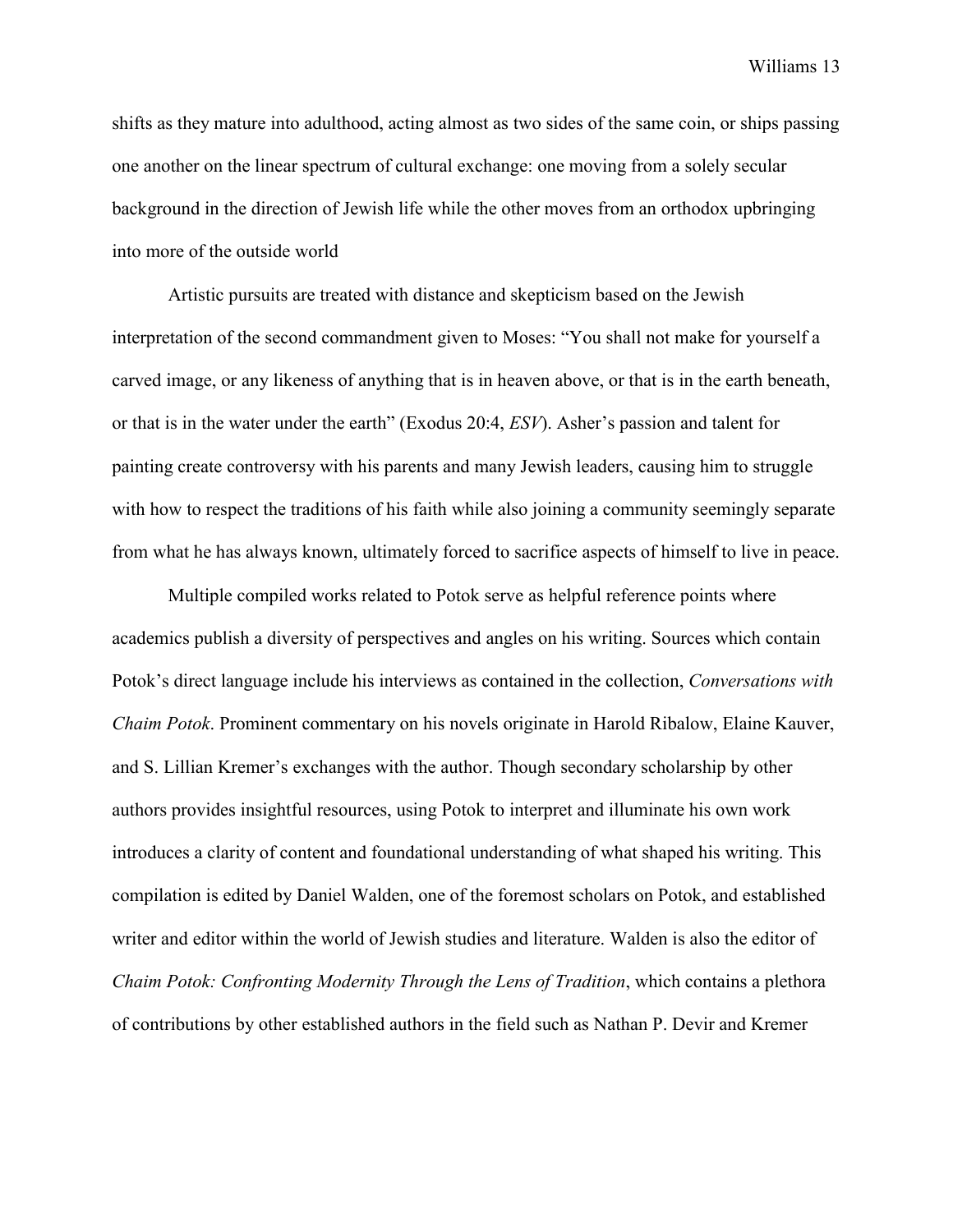shifts as they mature into adulthood, acting almost as two sides of the same coin, or ships passing one another on the linear spectrum of cultural exchange: one moving from a solely secular background in the direction of Jewish life while the other moves from an orthodox upbringing into more of the outside world

Artistic pursuits are treated with distance and skepticism based on the Jewish interpretation of the second commandment given to Moses: "You shall not make for yourself a carved image, or any likeness of anything that is in heaven above, or that is in the earth beneath, or that is in the water under the earth" (Exodus 20:4, *ESV*). Asher's passion and talent for painting create controversy with his parents and many Jewish leaders, causing him to struggle with how to respect the traditions of his faith while also joining a community seemingly separate from what he has always known, ultimately forced to sacrifice aspects of himself to live in peace.

Multiple compiled works related to Potok serve as helpful reference points where academics publish a diversity of perspectives and angles on his writing. Sources which contain Potok's direct language include his interviews as contained in the collection, *Conversations with Chaim Potok*. Prominent commentary on his novels originate in Harold Ribalow, Elaine Kauver, and S. Lillian Kremer's exchanges with the author. Though secondary scholarship by other authors provides insightful resources, using Potok to interpret and illuminate his own work introduces a clarity of content and foundational understanding of what shaped his writing. This compilation is edited by Daniel Walden, one of the foremost scholars on Potok, and established writer and editor within the world of Jewish studies and literature. Walden is also the editor of *Chaim Potok: Confronting Modernity Through the Lens of Tradition*, which contains a plethora of contributions by other established authors in the field such as Nathan P. Devir and Kremer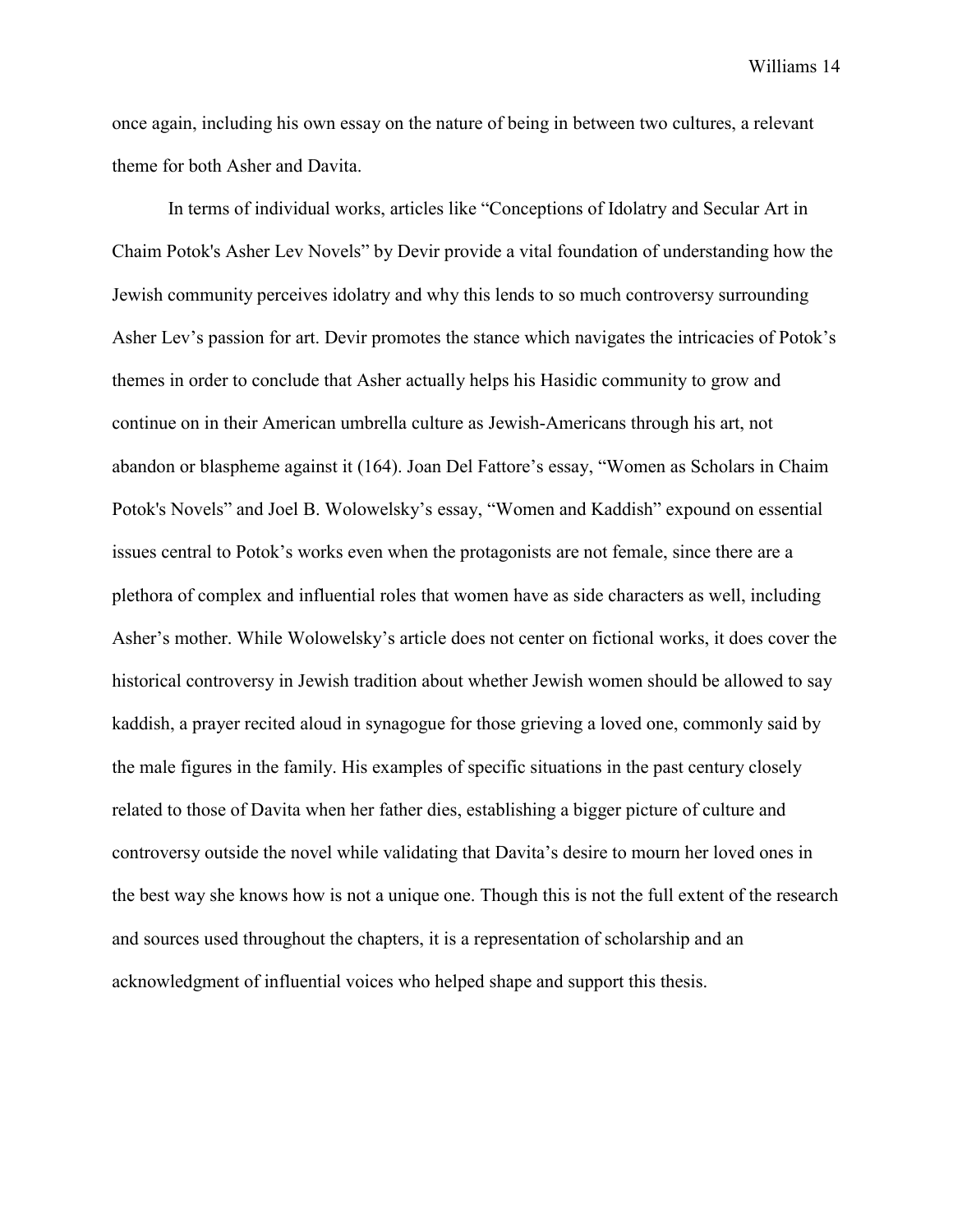once again, including his own essay on the nature of being in between two cultures, a relevant theme for both Asher and Davita.

In terms of individual works, articles like "Conceptions of Idolatry and Secular Art in Chaim Potok's Asher Lev Novels" by Devir provide a vital foundation of understanding how the Jewish community perceives idolatry and why this lends to so much controversy surrounding Asher Lev's passion for art. Devir promotes the stance which navigates the intricacies of Potok's themes in order to conclude that Asher actually helps his Hasidic community to grow and continue on in their American umbrella culture as Jewish-Americans through his art, not abandon or blaspheme against it (164). Joan Del Fattore's essay, "Women as Scholars in Chaim Potok's Novels" and Joel B. Wolowelsky's essay, "Women and Kaddish" expound on essential issues central to Potok's works even when the protagonists are not female, since there are a plethora of complex and influential roles that women have as side characters as well, including Asher's mother. While Wolowelsky's article does not center on fictional works, it does cover the historical controversy in Jewish tradition about whether Jewish women should be allowed to say kaddish, a prayer recited aloud in synagogue for those grieving a loved one, commonly said by the male figures in the family. His examples of specific situations in the past century closely related to those of Davita when her father dies, establishing a bigger picture of culture and controversy outside the novel while validating that Davita's desire to mourn her loved ones in the best way she knows how is not a unique one. Though this is not the full extent of the research and sources used throughout the chapters, it is a representation of scholarship and an acknowledgment of influential voices who helped shape and support this thesis.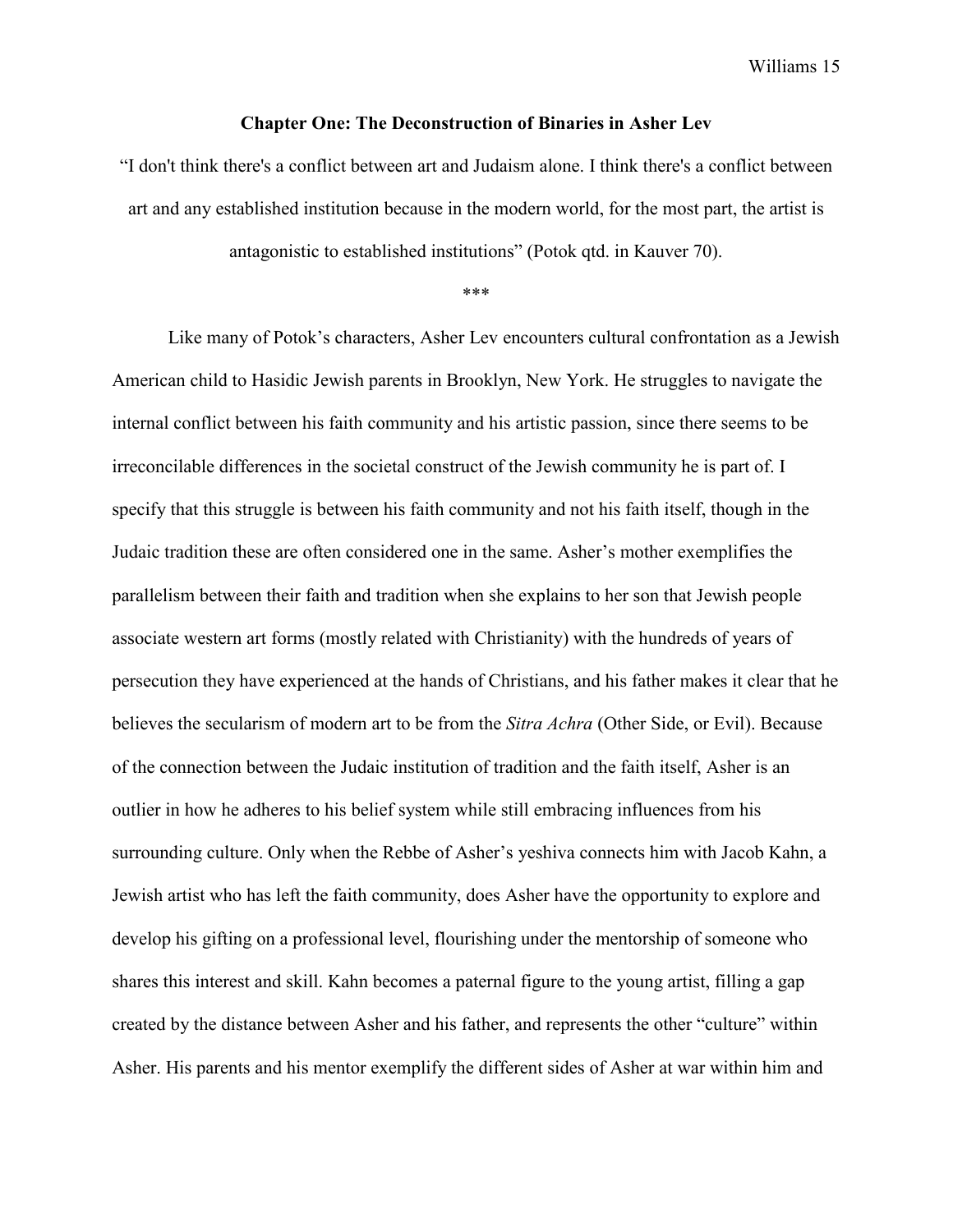#### **Chapter One: The Deconstruction of Binaries in Asher Lev**

"I don't think there's a conflict between art and Judaism alone. I think there's a conflict between art and any established institution because in the modern world, for the most part, the artist is

antagonistic to established institutions" (Potok qtd. in Kauver 70).

\*\*\*

Like many of Potok's characters, Asher Lev encounters cultural confrontation as a Jewish American child to Hasidic Jewish parents in Brooklyn, New York. He struggles to navigate the internal conflict between his faith community and his artistic passion, since there seems to be irreconcilable differences in the societal construct of the Jewish community he is part of. I specify that this struggle is between his faith community and not his faith itself, though in the Judaic tradition these are often considered one in the same. Asher's mother exemplifies the parallelism between their faith and tradition when she explains to her son that Jewish people associate western art forms (mostly related with Christianity) with the hundreds of years of persecution they have experienced at the hands of Christians, and his father makes it clear that he believes the secularism of modern art to be from the *Sitra Achra* (Other Side, or Evil). Because of the connection between the Judaic institution of tradition and the faith itself, Asher is an outlier in how he adheres to his belief system while still embracing influences from his surrounding culture. Only when the Rebbe of Asher's yeshiva connects him with Jacob Kahn, a Jewish artist who has left the faith community, does Asher have the opportunity to explore and develop his gifting on a professional level, flourishing under the mentorship of someone who shares this interest and skill. Kahn becomes a paternal figure to the young artist, filling a gap created by the distance between Asher and his father, and represents the other "culture" within Asher. His parents and his mentor exemplify the different sides of Asher at war within him and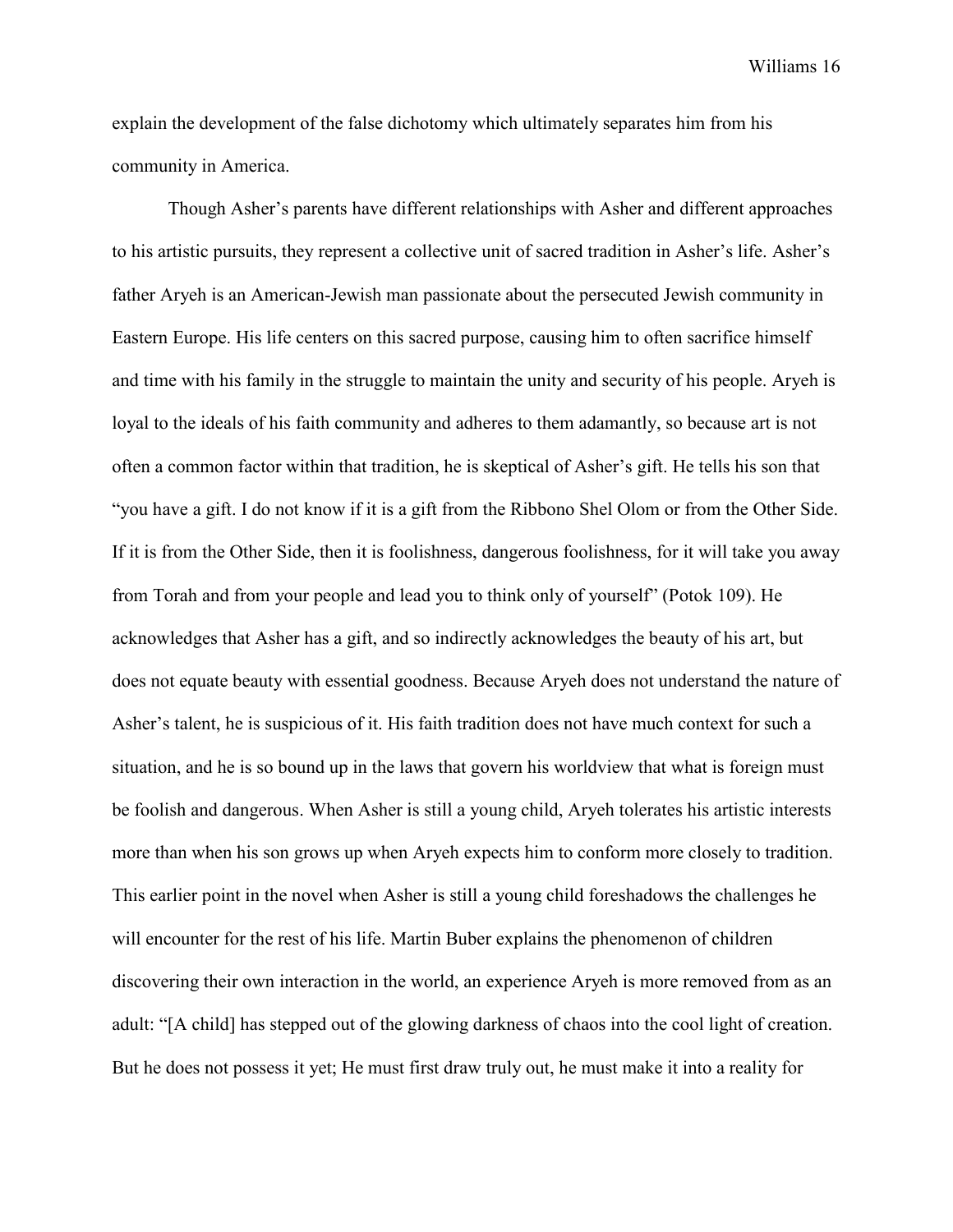explain the development of the false dichotomy which ultimately separates him from his community in America.

Though Asher's parents have different relationships with Asher and different approaches to his artistic pursuits, they represent a collective unit of sacred tradition in Asher's life. Asher's father Aryeh is an American-Jewish man passionate about the persecuted Jewish community in Eastern Europe. His life centers on this sacred purpose, causing him to often sacrifice himself and time with his family in the struggle to maintain the unity and security of his people. Aryeh is loyal to the ideals of his faith community and adheres to them adamantly, so because art is not often a common factor within that tradition, he is skeptical of Asher's gift. He tells his son that "you have a gift. I do not know if it is a gift from the Ribbono Shel Olom or from the Other Side. If it is from the Other Side, then it is foolishness, dangerous foolishness, for it will take you away from Torah and from your people and lead you to think only of yourself" (Potok 109). He acknowledges that Asher has a gift, and so indirectly acknowledges the beauty of his art, but does not equate beauty with essential goodness. Because Aryeh does not understand the nature of Asher's talent, he is suspicious of it. His faith tradition does not have much context for such a situation, and he is so bound up in the laws that govern his worldview that what is foreign must be foolish and dangerous. When Asher is still a young child, Aryeh tolerates his artistic interests more than when his son grows up when Aryeh expects him to conform more closely to tradition. This earlier point in the novel when Asher is still a young child foreshadows the challenges he will encounter for the rest of his life. Martin Buber explains the phenomenon of children discovering their own interaction in the world, an experience Aryeh is more removed from as an adult: "[A child] has stepped out of the glowing darkness of chaos into the cool light of creation. But he does not possess it yet; He must first draw truly out, he must make it into a reality for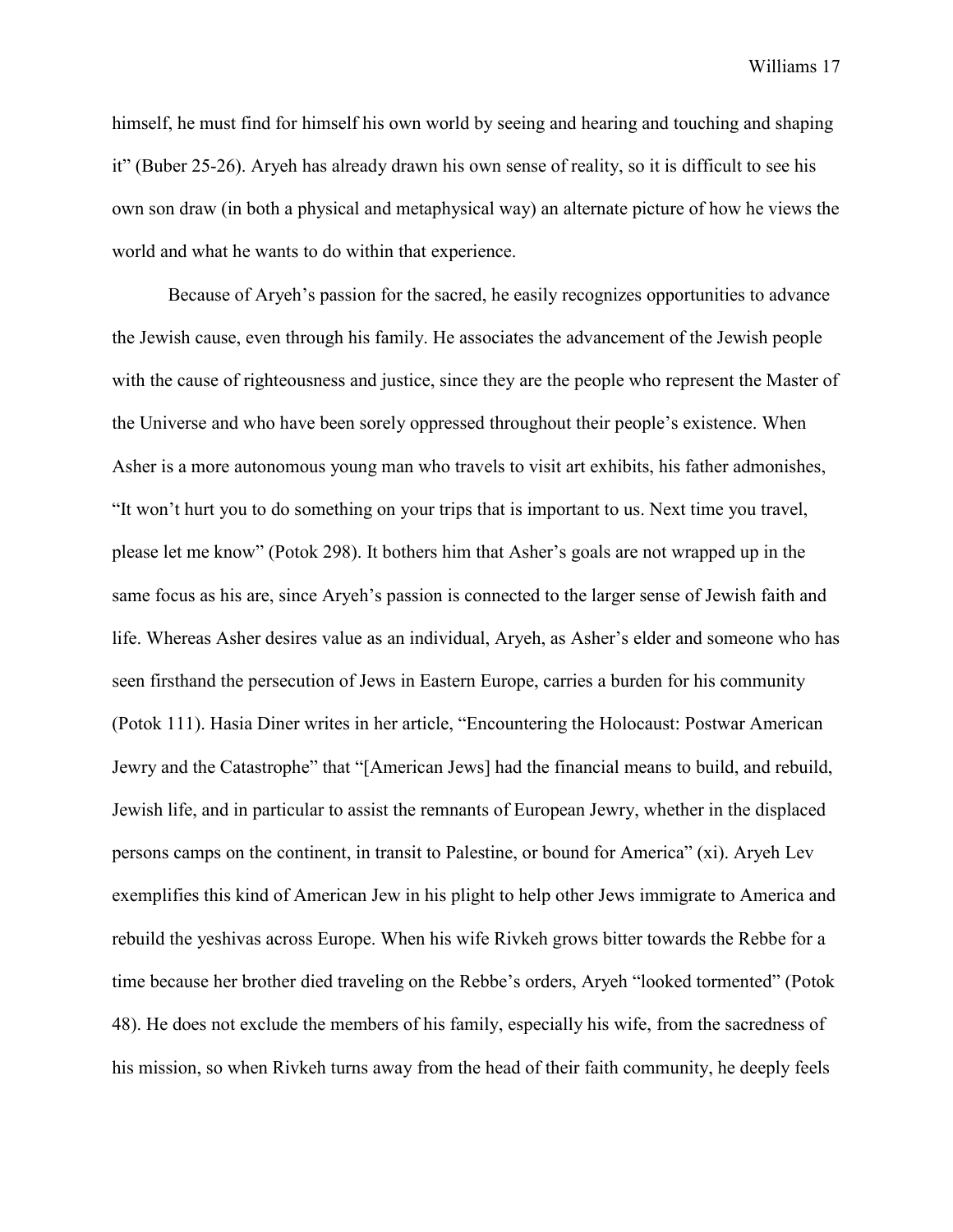himself, he must find for himself his own world by seeing and hearing and touching and shaping it" (Buber 25-26). Aryeh has already drawn his own sense of reality, so it is difficult to see his own son draw (in both a physical and metaphysical way) an alternate picture of how he views the world and what he wants to do within that experience.

Because of Aryeh's passion for the sacred, he easily recognizes opportunities to advance the Jewish cause, even through his family. He associates the advancement of the Jewish people with the cause of righteousness and justice, since they are the people who represent the Master of the Universe and who have been sorely oppressed throughout their people's existence. When Asher is a more autonomous young man who travels to visit art exhibits, his father admonishes, "It won't hurt you to do something on your trips that is important to us. Next time you travel, please let me know" (Potok 298). It bothers him that Asher's goals are not wrapped up in the same focus as his are, since Aryeh's passion is connected to the larger sense of Jewish faith and life. Whereas Asher desires value as an individual, Aryeh, as Asher's elder and someone who has seen firsthand the persecution of Jews in Eastern Europe, carries a burden for his community (Potok 111). Hasia Diner writes in her article, "Encountering the Holocaust: Postwar American Jewry and the Catastrophe" that "[American Jews] had the financial means to build, and rebuild, Jewish life, and in particular to assist the remnants of European Jewry, whether in the displaced persons camps on the continent, in transit to Palestine, or bound for America" (xi). Aryeh Lev exemplifies this kind of American Jew in his plight to help other Jews immigrate to America and rebuild the yeshivas across Europe. When his wife Rivkeh grows bitter towards the Rebbe for a time because her brother died traveling on the Rebbe's orders, Aryeh "looked tormented" (Potok 48). He does not exclude the members of his family, especially his wife, from the sacredness of his mission, so when Rivkeh turns away from the head of their faith community, he deeply feels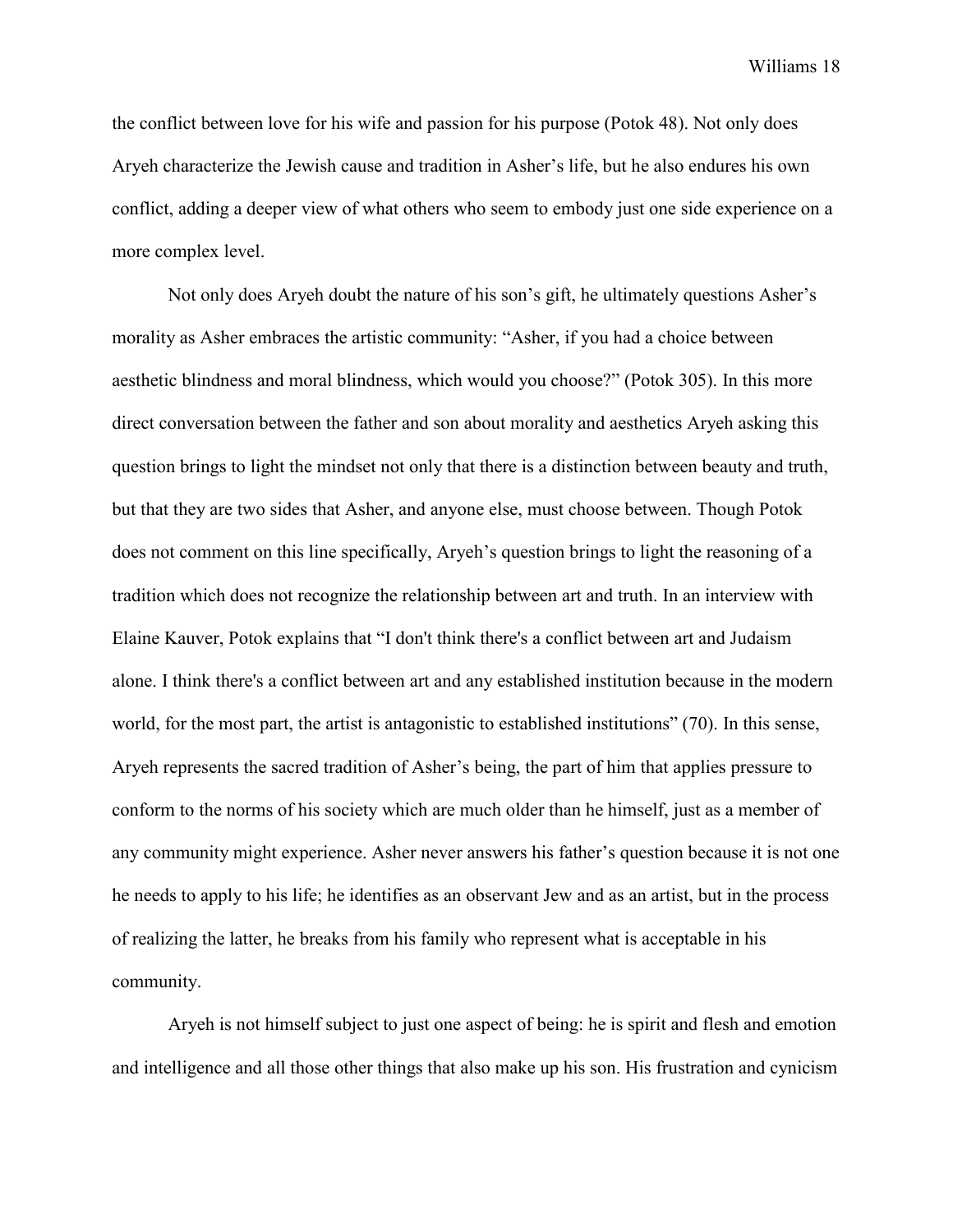the conflict between love for his wife and passion for his purpose (Potok 48). Not only does Aryeh characterize the Jewish cause and tradition in Asher's life, but he also endures his own conflict, adding a deeper view of what others who seem to embody just one side experience on a more complex level.

Not only does Aryeh doubt the nature of his son's gift, he ultimately questions Asher's morality as Asher embraces the artistic community: "Asher, if you had a choice between aesthetic blindness and moral blindness, which would you choose?" (Potok 305). In this more direct conversation between the father and son about morality and aesthetics Aryeh asking this question brings to light the mindset not only that there is a distinction between beauty and truth, but that they are two sides that Asher, and anyone else, must choose between. Though Potok does not comment on this line specifically, Aryeh's question brings to light the reasoning of a tradition which does not recognize the relationship between art and truth. In an interview with Elaine Kauver, Potok explains that "I don't think there's a conflict between art and Judaism alone. I think there's a conflict between art and any established institution because in the modern world, for the most part, the artist is antagonistic to established institutions" (70). In this sense, Aryeh represents the sacred tradition of Asher's being, the part of him that applies pressure to conform to the norms of his society which are much older than he himself, just as a member of any community might experience. Asher never answers his father's question because it is not one he needs to apply to his life; he identifies as an observant Jew and as an artist, but in the process of realizing the latter, he breaks from his family who represent what is acceptable in his community.

Aryeh is not himself subject to just one aspect of being: he is spirit and flesh and emotion and intelligence and all those other things that also make up his son. His frustration and cynicism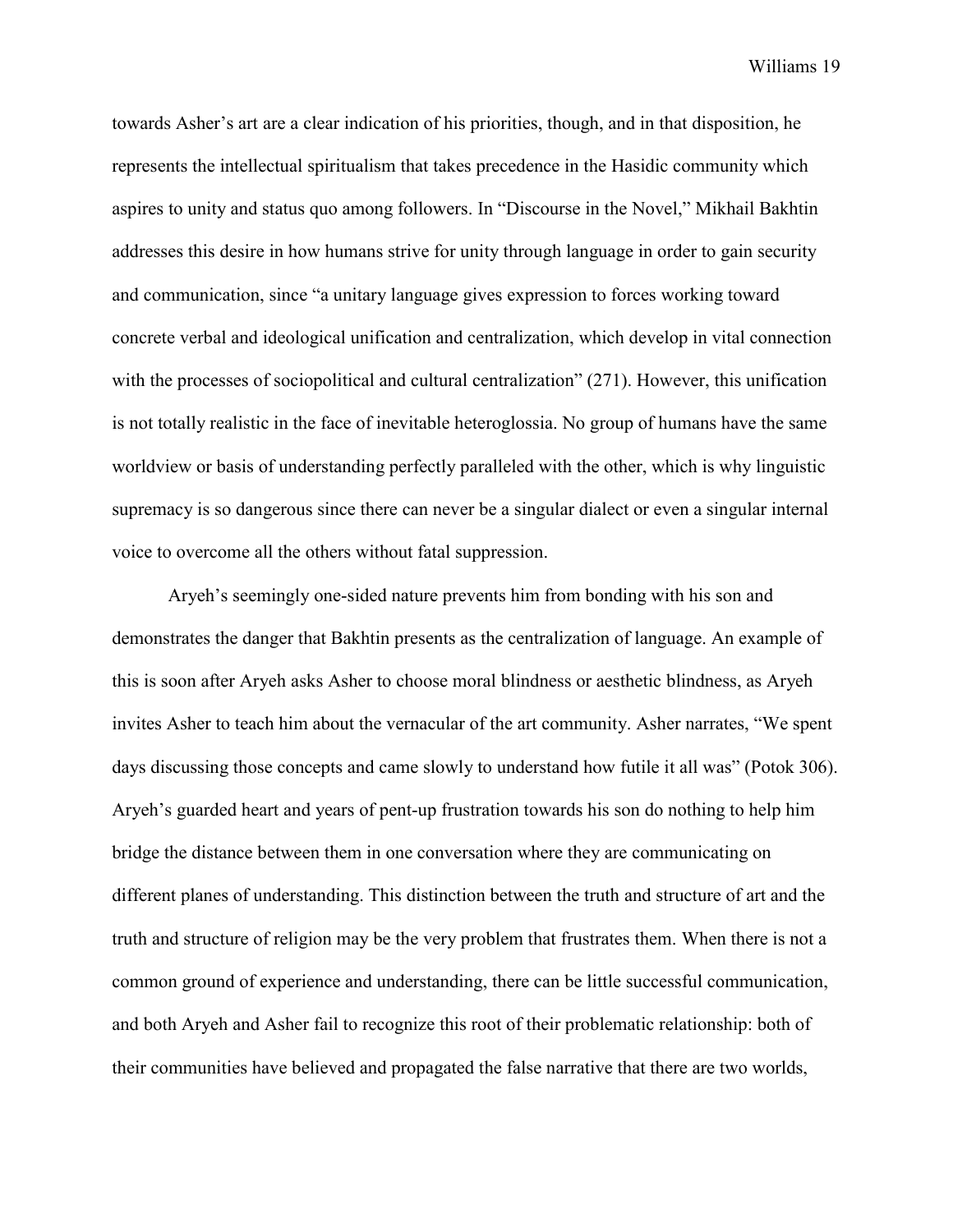towards Asher's art are a clear indication of his priorities, though, and in that disposition, he represents the intellectual spiritualism that takes precedence in the Hasidic community which aspires to unity and status quo among followers. In "Discourse in the Novel," Mikhail Bakhtin addresses this desire in how humans strive for unity through language in order to gain security and communication, since "a unitary language gives expression to forces working toward concrete verbal and ideological unification and centralization, which develop in vital connection with the processes of sociopolitical and cultural centralization" (271). However, this unification is not totally realistic in the face of inevitable heteroglossia. No group of humans have the same worldview or basis of understanding perfectly paralleled with the other, which is why linguistic supremacy is so dangerous since there can never be a singular dialect or even a singular internal voice to overcome all the others without fatal suppression.

Aryeh's seemingly one-sided nature prevents him from bonding with his son and demonstrates the danger that Bakhtin presents as the centralization of language. An example of this is soon after Aryeh asks Asher to choose moral blindness or aesthetic blindness, as Aryeh invites Asher to teach him about the vernacular of the art community. Asher narrates, "We spent days discussing those concepts and came slowly to understand how futile it all was" (Potok 306). Aryeh's guarded heart and years of pent-up frustration towards his son do nothing to help him bridge the distance between them in one conversation where they are communicating on different planes of understanding. This distinction between the truth and structure of art and the truth and structure of religion may be the very problem that frustrates them. When there is not a common ground of experience and understanding, there can be little successful communication, and both Aryeh and Asher fail to recognize this root of their problematic relationship: both of their communities have believed and propagated the false narrative that there are two worlds,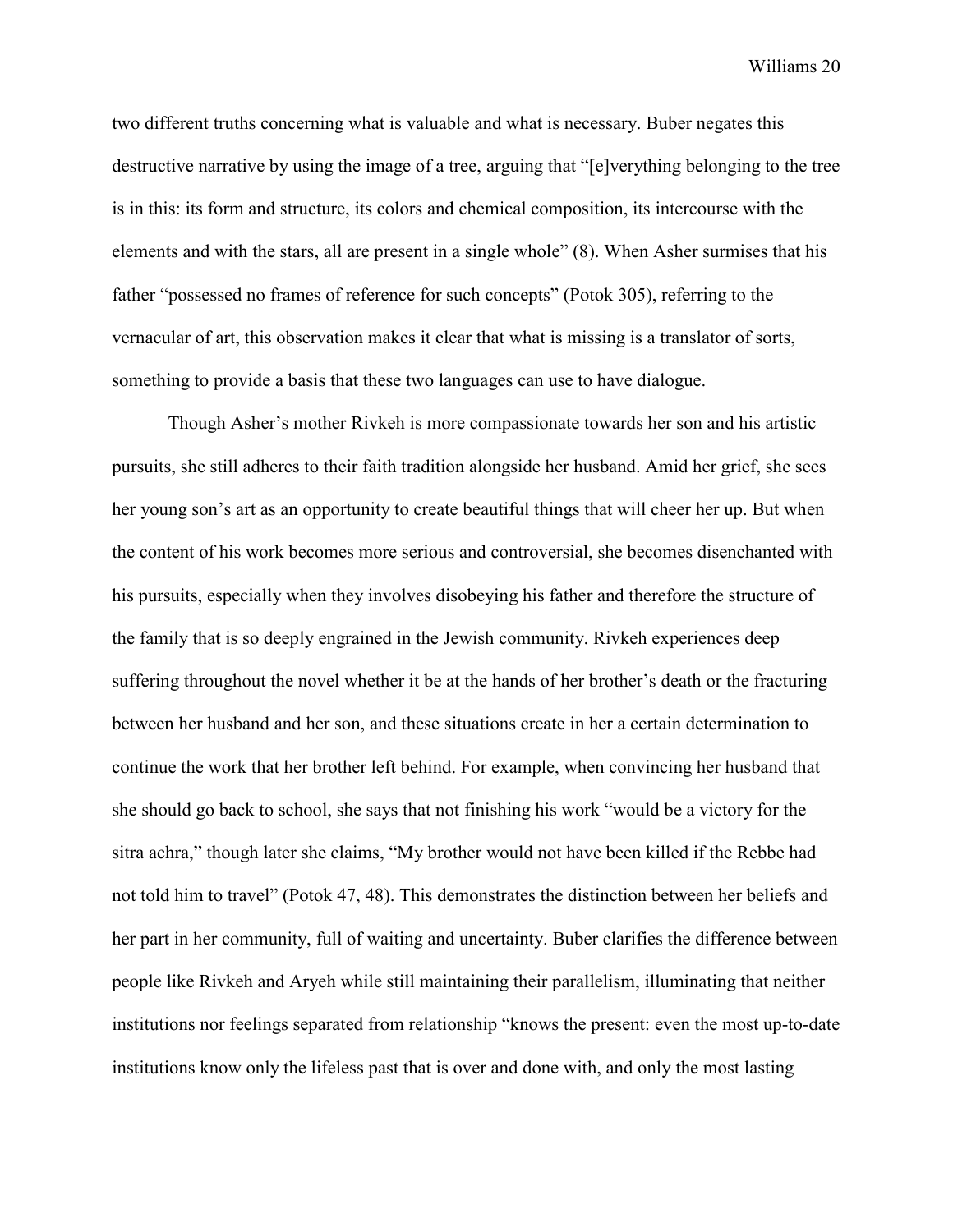two different truths concerning what is valuable and what is necessary. Buber negates this destructive narrative by using the image of a tree, arguing that "[e]verything belonging to the tree is in this: its form and structure, its colors and chemical composition, its intercourse with the elements and with the stars, all are present in a single whole" (8). When Asher surmises that his father "possessed no frames of reference for such concepts" (Potok 305), referring to the vernacular of art, this observation makes it clear that what is missing is a translator of sorts, something to provide a basis that these two languages can use to have dialogue.

Though Asher's mother Rivkeh is more compassionate towards her son and his artistic pursuits, she still adheres to their faith tradition alongside her husband. Amid her grief, she sees her young son's art as an opportunity to create beautiful things that will cheer her up. But when the content of his work becomes more serious and controversial, she becomes disenchanted with his pursuits, especially when they involves disobeying his father and therefore the structure of the family that is so deeply engrained in the Jewish community. Rivkeh experiences deep suffering throughout the novel whether it be at the hands of her brother's death or the fracturing between her husband and her son, and these situations create in her a certain determination to continue the work that her brother left behind. For example, when convincing her husband that she should go back to school, she says that not finishing his work "would be a victory for the sitra achra," though later she claims, "My brother would not have been killed if the Rebbe had not told him to travel" (Potok 47, 48). This demonstrates the distinction between her beliefs and her part in her community, full of waiting and uncertainty. Buber clarifies the difference between people like Rivkeh and Aryeh while still maintaining their parallelism, illuminating that neither institutions nor feelings separated from relationship "knows the present: even the most up-to-date institutions know only the lifeless past that is over and done with, and only the most lasting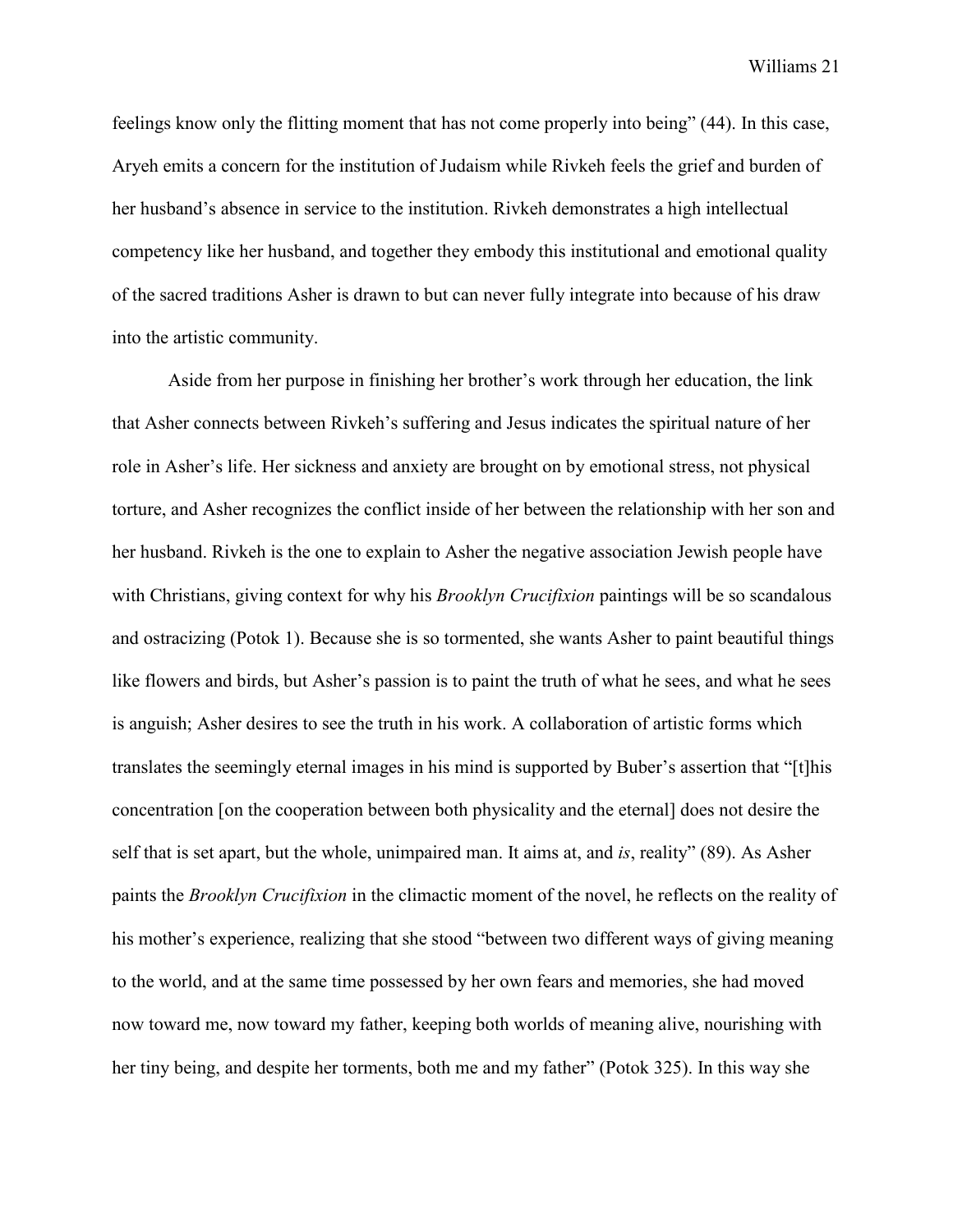feelings know only the flitting moment that has not come properly into being" (44). In this case, Aryeh emits a concern for the institution of Judaism while Rivkeh feels the grief and burden of her husband's absence in service to the institution. Rivkeh demonstrates a high intellectual competency like her husband, and together they embody this institutional and emotional quality of the sacred traditions Asher is drawn to but can never fully integrate into because of his draw into the artistic community.

Aside from her purpose in finishing her brother's work through her education, the link that Asher connects between Rivkeh's suffering and Jesus indicates the spiritual nature of her role in Asher's life. Her sickness and anxiety are brought on by emotional stress, not physical torture, and Asher recognizes the conflict inside of her between the relationship with her son and her husband. Rivkeh is the one to explain to Asher the negative association Jewish people have with Christians, giving context for why his *Brooklyn Crucifixion* paintings will be so scandalous and ostracizing (Potok 1). Because she is so tormented, she wants Asher to paint beautiful things like flowers and birds, but Asher's passion is to paint the truth of what he sees, and what he sees is anguish; Asher desires to see the truth in his work. A collaboration of artistic forms which translates the seemingly eternal images in his mind is supported by Buber's assertion that "[t]his concentration [on the cooperation between both physicality and the eternal] does not desire the self that is set apart, but the whole, unimpaired man. It aims at, and *is*, reality" (89). As Asher paints the *Brooklyn Crucifixion* in the climactic moment of the novel, he reflects on the reality of his mother's experience, realizing that she stood "between two different ways of giving meaning to the world, and at the same time possessed by her own fears and memories, she had moved now toward me, now toward my father, keeping both worlds of meaning alive, nourishing with her tiny being, and despite her torments, both me and my father" (Potok 325). In this way she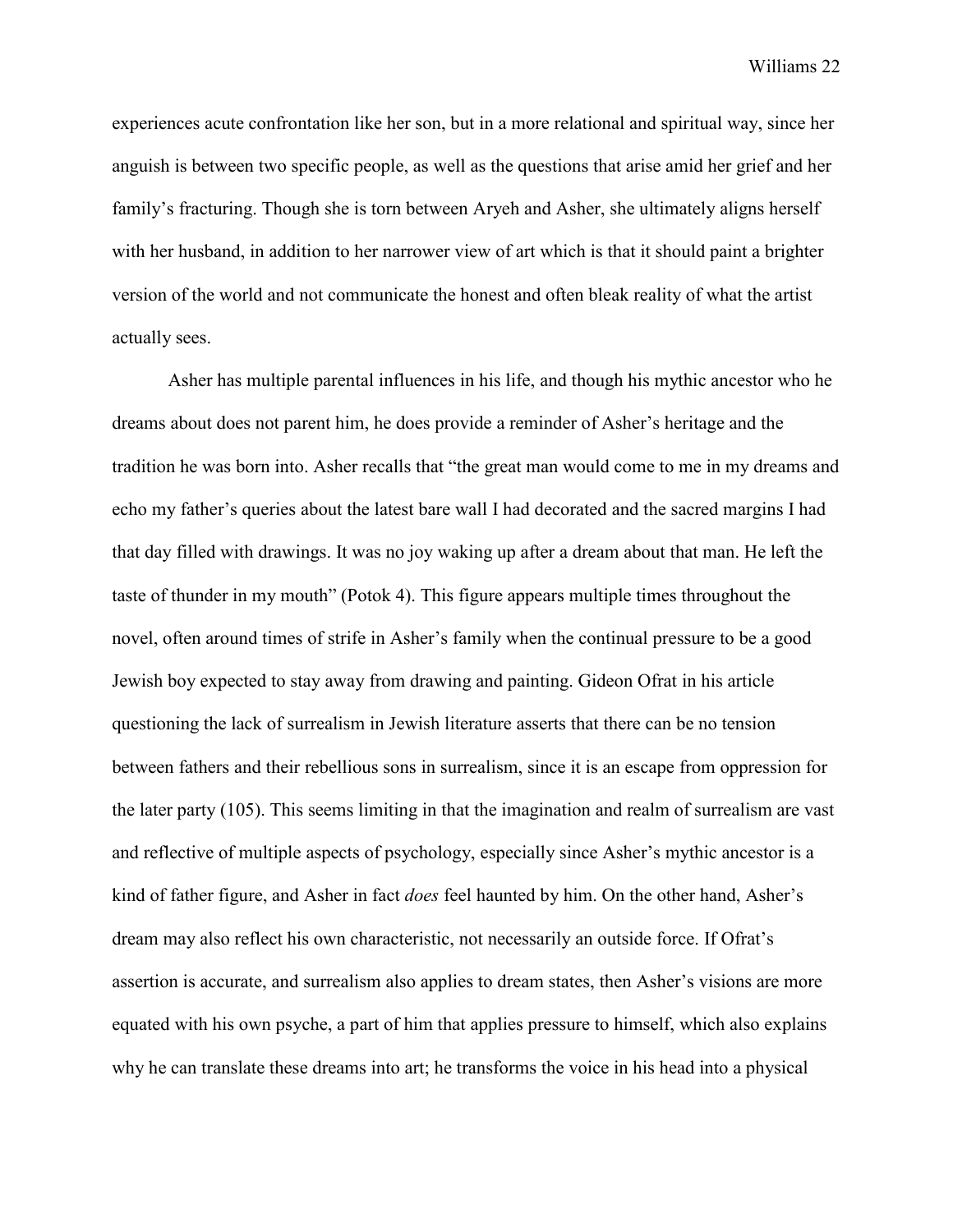experiences acute confrontation like her son, but in a more relational and spiritual way, since her anguish is between two specific people, as well as the questions that arise amid her grief and her family's fracturing. Though she is torn between Aryeh and Asher, she ultimately aligns herself with her husband, in addition to her narrower view of art which is that it should paint a brighter version of the world and not communicate the honest and often bleak reality of what the artist actually sees.

Asher has multiple parental influences in his life, and though his mythic ancestor who he dreams about does not parent him, he does provide a reminder of Asher's heritage and the tradition he was born into. Asher recalls that "the great man would come to me in my dreams and echo my father's queries about the latest bare wall I had decorated and the sacred margins I had that day filled with drawings. It was no joy waking up after a dream about that man. He left the taste of thunder in my mouth" (Potok 4). This figure appears multiple times throughout the novel, often around times of strife in Asher's family when the continual pressure to be a good Jewish boy expected to stay away from drawing and painting. Gideon Ofrat in his article questioning the lack of surrealism in Jewish literature asserts that there can be no tension between fathers and their rebellious sons in surrealism, since it is an escape from oppression for the later party (105). This seems limiting in that the imagination and realm of surrealism are vast and reflective of multiple aspects of psychology, especially since Asher's mythic ancestor is a kind of father figure, and Asher in fact *does* feel haunted by him. On the other hand, Asher's dream may also reflect his own characteristic, not necessarily an outside force. If Ofrat's assertion is accurate, and surrealism also applies to dream states, then Asher's visions are more equated with his own psyche, a part of him that applies pressure to himself, which also explains why he can translate these dreams into art; he transforms the voice in his head into a physical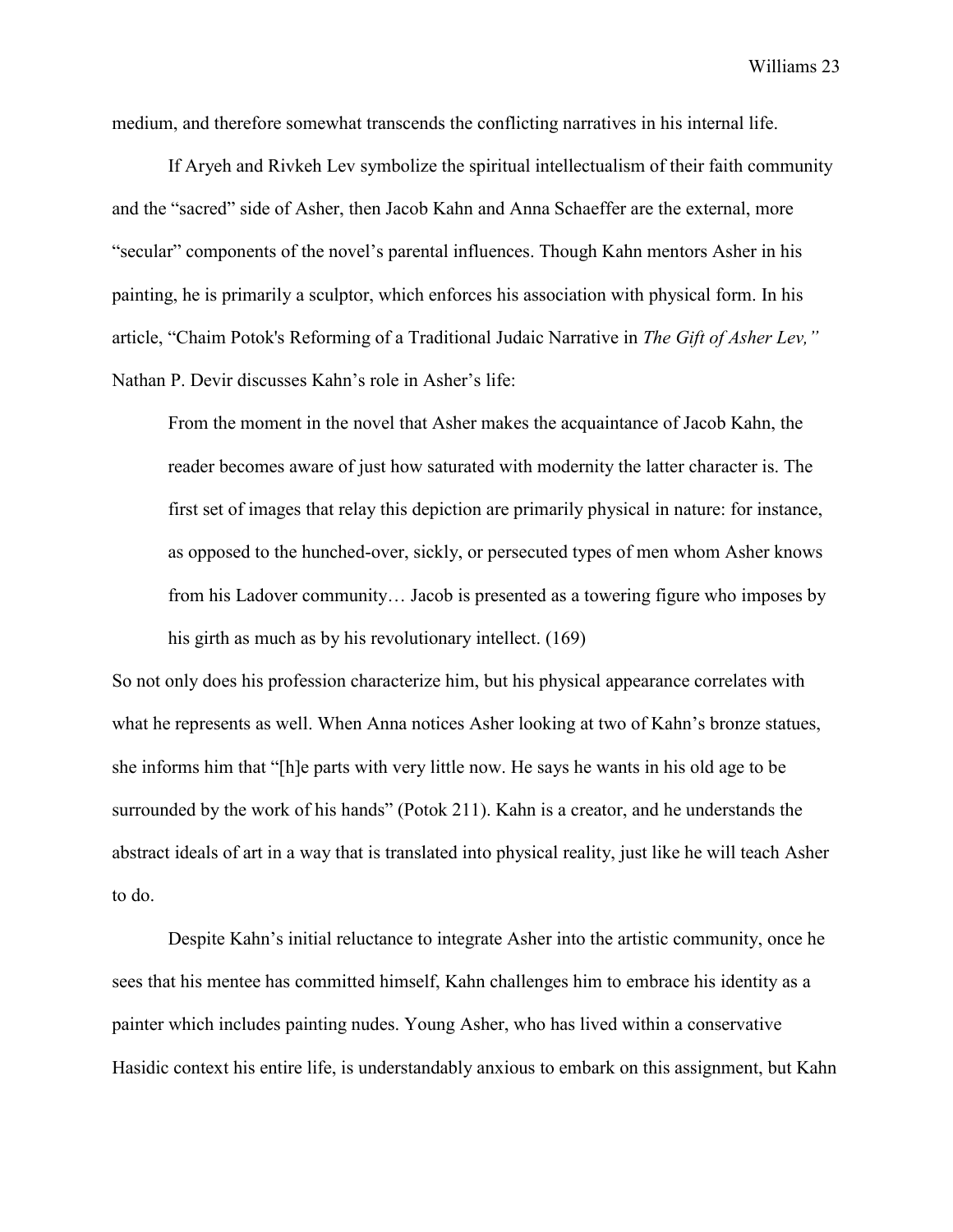medium, and therefore somewhat transcends the conflicting narratives in his internal life.

If Aryeh and Rivkeh Lev symbolize the spiritual intellectualism of their faith community and the "sacred" side of Asher, then Jacob Kahn and Anna Schaeffer are the external, more "secular" components of the novel's parental influences. Though Kahn mentors Asher in his painting, he is primarily a sculptor, which enforces his association with physical form. In his article, "Chaim Potok's Reforming of a Traditional Judaic Narrative in *The Gift of Asher Lev,"*  Nathan P. Devir discusses Kahn's role in Asher's life:

From the moment in the novel that Asher makes the acquaintance of Jacob Kahn, the reader becomes aware of just how saturated with modernity the latter character is. The first set of images that relay this depiction are primarily physical in nature: for instance, as opposed to the hunched-over, sickly, or persecuted types of men whom Asher knows from his Ladover community… Jacob is presented as a towering figure who imposes by his girth as much as by his revolutionary intellect. (169)

So not only does his profession characterize him, but his physical appearance correlates with what he represents as well. When Anna notices Asher looking at two of Kahn's bronze statues, she informs him that "[h]e parts with very little now. He says he wants in his old age to be surrounded by the work of his hands" (Potok 211). Kahn is a creator, and he understands the abstract ideals of art in a way that is translated into physical reality, just like he will teach Asher to do.

Despite Kahn's initial reluctance to integrate Asher into the artistic community, once he sees that his mentee has committed himself, Kahn challenges him to embrace his identity as a painter which includes painting nudes. Young Asher, who has lived within a conservative Hasidic context his entire life, is understandably anxious to embark on this assignment, but Kahn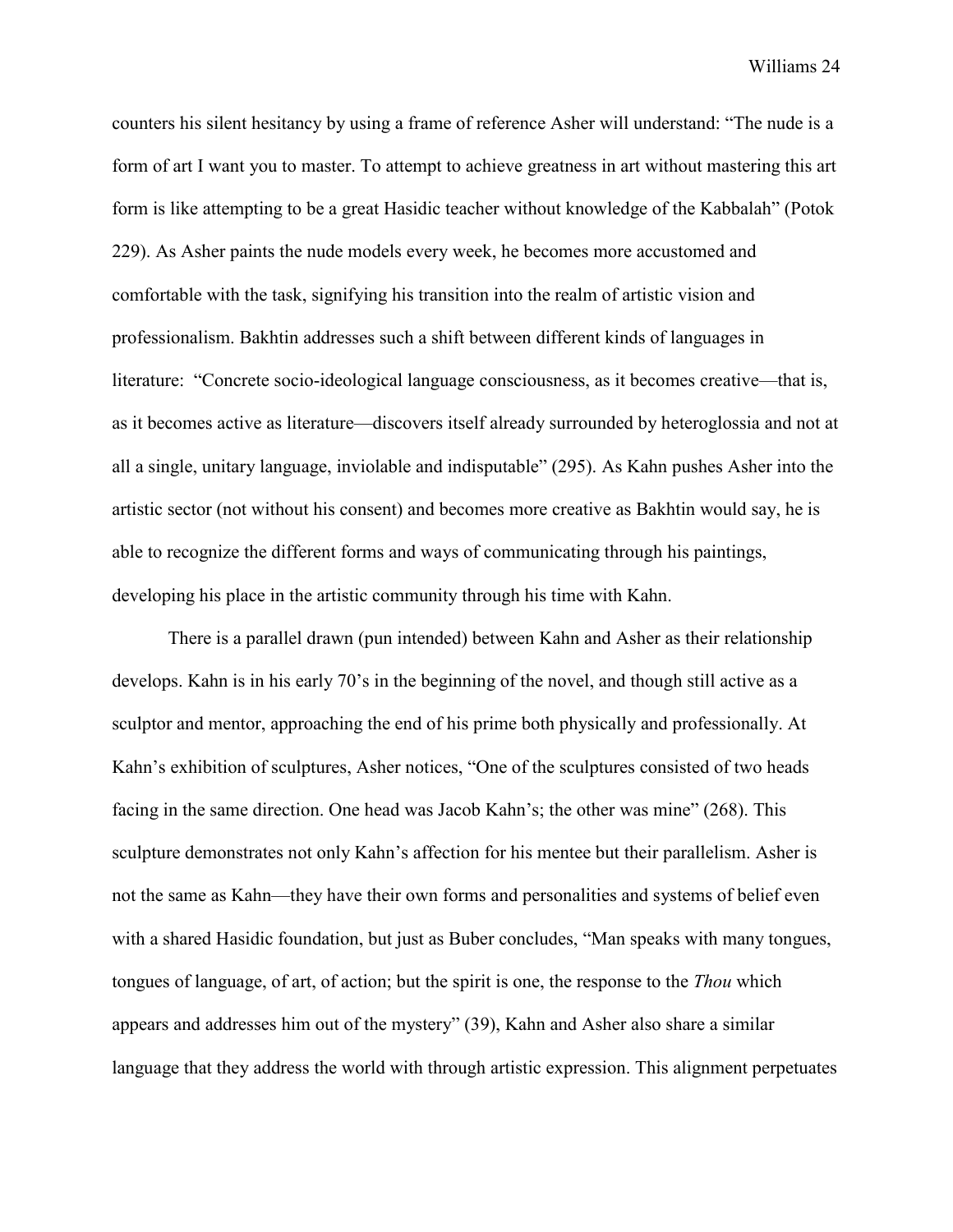counters his silent hesitancy by using a frame of reference Asher will understand: "The nude is a form of art I want you to master. To attempt to achieve greatness in art without mastering this art form is like attempting to be a great Hasidic teacher without knowledge of the Kabbalah" (Potok 229). As Asher paints the nude models every week, he becomes more accustomed and comfortable with the task, signifying his transition into the realm of artistic vision and professionalism. Bakhtin addresses such a shift between different kinds of languages in literature: "Concrete socio-ideological language consciousness, as it becomes creative—that is, as it becomes active as literature—discovers itself already surrounded by heteroglossia and not at all a single, unitary language, inviolable and indisputable" (295). As Kahn pushes Asher into the artistic sector (not without his consent) and becomes more creative as Bakhtin would say, he is able to recognize the different forms and ways of communicating through his paintings, developing his place in the artistic community through his time with Kahn.

There is a parallel drawn (pun intended) between Kahn and Asher as their relationship develops. Kahn is in his early 70's in the beginning of the novel, and though still active as a sculptor and mentor, approaching the end of his prime both physically and professionally. At Kahn's exhibition of sculptures, Asher notices, "One of the sculptures consisted of two heads facing in the same direction. One head was Jacob Kahn's; the other was mine" (268). This sculpture demonstrates not only Kahn's affection for his mentee but their parallelism. Asher is not the same as Kahn—they have their own forms and personalities and systems of belief even with a shared Hasidic foundation, but just as Buber concludes, "Man speaks with many tongues, tongues of language, of art, of action; but the spirit is one, the response to the *Thou* which appears and addresses him out of the mystery" (39), Kahn and Asher also share a similar language that they address the world with through artistic expression. This alignment perpetuates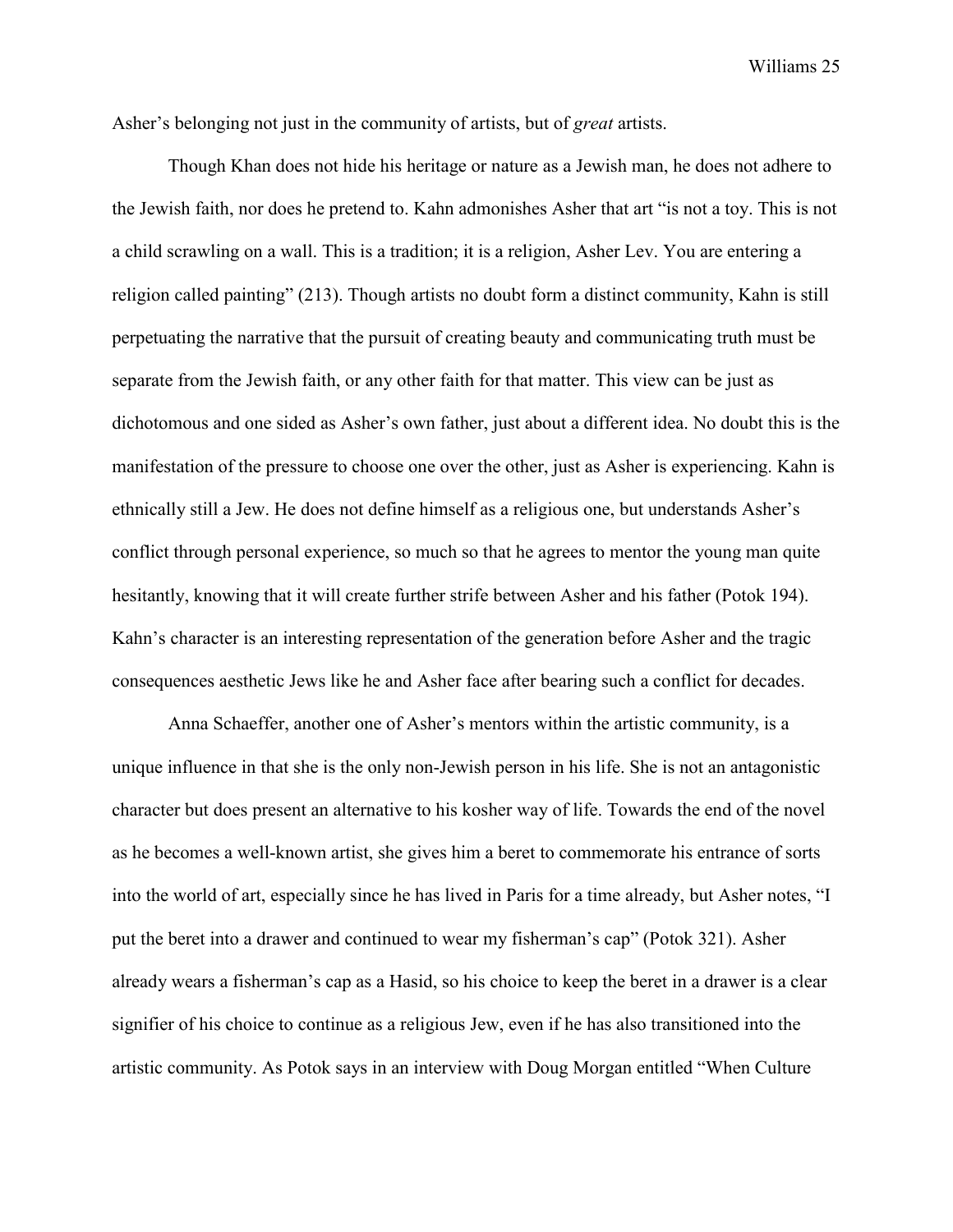Asher's belonging not just in the community of artists, but of *great* artists.

Though Khan does not hide his heritage or nature as a Jewish man, he does not adhere to the Jewish faith, nor does he pretend to. Kahn admonishes Asher that art "is not a toy. This is not a child scrawling on a wall. This is a tradition; it is a religion, Asher Lev. You are entering a religion called painting" (213). Though artists no doubt form a distinct community, Kahn is still perpetuating the narrative that the pursuit of creating beauty and communicating truth must be separate from the Jewish faith, or any other faith for that matter. This view can be just as dichotomous and one sided as Asher's own father, just about a different idea. No doubt this is the manifestation of the pressure to choose one over the other, just as Asher is experiencing. Kahn is ethnically still a Jew. He does not define himself as a religious one, but understands Asher's conflict through personal experience, so much so that he agrees to mentor the young man quite hesitantly, knowing that it will create further strife between Asher and his father (Potok 194). Kahn's character is an interesting representation of the generation before Asher and the tragic consequences aesthetic Jews like he and Asher face after bearing such a conflict for decades.

Anna Schaeffer, another one of Asher's mentors within the artistic community, is a unique influence in that she is the only non-Jewish person in his life. She is not an antagonistic character but does present an alternative to his kosher way of life. Towards the end of the novel as he becomes a well-known artist, she gives him a beret to commemorate his entrance of sorts into the world of art, especially since he has lived in Paris for a time already, but Asher notes, "I put the beret into a drawer and continued to wear my fisherman's cap" (Potok 321). Asher already wears a fisherman's cap as a Hasid, so his choice to keep the beret in a drawer is a clear signifier of his choice to continue as a religious Jew, even if he has also transitioned into the artistic community. As Potok says in an interview with Doug Morgan entitled "When Culture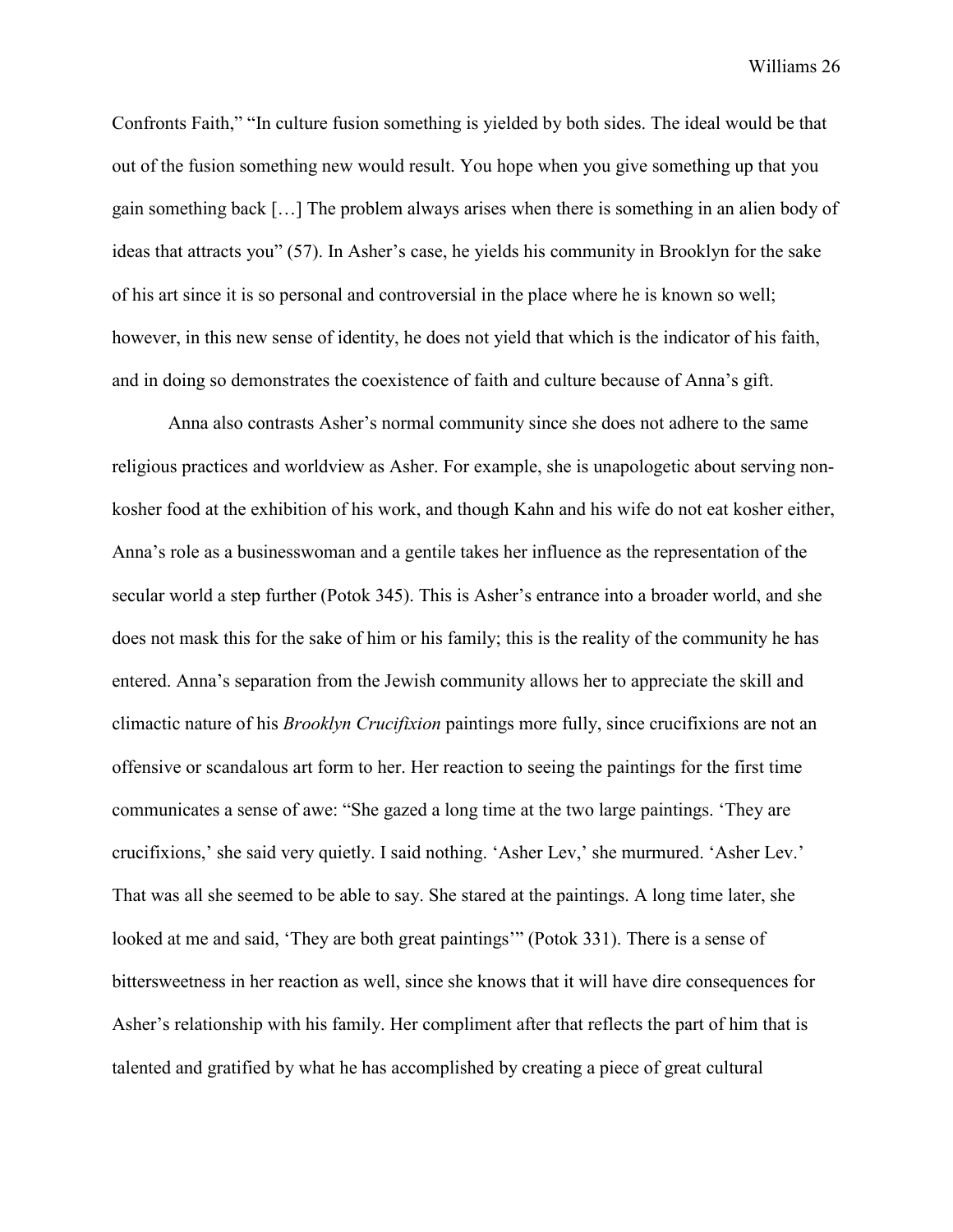Confronts Faith," "In culture fusion something is yielded by both sides. The ideal would be that out of the fusion something new would result. You hope when you give something up that you gain something back […] The problem always arises when there is something in an alien body of ideas that attracts you" (57). In Asher's case, he yields his community in Brooklyn for the sake of his art since it is so personal and controversial in the place where he is known so well; however, in this new sense of identity, he does not yield that which is the indicator of his faith, and in doing so demonstrates the coexistence of faith and culture because of Anna's gift.

Anna also contrasts Asher's normal community since she does not adhere to the same religious practices and worldview as Asher. For example, she is unapologetic about serving nonkosher food at the exhibition of his work, and though Kahn and his wife do not eat kosher either, Anna's role as a businesswoman and a gentile takes her influence as the representation of the secular world a step further (Potok 345). This is Asher's entrance into a broader world, and she does not mask this for the sake of him or his family; this is the reality of the community he has entered. Anna's separation from the Jewish community allows her to appreciate the skill and climactic nature of his *Brooklyn Crucifixion* paintings more fully, since crucifixions are not an offensive or scandalous art form to her. Her reaction to seeing the paintings for the first time communicates a sense of awe: "She gazed a long time at the two large paintings. 'They are crucifixions,' she said very quietly. I said nothing. 'Asher Lev,' she murmured. 'Asher Lev.' That was all she seemed to be able to say. She stared at the paintings. A long time later, she looked at me and said, 'They are both great paintings'" (Potok 331). There is a sense of bittersweetness in her reaction as well, since she knows that it will have dire consequences for Asher's relationship with his family. Her compliment after that reflects the part of him that is talented and gratified by what he has accomplished by creating a piece of great cultural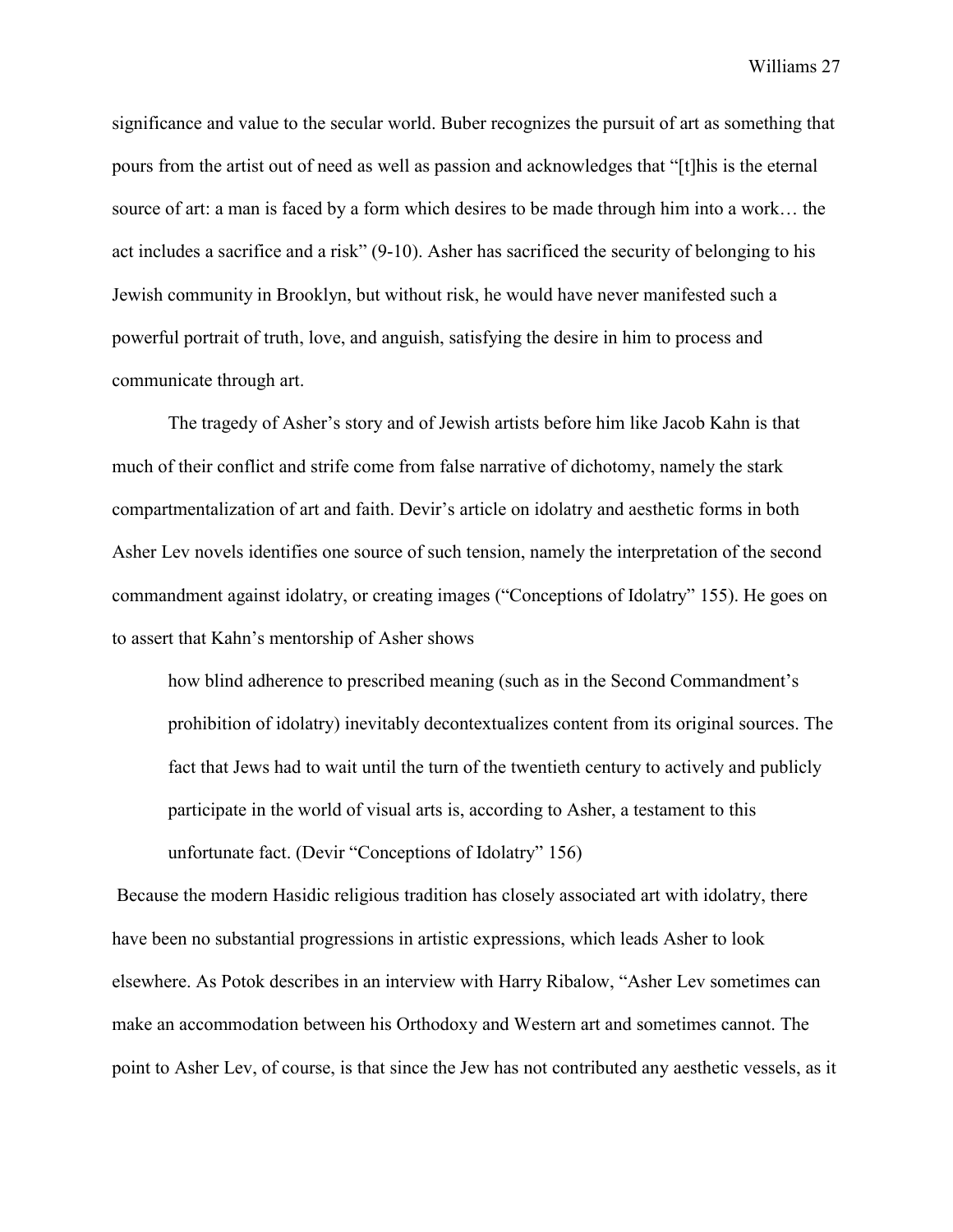significance and value to the secular world. Buber recognizes the pursuit of art as something that pours from the artist out of need as well as passion and acknowledges that "[t]his is the eternal source of art: a man is faced by a form which desires to be made through him into a work… the act includes a sacrifice and a risk" (9-10). Asher has sacrificed the security of belonging to his Jewish community in Brooklyn, but without risk, he would have never manifested such a powerful portrait of truth, love, and anguish, satisfying the desire in him to process and communicate through art.

The tragedy of Asher's story and of Jewish artists before him like Jacob Kahn is that much of their conflict and strife come from false narrative of dichotomy, namely the stark compartmentalization of art and faith. Devir's article on idolatry and aesthetic forms in both Asher Lev novels identifies one source of such tension, namely the interpretation of the second commandment against idolatry, or creating images ("Conceptions of Idolatry" 155). He goes on to assert that Kahn's mentorship of Asher shows

how blind adherence to prescribed meaning (such as in the Second Commandment's prohibition of idolatry) inevitably decontextualizes content from its original sources. The fact that Jews had to wait until the turn of the twentieth century to actively and publicly participate in the world of visual arts is, according to Asher, a testament to this unfortunate fact. (Devir "Conceptions of Idolatry" 156)

Because the modern Hasidic religious tradition has closely associated art with idolatry, there have been no substantial progressions in artistic expressions, which leads Asher to look elsewhere. As Potok describes in an interview with Harry Ribalow, "Asher Lev sometimes can make an accommodation between his Orthodoxy and Western art and sometimes cannot. The point to Asher Lev, of course, is that since the Jew has not contributed any aesthetic vessels, as it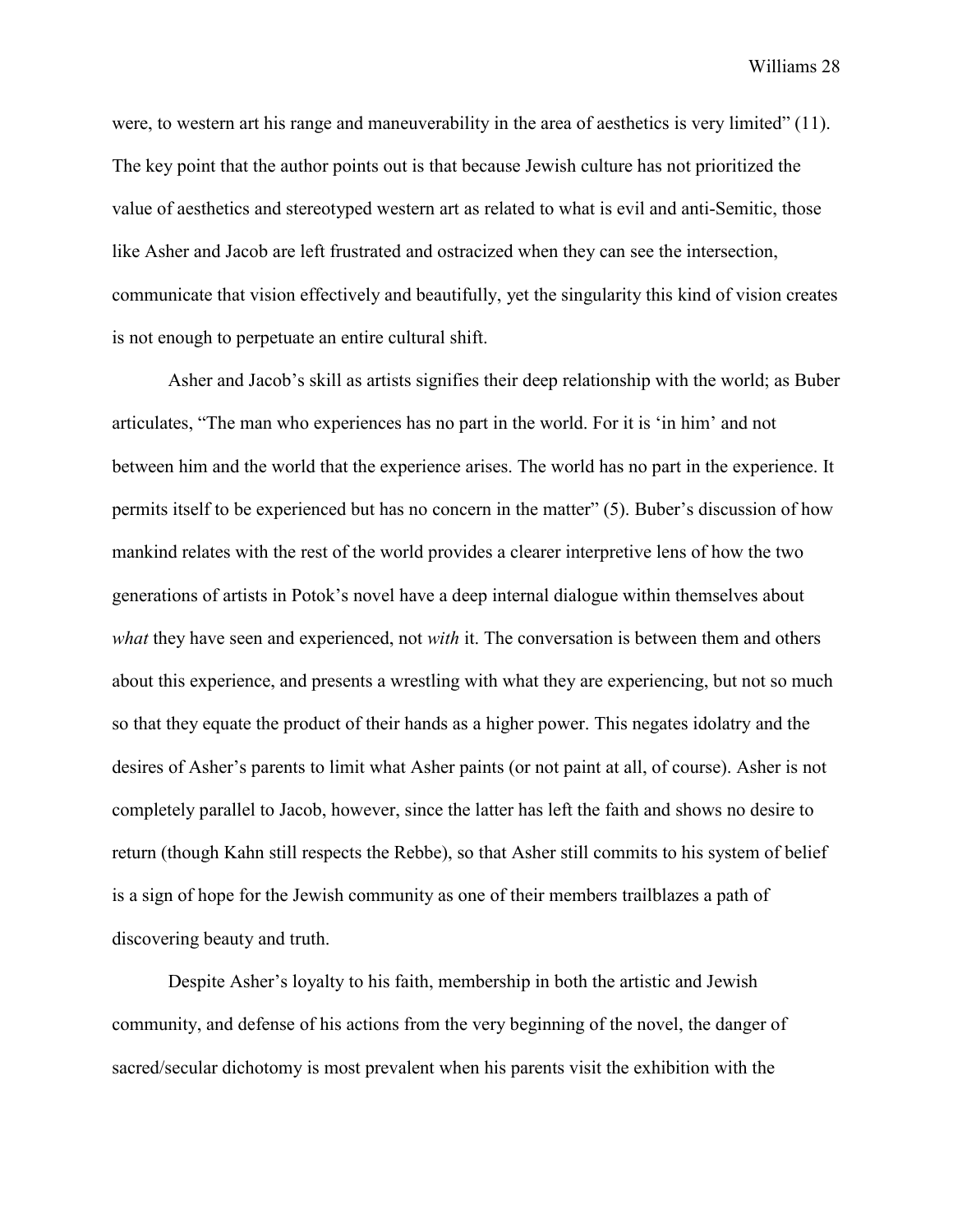were, to western art his range and maneuverability in the area of aesthetics is very limited" (11). The key point that the author points out is that because Jewish culture has not prioritized the value of aesthetics and stereotyped western art as related to what is evil and anti-Semitic, those like Asher and Jacob are left frustrated and ostracized when they can see the intersection, communicate that vision effectively and beautifully, yet the singularity this kind of vision creates is not enough to perpetuate an entire cultural shift.

Asher and Jacob's skill as artists signifies their deep relationship with the world; as Buber articulates, "The man who experiences has no part in the world. For it is 'in him' and not between him and the world that the experience arises. The world has no part in the experience. It permits itself to be experienced but has no concern in the matter" (5). Buber's discussion of how mankind relates with the rest of the world provides a clearer interpretive lens of how the two generations of artists in Potok's novel have a deep internal dialogue within themselves about *what* they have seen and experienced, not *with* it. The conversation is between them and others about this experience, and presents a wrestling with what they are experiencing, but not so much so that they equate the product of their hands as a higher power. This negates idolatry and the desires of Asher's parents to limit what Asher paints (or not paint at all, of course). Asher is not completely parallel to Jacob, however, since the latter has left the faith and shows no desire to return (though Kahn still respects the Rebbe), so that Asher still commits to his system of belief is a sign of hope for the Jewish community as one of their members trailblazes a path of discovering beauty and truth.

Despite Asher's loyalty to his faith, membership in both the artistic and Jewish community, and defense of his actions from the very beginning of the novel, the danger of sacred/secular dichotomy is most prevalent when his parents visit the exhibition with the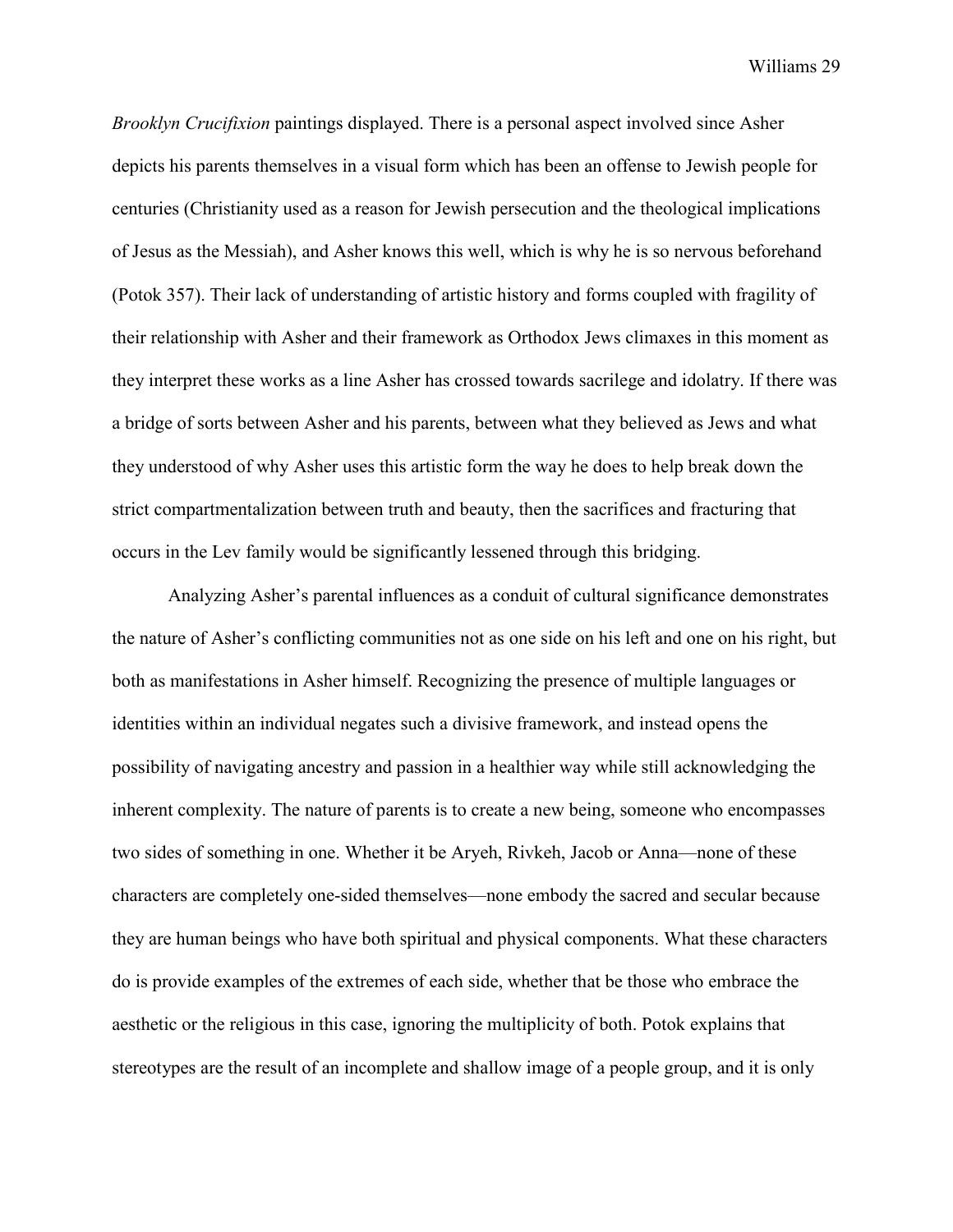*Brooklyn Crucifixion* paintings displayed. There is a personal aspect involved since Asher depicts his parents themselves in a visual form which has been an offense to Jewish people for centuries (Christianity used as a reason for Jewish persecution and the theological implications of Jesus as the Messiah), and Asher knows this well, which is why he is so nervous beforehand (Potok 357). Their lack of understanding of artistic history and forms coupled with fragility of their relationship with Asher and their framework as Orthodox Jews climaxes in this moment as they interpret these works as a line Asher has crossed towards sacrilege and idolatry. If there was a bridge of sorts between Asher and his parents, between what they believed as Jews and what they understood of why Asher uses this artistic form the way he does to help break down the strict compartmentalization between truth and beauty, then the sacrifices and fracturing that occurs in the Lev family would be significantly lessened through this bridging.

Analyzing Asher's parental influences as a conduit of cultural significance demonstrates the nature of Asher's conflicting communities not as one side on his left and one on his right, but both as manifestations in Asher himself. Recognizing the presence of multiple languages or identities within an individual negates such a divisive framework, and instead opens the possibility of navigating ancestry and passion in a healthier way while still acknowledging the inherent complexity. The nature of parents is to create a new being, someone who encompasses two sides of something in one. Whether it be Aryeh, Rivkeh, Jacob or Anna—none of these characters are completely one-sided themselves—none embody the sacred and secular because they are human beings who have both spiritual and physical components. What these characters do is provide examples of the extremes of each side, whether that be those who embrace the aesthetic or the religious in this case, ignoring the multiplicity of both. Potok explains that stereotypes are the result of an incomplete and shallow image of a people group, and it is only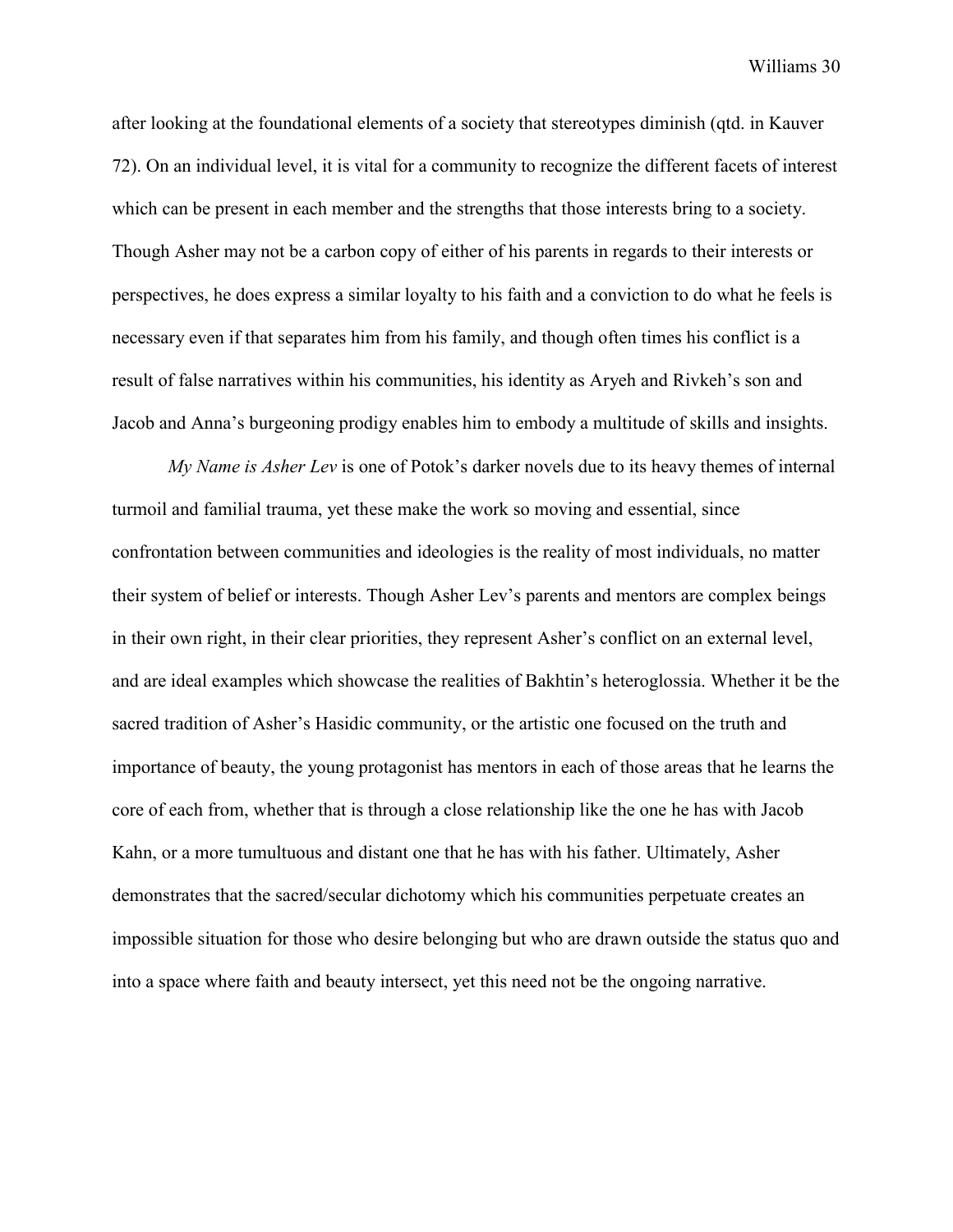after looking at the foundational elements of a society that stereotypes diminish (qtd. in Kauver 72). On an individual level, it is vital for a community to recognize the different facets of interest which can be present in each member and the strengths that those interests bring to a society. Though Asher may not be a carbon copy of either of his parents in regards to their interests or perspectives, he does express a similar loyalty to his faith and a conviction to do what he feels is necessary even if that separates him from his family, and though often times his conflict is a result of false narratives within his communities, his identity as Aryeh and Rivkeh's son and Jacob and Anna's burgeoning prodigy enables him to embody a multitude of skills and insights.

*My Name is Asher Lev* is one of Potok's darker novels due to its heavy themes of internal turmoil and familial trauma, yet these make the work so moving and essential, since confrontation between communities and ideologies is the reality of most individuals, no matter their system of belief or interests. Though Asher Lev's parents and mentors are complex beings in their own right, in their clear priorities, they represent Asher's conflict on an external level, and are ideal examples which showcase the realities of Bakhtin's heteroglossia. Whether it be the sacred tradition of Asher's Hasidic community, or the artistic one focused on the truth and importance of beauty, the young protagonist has mentors in each of those areas that he learns the core of each from, whether that is through a close relationship like the one he has with Jacob Kahn, or a more tumultuous and distant one that he has with his father. Ultimately, Asher demonstrates that the sacred/secular dichotomy which his communities perpetuate creates an impossible situation for those who desire belonging but who are drawn outside the status quo and into a space where faith and beauty intersect, yet this need not be the ongoing narrative.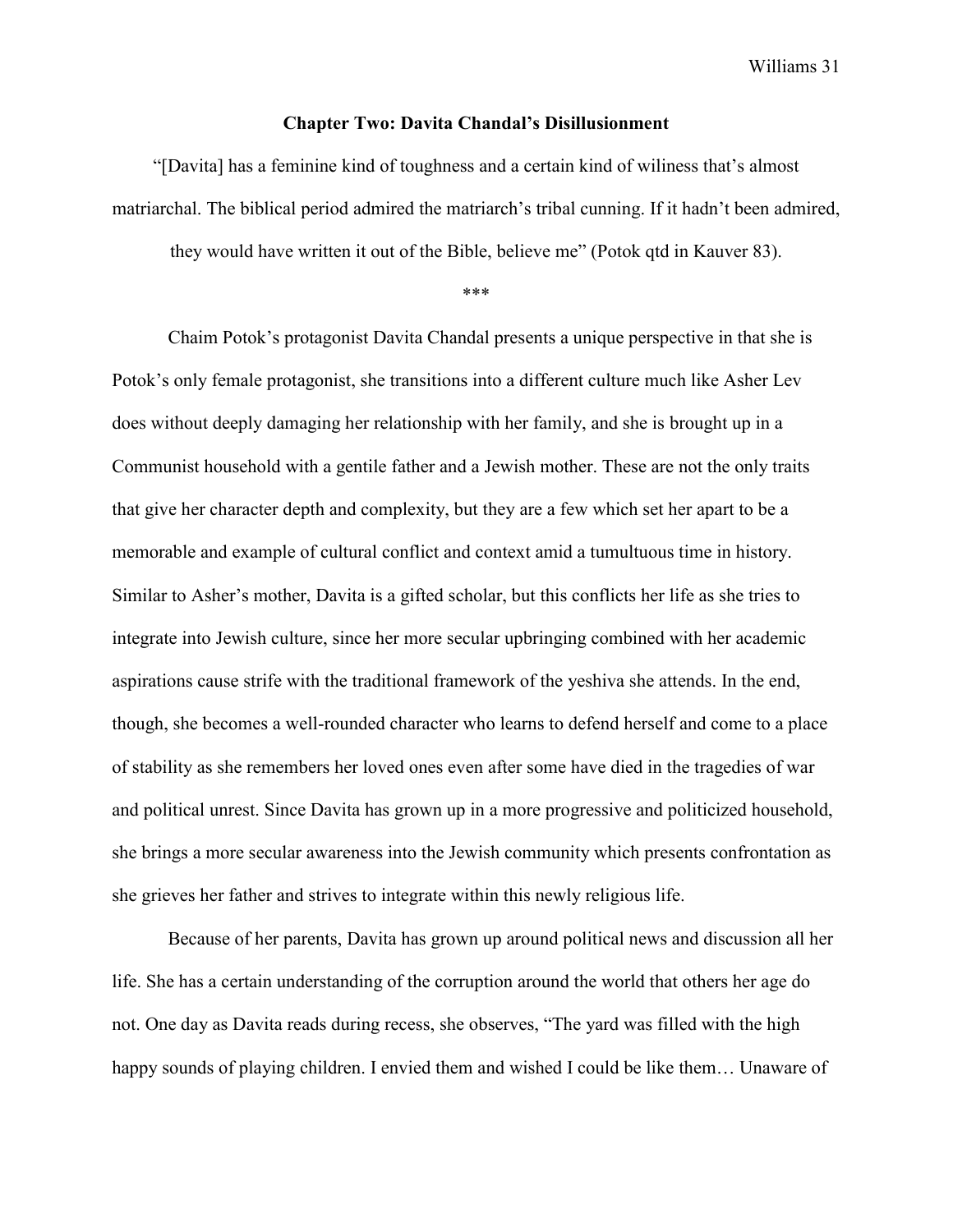#### **Chapter Two: Davita Chandal's Disillusionment**

"[Davita] has a feminine kind of toughness and a certain kind of wiliness that's almost matriarchal. The biblical period admired the matriarch's tribal cunning. If it hadn't been admired,

they would have written it out of the Bible, believe me" (Potok qtd in Kauver 83).

\*\*\*

Chaim Potok's protagonist Davita Chandal presents a unique perspective in that she is Potok's only female protagonist, she transitions into a different culture much like Asher Lev does without deeply damaging her relationship with her family, and she is brought up in a Communist household with a gentile father and a Jewish mother. These are not the only traits that give her character depth and complexity, but they are a few which set her apart to be a memorable and example of cultural conflict and context amid a tumultuous time in history. Similar to Asher's mother, Davita is a gifted scholar, but this conflicts her life as she tries to integrate into Jewish culture, since her more secular upbringing combined with her academic aspirations cause strife with the traditional framework of the yeshiva she attends. In the end, though, she becomes a well-rounded character who learns to defend herself and come to a place of stability as she remembers her loved ones even after some have died in the tragedies of war and political unrest. Since Davita has grown up in a more progressive and politicized household, she brings a more secular awareness into the Jewish community which presents confrontation as she grieves her father and strives to integrate within this newly religious life.

Because of her parents, Davita has grown up around political news and discussion all her life. She has a certain understanding of the corruption around the world that others her age do not. One day as Davita reads during recess, she observes, "The yard was filled with the high happy sounds of playing children. I envied them and wished I could be like them... Unaware of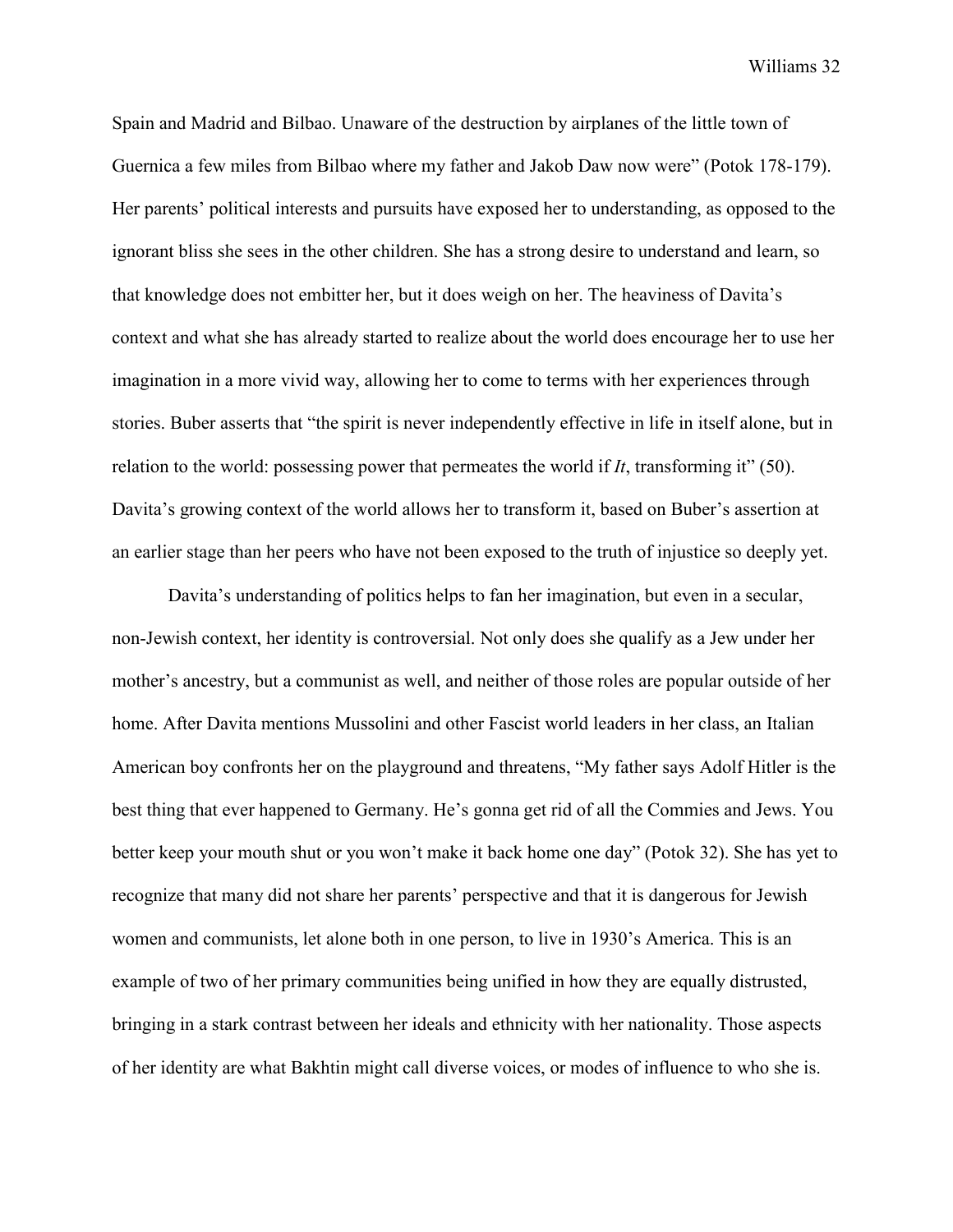Spain and Madrid and Bilbao. Unaware of the destruction by airplanes of the little town of Guernica a few miles from Bilbao where my father and Jakob Daw now were" (Potok 178-179). Her parents' political interests and pursuits have exposed her to understanding, as opposed to the ignorant bliss she sees in the other children. She has a strong desire to understand and learn, so that knowledge does not embitter her, but it does weigh on her. The heaviness of Davita's context and what she has already started to realize about the world does encourage her to use her imagination in a more vivid way, allowing her to come to terms with her experiences through stories. Buber asserts that "the spirit is never independently effective in life in itself alone, but in relation to the world: possessing power that permeates the world if *It*, transforming it" (50). Davita's growing context of the world allows her to transform it, based on Buber's assertion at an earlier stage than her peers who have not been exposed to the truth of injustice so deeply yet.

Davita's understanding of politics helps to fan her imagination, but even in a secular, non-Jewish context, her identity is controversial. Not only does she qualify as a Jew under her mother's ancestry, but a communist as well, and neither of those roles are popular outside of her home. After Davita mentions Mussolini and other Fascist world leaders in her class, an Italian American boy confronts her on the playground and threatens, "My father says Adolf Hitler is the best thing that ever happened to Germany. He's gonna get rid of all the Commies and Jews. You better keep your mouth shut or you won't make it back home one day" (Potok 32). She has yet to recognize that many did not share her parents' perspective and that it is dangerous for Jewish women and communists, let alone both in one person, to live in 1930's America. This is an example of two of her primary communities being unified in how they are equally distrusted, bringing in a stark contrast between her ideals and ethnicity with her nationality. Those aspects of her identity are what Bakhtin might call diverse voices, or modes of influence to who she is.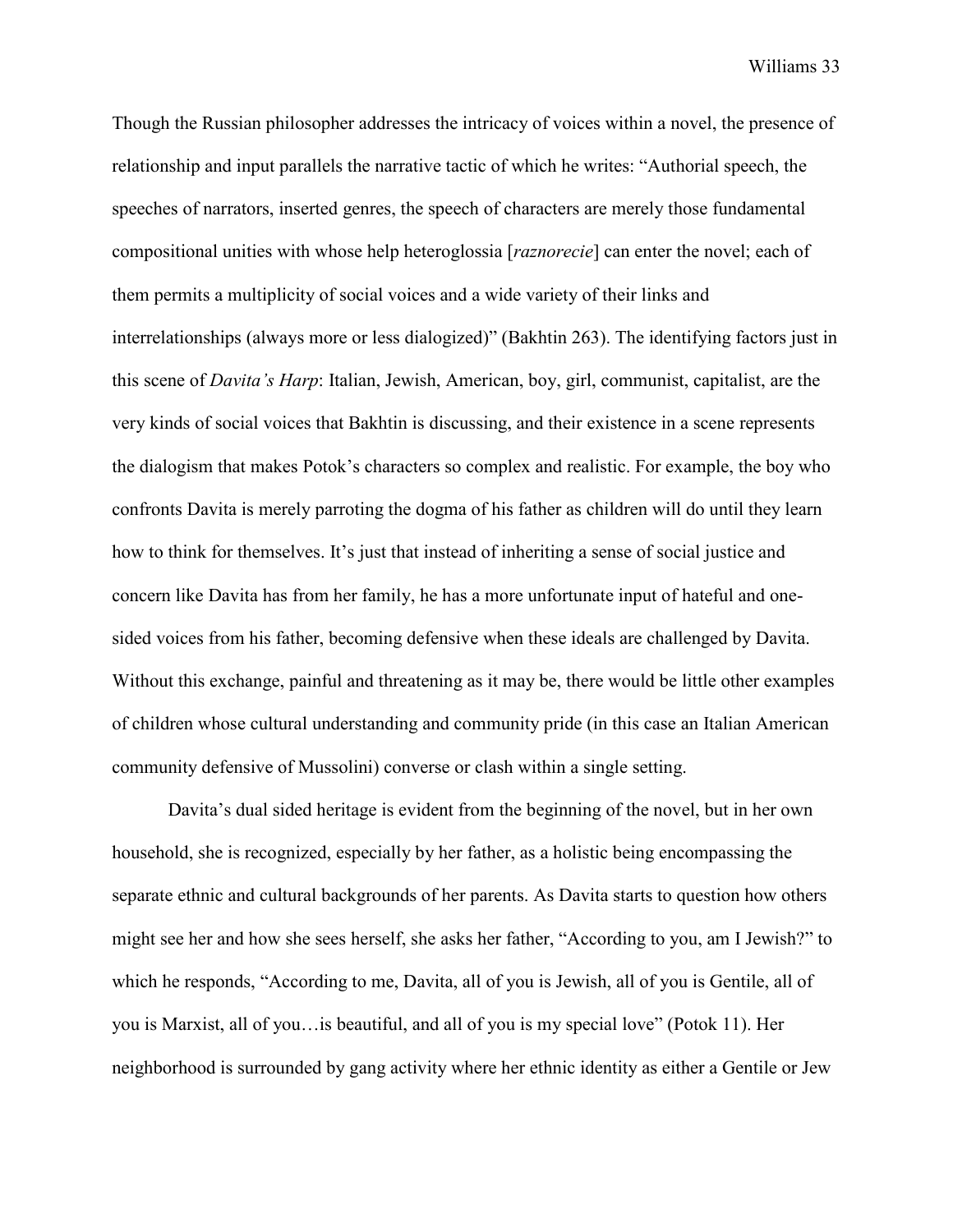Though the Russian philosopher addresses the intricacy of voices within a novel, the presence of relationship and input parallels the narrative tactic of which he writes: "Authorial speech, the speeches of narrators, inserted genres, the speech of characters are merely those fundamental compositional unities with whose help heteroglossia [*raznorecie*] can enter the novel; each of them permits a multiplicity of social voices and a wide variety of their links and interrelationships (always more or less dialogized)" (Bakhtin 263). The identifying factors just in this scene of *Davita's Harp*: Italian, Jewish, American, boy, girl, communist, capitalist, are the very kinds of social voices that Bakhtin is discussing, and their existence in a scene represents the dialogism that makes Potok's characters so complex and realistic. For example, the boy who confronts Davita is merely parroting the dogma of his father as children will do until they learn how to think for themselves. It's just that instead of inheriting a sense of social justice and concern like Davita has from her family, he has a more unfortunate input of hateful and onesided voices from his father, becoming defensive when these ideals are challenged by Davita. Without this exchange, painful and threatening as it may be, there would be little other examples of children whose cultural understanding and community pride (in this case an Italian American community defensive of Mussolini) converse or clash within a single setting.

Davita's dual sided heritage is evident from the beginning of the novel, but in her own household, she is recognized, especially by her father, as a holistic being encompassing the separate ethnic and cultural backgrounds of her parents. As Davita starts to question how others might see her and how she sees herself, she asks her father, "According to you, am I Jewish?" to which he responds, "According to me, Davita, all of you is Jewish, all of you is Gentile, all of you is Marxist, all of you…is beautiful, and all of you is my special love" (Potok 11). Her neighborhood is surrounded by gang activity where her ethnic identity as either a Gentile or Jew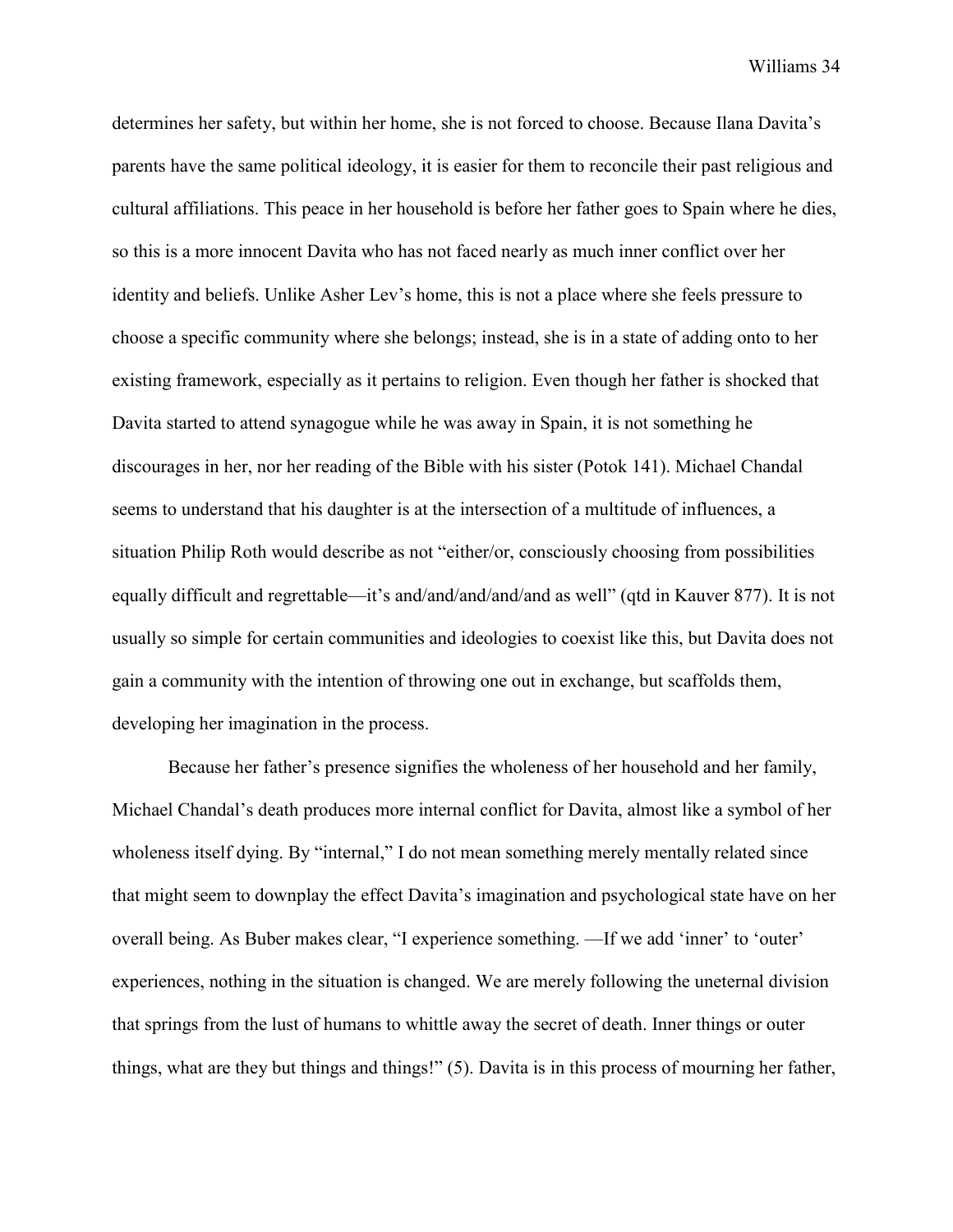determines her safety, but within her home, she is not forced to choose. Because Ilana Davita's parents have the same political ideology, it is easier for them to reconcile their past religious and cultural affiliations. This peace in her household is before her father goes to Spain where he dies, so this is a more innocent Davita who has not faced nearly as much inner conflict over her identity and beliefs. Unlike Asher Lev's home, this is not a place where she feels pressure to choose a specific community where she belongs; instead, she is in a state of adding onto to her existing framework, especially as it pertains to religion. Even though her father is shocked that Davita started to attend synagogue while he was away in Spain, it is not something he discourages in her, nor her reading of the Bible with his sister (Potok 141). Michael Chandal seems to understand that his daughter is at the intersection of a multitude of influences, a situation Philip Roth would describe as not "either/or, consciously choosing from possibilities equally difficult and regrettable—it's and/and/and/and/and as well" (qtd in Kauver 877). It is not usually so simple for certain communities and ideologies to coexist like this, but Davita does not gain a community with the intention of throwing one out in exchange, but scaffolds them, developing her imagination in the process.

Because her father's presence signifies the wholeness of her household and her family, Michael Chandal's death produces more internal conflict for Davita, almost like a symbol of her wholeness itself dying. By "internal," I do not mean something merely mentally related since that might seem to downplay the effect Davita's imagination and psychological state have on her overall being. As Buber makes clear, "I experience something. —If we add 'inner' to 'outer' experiences, nothing in the situation is changed. We are merely following the uneternal division that springs from the lust of humans to whittle away the secret of death. Inner things or outer things, what are they but things and things!" (5). Davita is in this process of mourning her father,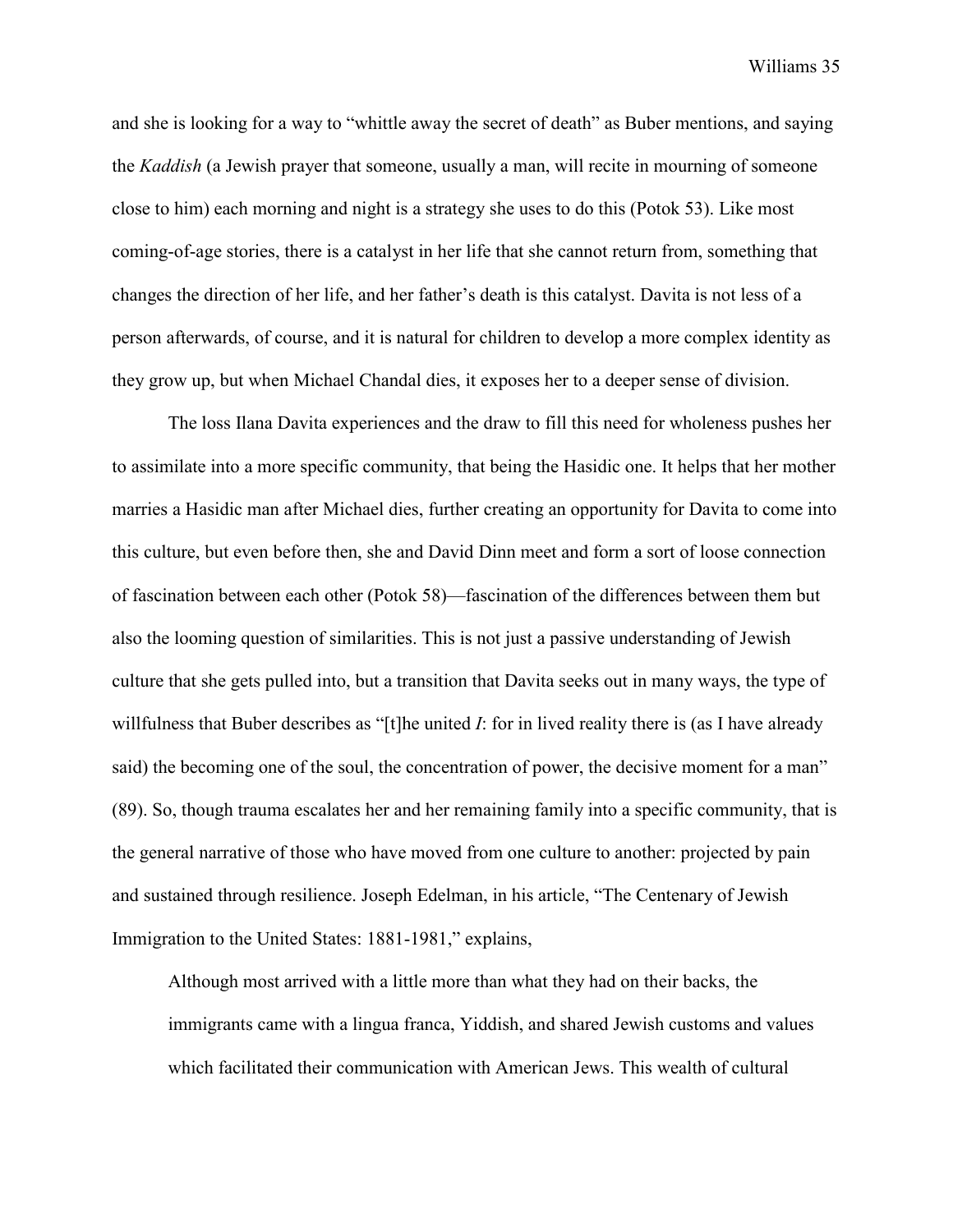and she is looking for a way to "whittle away the secret of death" as Buber mentions, and saying the *Kaddish* (a Jewish prayer that someone, usually a man, will recite in mourning of someone close to him) each morning and night is a strategy she uses to do this (Potok 53). Like most coming-of-age stories, there is a catalyst in her life that she cannot return from, something that changes the direction of her life, and her father's death is this catalyst. Davita is not less of a person afterwards, of course, and it is natural for children to develop a more complex identity as they grow up, but when Michael Chandal dies, it exposes her to a deeper sense of division.

The loss Ilana Davita experiences and the draw to fill this need for wholeness pushes her to assimilate into a more specific community, that being the Hasidic one. It helps that her mother marries a Hasidic man after Michael dies, further creating an opportunity for Davita to come into this culture, but even before then, she and David Dinn meet and form a sort of loose connection of fascination between each other (Potok 58)—fascination of the differences between them but also the looming question of similarities. This is not just a passive understanding of Jewish culture that she gets pulled into, but a transition that Davita seeks out in many ways, the type of willfulness that Buber describes as "[t]he united *I*: for in lived reality there is (as I have already said) the becoming one of the soul, the concentration of power, the decisive moment for a man" (89). So, though trauma escalates her and her remaining family into a specific community, that is the general narrative of those who have moved from one culture to another: projected by pain and sustained through resilience. Joseph Edelman, in his article, "The Centenary of Jewish Immigration to the United States: 1881-1981," explains,

Although most arrived with a little more than what they had on their backs, the immigrants came with a lingua franca, Yiddish, and shared Jewish customs and values which facilitated their communication with American Jews. This wealth of cultural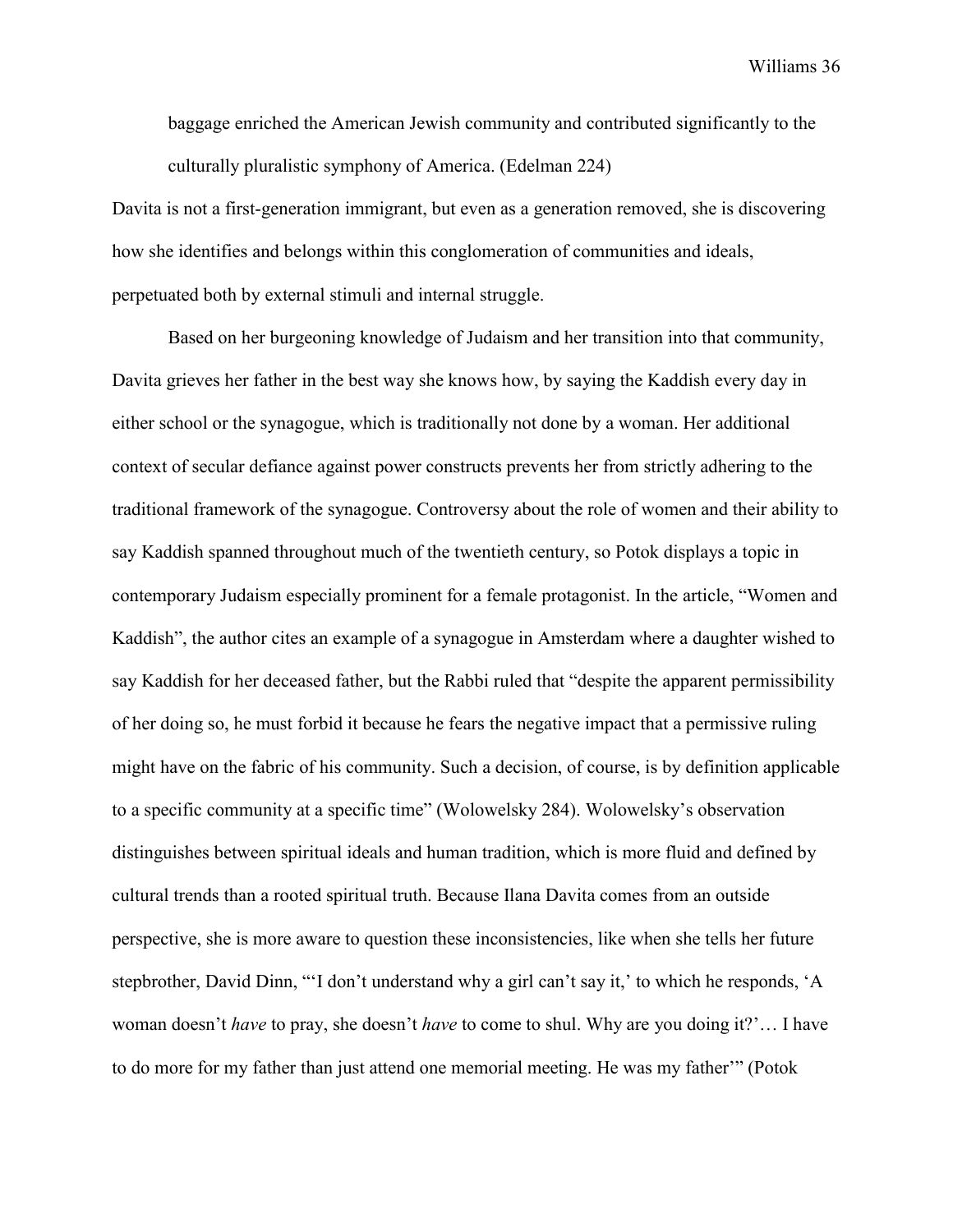baggage enriched the American Jewish community and contributed significantly to the culturally pluralistic symphony of America. (Edelman 224)

Davita is not a first-generation immigrant, but even as a generation removed, she is discovering how she identifies and belongs within this conglomeration of communities and ideals, perpetuated both by external stimuli and internal struggle.

Based on her burgeoning knowledge of Judaism and her transition into that community, Davita grieves her father in the best way she knows how, by saying the Kaddish every day in either school or the synagogue, which is traditionally not done by a woman. Her additional context of secular defiance against power constructs prevents her from strictly adhering to the traditional framework of the synagogue. Controversy about the role of women and their ability to say Kaddish spanned throughout much of the twentieth century, so Potok displays a topic in contemporary Judaism especially prominent for a female protagonist. In the article, "Women and Kaddish", the author cites an example of a synagogue in Amsterdam where a daughter wished to say Kaddish for her deceased father, but the Rabbi ruled that "despite the apparent permissibility of her doing so, he must forbid it because he fears the negative impact that a permissive ruling might have on the fabric of his community. Such a decision, of course, is by definition applicable to a specific community at a specific time" (Wolowelsky 284). Wolowelsky's observation distinguishes between spiritual ideals and human tradition, which is more fluid and defined by cultural trends than a rooted spiritual truth. Because Ilana Davita comes from an outside perspective, she is more aware to question these inconsistencies, like when she tells her future stepbrother, David Dinn, "'I don't understand why a girl can't say it,' to which he responds, 'A woman doesn't *have* to pray, she doesn't *have* to come to shul. Why are you doing it?'… I have to do more for my father than just attend one memorial meeting. He was my father'" (Potok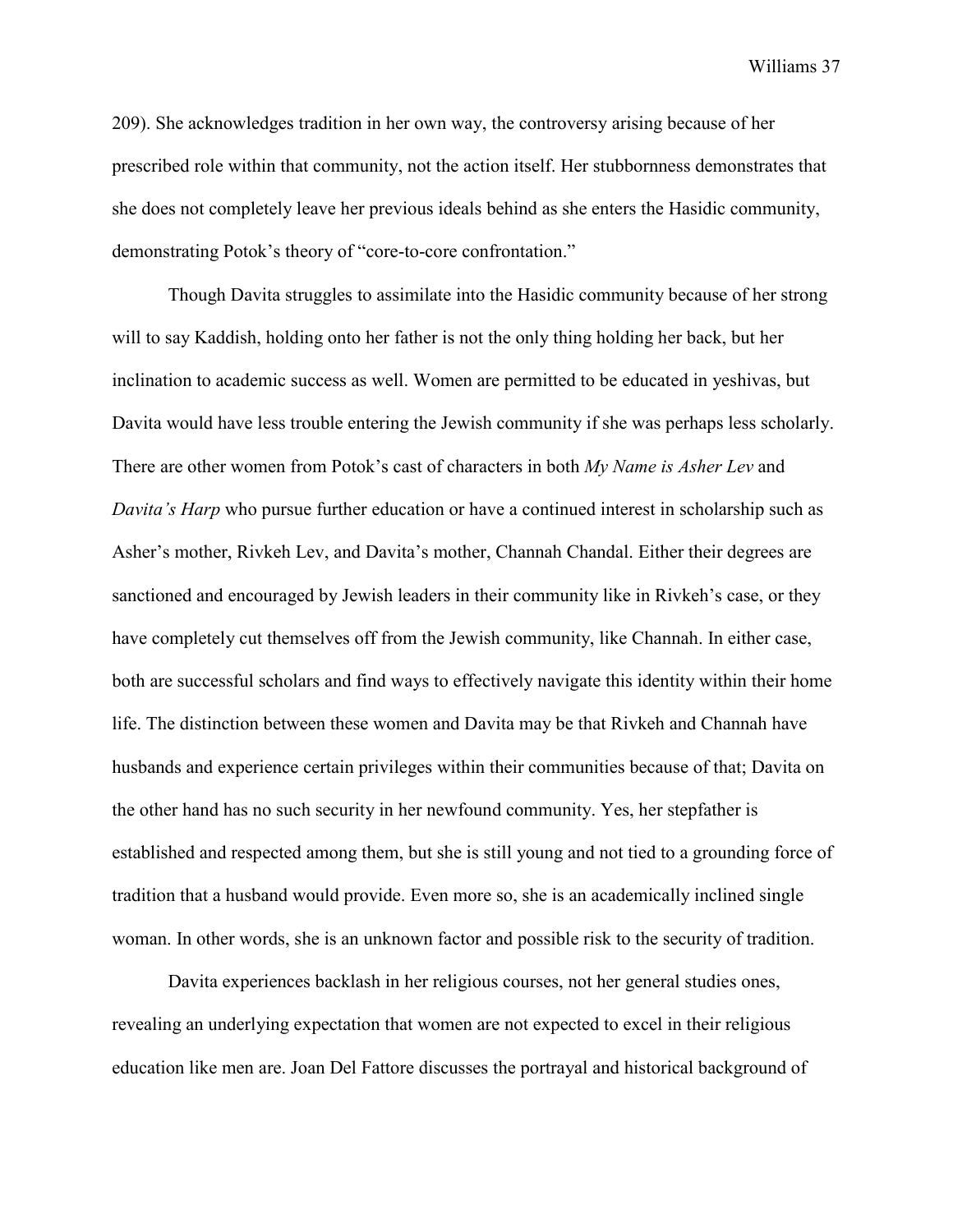209). She acknowledges tradition in her own way, the controversy arising because of her prescribed role within that community, not the action itself. Her stubbornness demonstrates that she does not completely leave her previous ideals behind as she enters the Hasidic community, demonstrating Potok's theory of "core-to-core confrontation."

Though Davita struggles to assimilate into the Hasidic community because of her strong will to say Kaddish, holding onto her father is not the only thing holding her back, but her inclination to academic success as well. Women are permitted to be educated in yeshivas, but Davita would have less trouble entering the Jewish community if she was perhaps less scholarly. There are other women from Potok's cast of characters in both *My Name is Asher Lev* and *Davita's Harp* who pursue further education or have a continued interest in scholarship such as Asher's mother, Rivkeh Lev, and Davita's mother, Channah Chandal. Either their degrees are sanctioned and encouraged by Jewish leaders in their community like in Rivkeh's case, or they have completely cut themselves off from the Jewish community, like Channah. In either case, both are successful scholars and find ways to effectively navigate this identity within their home life. The distinction between these women and Davita may be that Rivkeh and Channah have husbands and experience certain privileges within their communities because of that; Davita on the other hand has no such security in her newfound community. Yes, her stepfather is established and respected among them, but she is still young and not tied to a grounding force of tradition that a husband would provide. Even more so, she is an academically inclined single woman. In other words, she is an unknown factor and possible risk to the security of tradition.

Davita experiences backlash in her religious courses, not her general studies ones, revealing an underlying expectation that women are not expected to excel in their religious education like men are. Joan Del Fattore discusses the portrayal and historical background of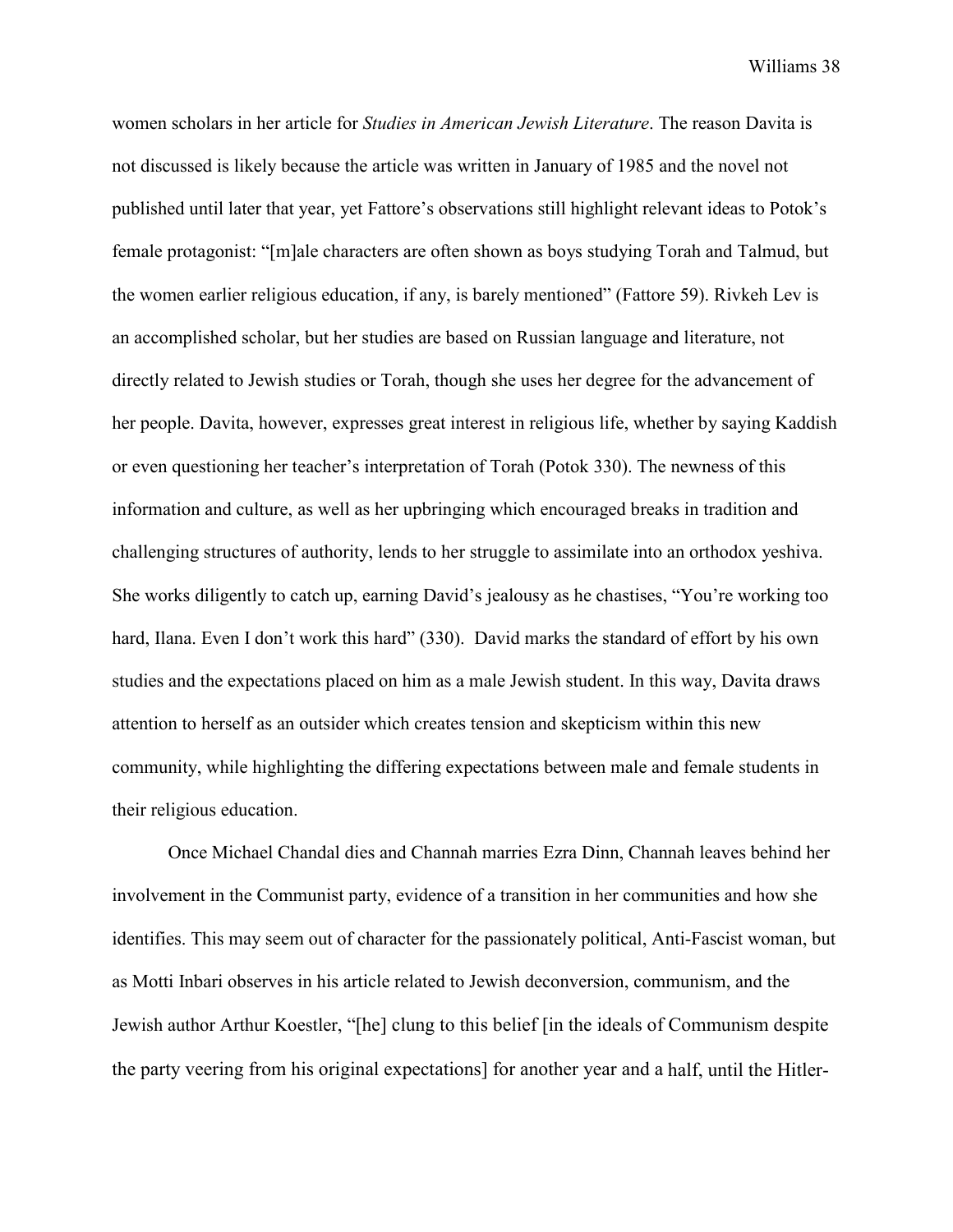women scholars in her article for *Studies in American Jewish Literature*. The reason Davita is not discussed is likely because the article was written in January of 1985 and the novel not published until later that year, yet Fattore's observations still highlight relevant ideas to Potok's female protagonist: "[m]ale characters are often shown as boys studying Torah and Talmud, but the women earlier religious education, if any, is barely mentioned" (Fattore 59). Rivkeh Lev is an accomplished scholar, but her studies are based on Russian language and literature, not directly related to Jewish studies or Torah, though she uses her degree for the advancement of her people. Davita, however, expresses great interest in religious life, whether by saying Kaddish or even questioning her teacher's interpretation of Torah (Potok 330). The newness of this information and culture, as well as her upbringing which encouraged breaks in tradition and challenging structures of authority, lends to her struggle to assimilate into an orthodox yeshiva. She works diligently to catch up, earning David's jealousy as he chastises, "You're working too hard, Ilana. Even I don't work this hard" (330). David marks the standard of effort by his own studies and the expectations placed on him as a male Jewish student. In this way, Davita draws attention to herself as an outsider which creates tension and skepticism within this new community, while highlighting the differing expectations between male and female students in their religious education.

Once Michael Chandal dies and Channah marries Ezra Dinn, Channah leaves behind her involvement in the Communist party, evidence of a transition in her communities and how she identifies. This may seem out of character for the passionately political, Anti-Fascist woman, but as Motti Inbari observes in his article related to Jewish deconversion, communism, and the Jewish author Arthur Koestler, "[he] clung to this belief [in the ideals of Communism despite the party veering from his original expectations] for another year and a half, until the Hitler-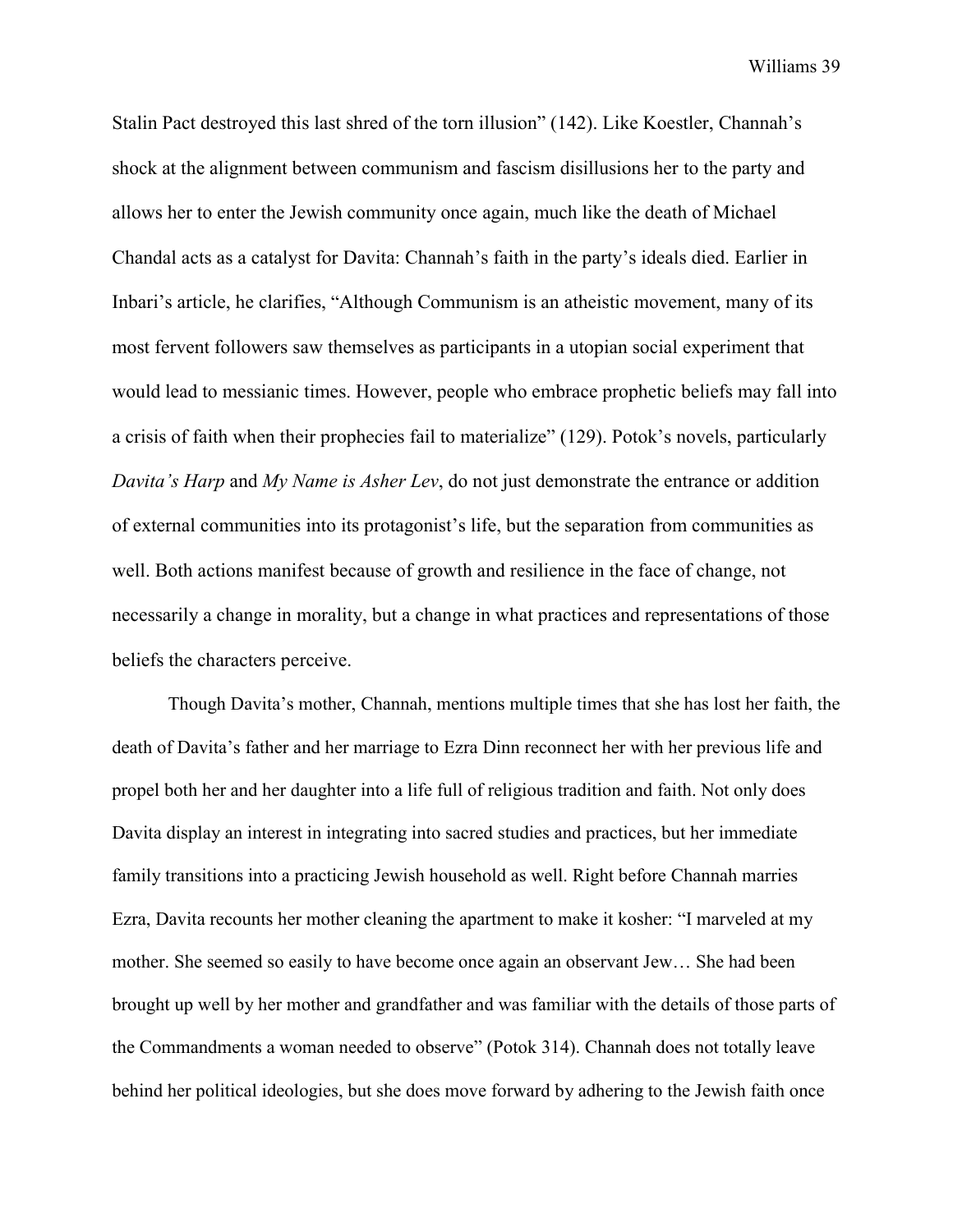Stalin Pact destroyed this last shred of the torn illusion" (142). Like Koestler, Channah's shock at the alignment between communism and fascism disillusions her to the party and allows her to enter the Jewish community once again, much like the death of Michael Chandal acts as a catalyst for Davita: Channah's faith in the party's ideals died. Earlier in Inbari's article, he clarifies, "Although Communism is an atheistic movement, many of its most fervent followers saw themselves as participants in a utopian social experiment that would lead to messianic times. However, people who embrace prophetic beliefs may fall into a crisis of faith when their prophecies fail to materialize" (129). Potok's novels, particularly *Davita's Harp* and *My Name is Asher Lev*, do not just demonstrate the entrance or addition of external communities into its protagonist's life, but the separation from communities as well. Both actions manifest because of growth and resilience in the face of change, not necessarily a change in morality, but a change in what practices and representations of those beliefs the characters perceive.

Though Davita's mother, Channah, mentions multiple times that she has lost her faith, the death of Davita's father and her marriage to Ezra Dinn reconnect her with her previous life and propel both her and her daughter into a life full of religious tradition and faith. Not only does Davita display an interest in integrating into sacred studies and practices, but her immediate family transitions into a practicing Jewish household as well. Right before Channah marries Ezra, Davita recounts her mother cleaning the apartment to make it kosher: "I marveled at my mother. She seemed so easily to have become once again an observant Jew… She had been brought up well by her mother and grandfather and was familiar with the details of those parts of the Commandments a woman needed to observe" (Potok 314). Channah does not totally leave behind her political ideologies, but she does move forward by adhering to the Jewish faith once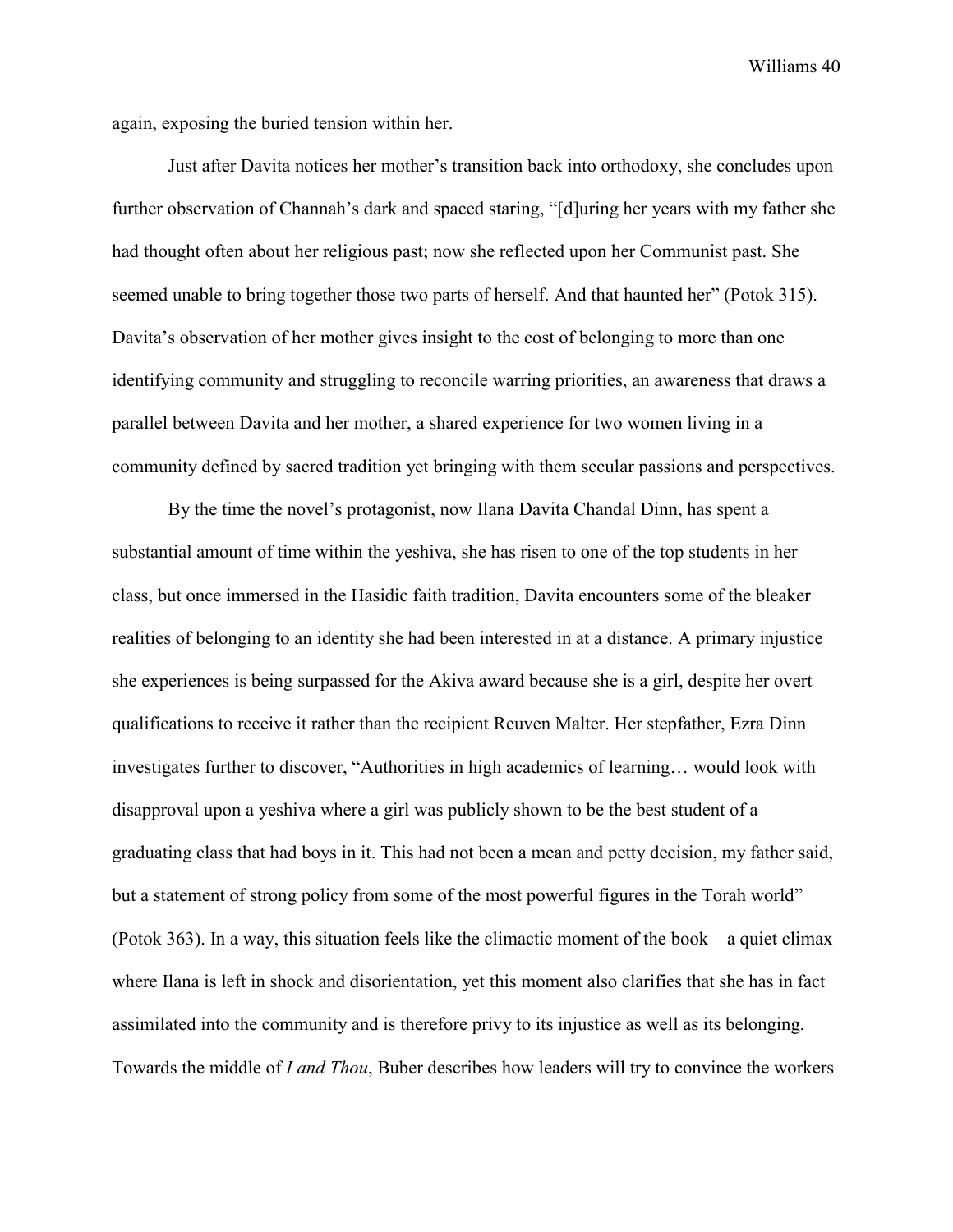again, exposing the buried tension within her.

Just after Davita notices her mother's transition back into orthodoxy, she concludes upon further observation of Channah's dark and spaced staring, "[d]uring her years with my father she had thought often about her religious past; now she reflected upon her Communist past. She seemed unable to bring together those two parts of herself. And that haunted her" (Potok 315). Davita's observation of her mother gives insight to the cost of belonging to more than one identifying community and struggling to reconcile warring priorities, an awareness that draws a parallel between Davita and her mother, a shared experience for two women living in a community defined by sacred tradition yet bringing with them secular passions and perspectives.

By the time the novel's protagonist, now Ilana Davita Chandal Dinn, has spent a substantial amount of time within the yeshiva, she has risen to one of the top students in her class, but once immersed in the Hasidic faith tradition, Davita encounters some of the bleaker realities of belonging to an identity she had been interested in at a distance. A primary injustice she experiences is being surpassed for the Akiva award because she is a girl, despite her overt qualifications to receive it rather than the recipient Reuven Malter. Her stepfather, Ezra Dinn investigates further to discover, "Authorities in high academics of learning… would look with disapproval upon a yeshiva where a girl was publicly shown to be the best student of a graduating class that had boys in it. This had not been a mean and petty decision, my father said, but a statement of strong policy from some of the most powerful figures in the Torah world" (Potok 363). In a way, this situation feels like the climactic moment of the book—a quiet climax where Ilana is left in shock and disorientation, yet this moment also clarifies that she has in fact assimilated into the community and is therefore privy to its injustice as well as its belonging. Towards the middle of *I and Thou*, Buber describes how leaders will try to convince the workers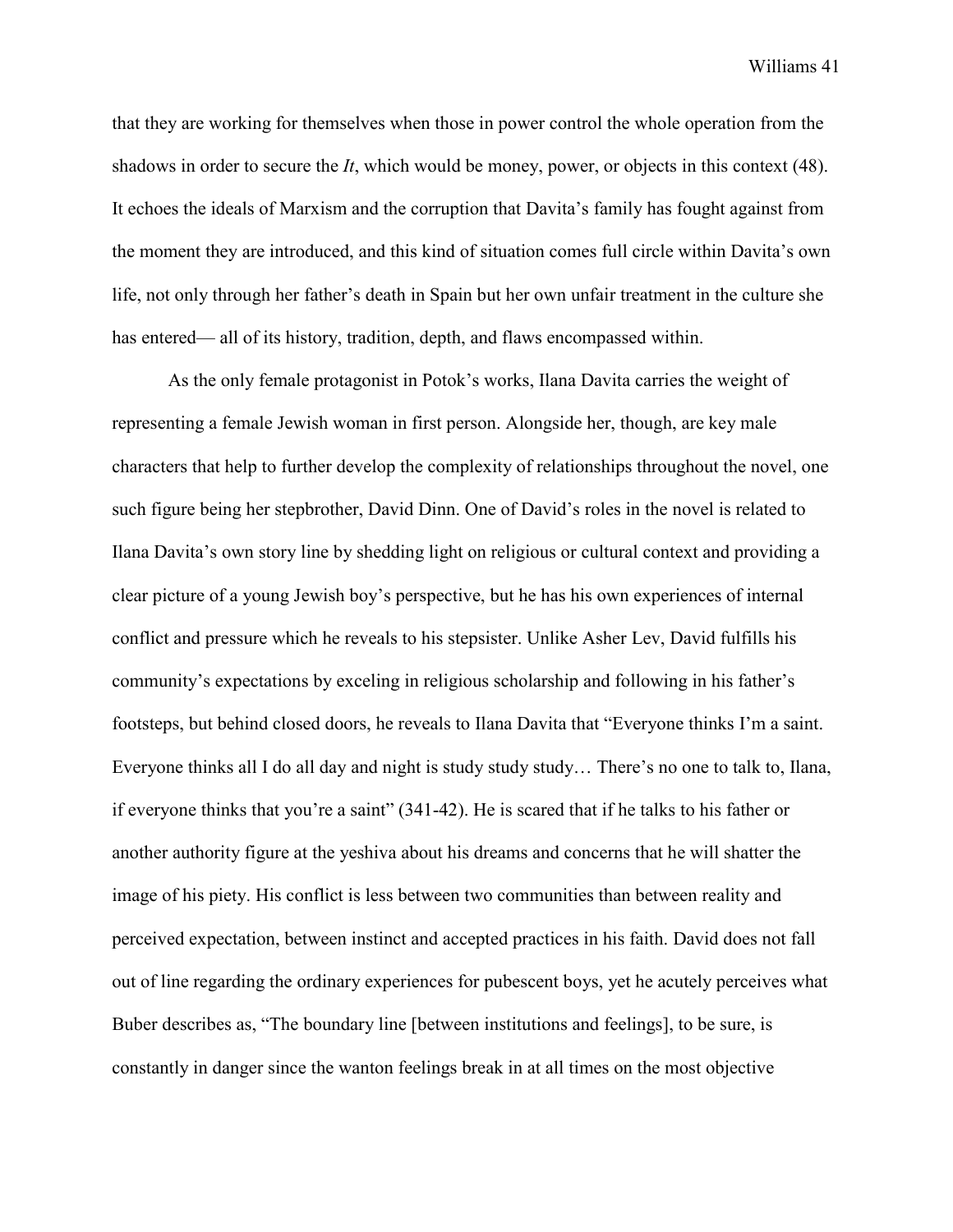that they are working for themselves when those in power control the whole operation from the shadows in order to secure the *It*, which would be money, power, or objects in this context (48). It echoes the ideals of Marxism and the corruption that Davita's family has fought against from the moment they are introduced, and this kind of situation comes full circle within Davita's own life, not only through her father's death in Spain but her own unfair treatment in the culture she has entered— all of its history, tradition, depth, and flaws encompassed within.

As the only female protagonist in Potok's works, Ilana Davita carries the weight of representing a female Jewish woman in first person. Alongside her, though, are key male characters that help to further develop the complexity of relationships throughout the novel, one such figure being her stepbrother, David Dinn. One of David's roles in the novel is related to Ilana Davita's own story line by shedding light on religious or cultural context and providing a clear picture of a young Jewish boy's perspective, but he has his own experiences of internal conflict and pressure which he reveals to his stepsister. Unlike Asher Lev, David fulfills his community's expectations by exceling in religious scholarship and following in his father's footsteps, but behind closed doors, he reveals to Ilana Davita that "Everyone thinks I'm a saint. Everyone thinks all I do all day and night is study study study… There's no one to talk to, Ilana, if everyone thinks that you're a saint" (341-42). He is scared that if he talks to his father or another authority figure at the yeshiva about his dreams and concerns that he will shatter the image of his piety. His conflict is less between two communities than between reality and perceived expectation, between instinct and accepted practices in his faith. David does not fall out of line regarding the ordinary experiences for pubescent boys, yet he acutely perceives what Buber describes as, "The boundary line [between institutions and feelings], to be sure, is constantly in danger since the wanton feelings break in at all times on the most objective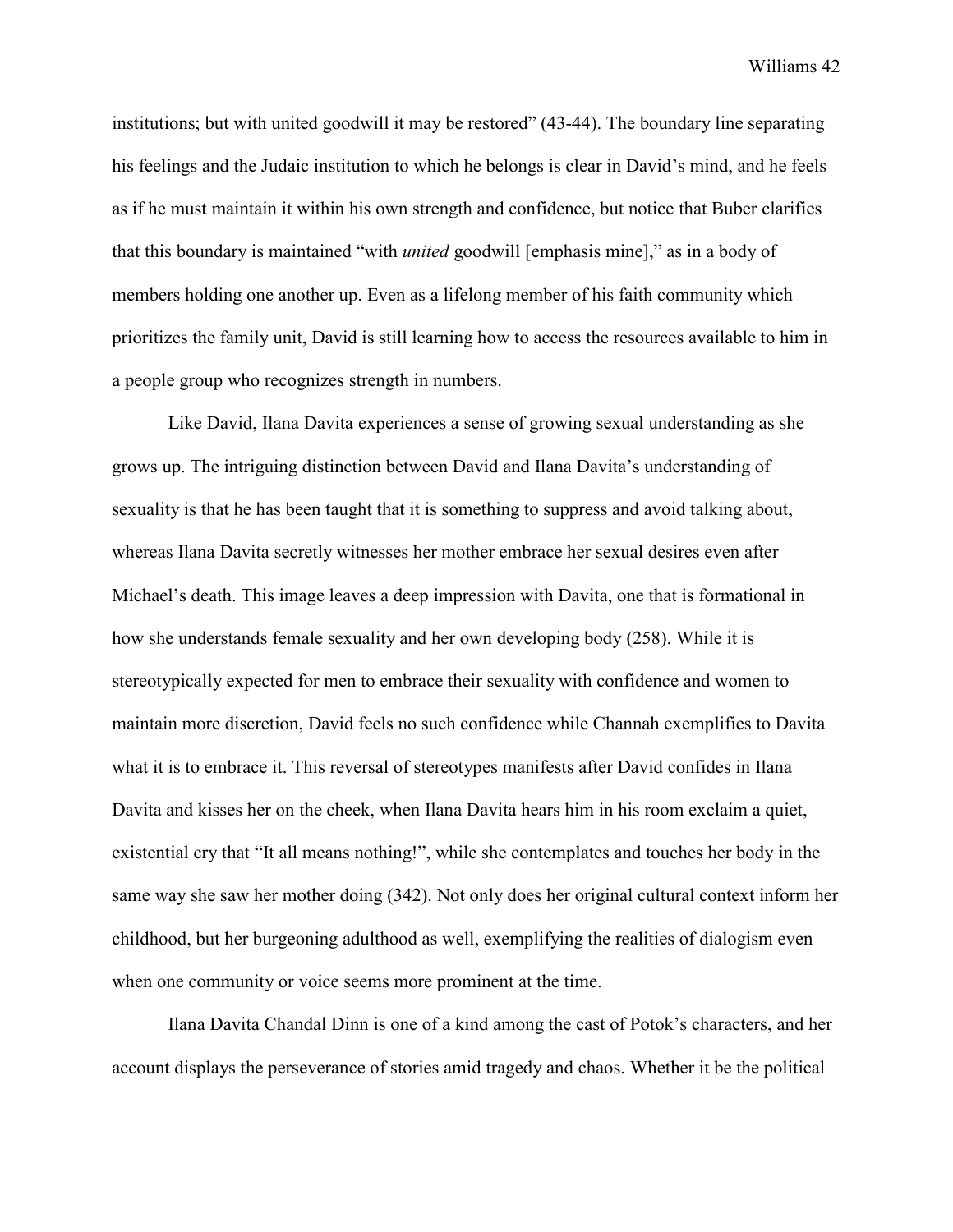institutions; but with united goodwill it may be restored" (43-44). The boundary line separating his feelings and the Judaic institution to which he belongs is clear in David's mind, and he feels as if he must maintain it within his own strength and confidence, but notice that Buber clarifies that this boundary is maintained "with *united* goodwill [emphasis mine]," as in a body of members holding one another up. Even as a lifelong member of his faith community which prioritizes the family unit, David is still learning how to access the resources available to him in a people group who recognizes strength in numbers.

Like David, Ilana Davita experiences a sense of growing sexual understanding as she grows up. The intriguing distinction between David and Ilana Davita's understanding of sexuality is that he has been taught that it is something to suppress and avoid talking about, whereas Ilana Davita secretly witnesses her mother embrace her sexual desires even after Michael's death. This image leaves a deep impression with Davita, one that is formational in how she understands female sexuality and her own developing body (258). While it is stereotypically expected for men to embrace their sexuality with confidence and women to maintain more discretion, David feels no such confidence while Channah exemplifies to Davita what it is to embrace it. This reversal of stereotypes manifests after David confides in Ilana Davita and kisses her on the cheek, when Ilana Davita hears him in his room exclaim a quiet, existential cry that "It all means nothing!", while she contemplates and touches her body in the same way she saw her mother doing (342). Not only does her original cultural context inform her childhood, but her burgeoning adulthood as well, exemplifying the realities of dialogism even when one community or voice seems more prominent at the time.

Ilana Davita Chandal Dinn is one of a kind among the cast of Potok's characters, and her account displays the perseverance of stories amid tragedy and chaos. Whether it be the political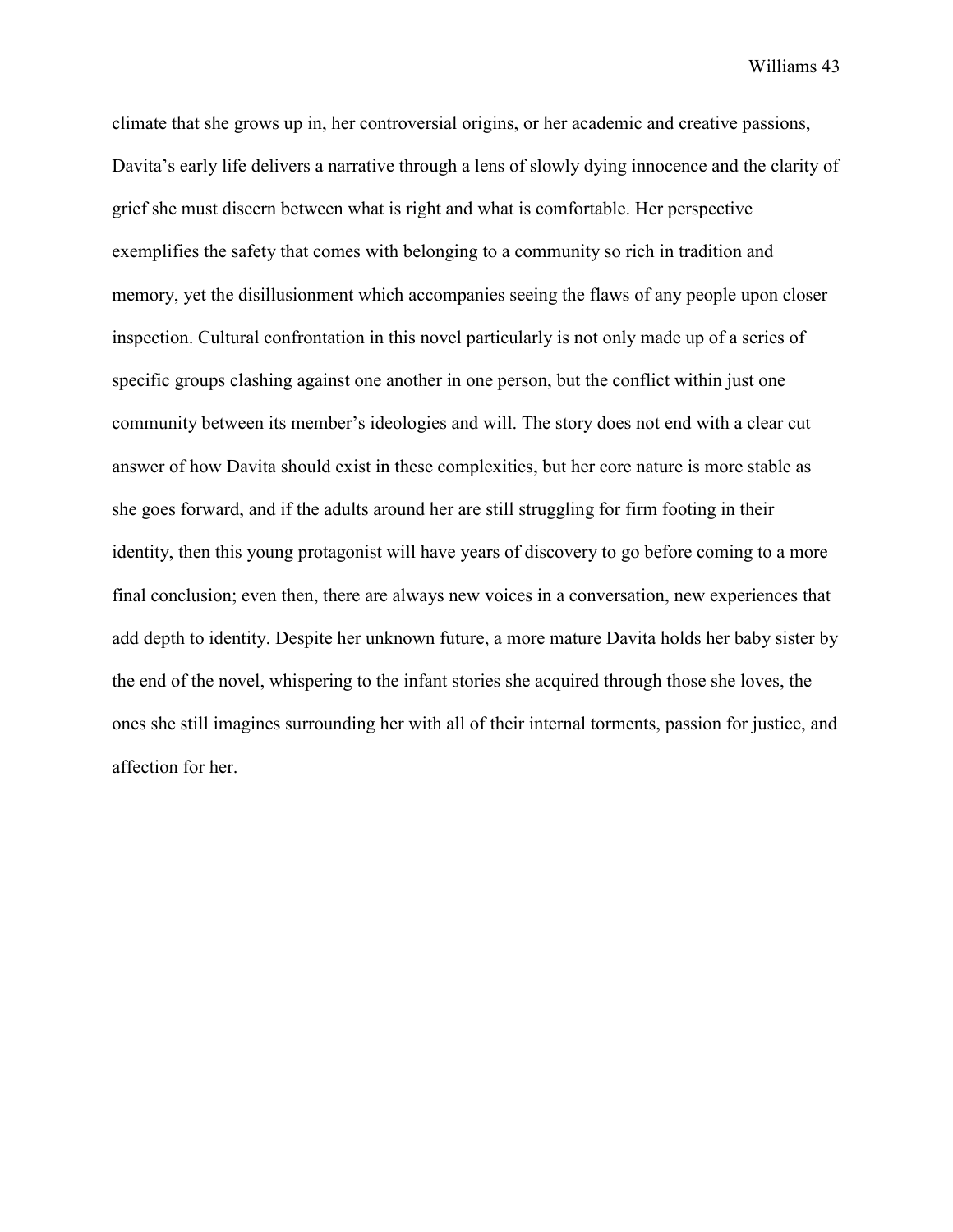climate that she grows up in, her controversial origins, or her academic and creative passions, Davita's early life delivers a narrative through a lens of slowly dying innocence and the clarity of grief she must discern between what is right and what is comfortable. Her perspective exemplifies the safety that comes with belonging to a community so rich in tradition and memory, yet the disillusionment which accompanies seeing the flaws of any people upon closer inspection. Cultural confrontation in this novel particularly is not only made up of a series of specific groups clashing against one another in one person, but the conflict within just one community between its member's ideologies and will. The story does not end with a clear cut answer of how Davita should exist in these complexities, but her core nature is more stable as she goes forward, and if the adults around her are still struggling for firm footing in their identity, then this young protagonist will have years of discovery to go before coming to a more final conclusion; even then, there are always new voices in a conversation, new experiences that add depth to identity. Despite her unknown future, a more mature Davita holds her baby sister by the end of the novel, whispering to the infant stories she acquired through those she loves, the ones she still imagines surrounding her with all of their internal torments, passion for justice, and affection for her.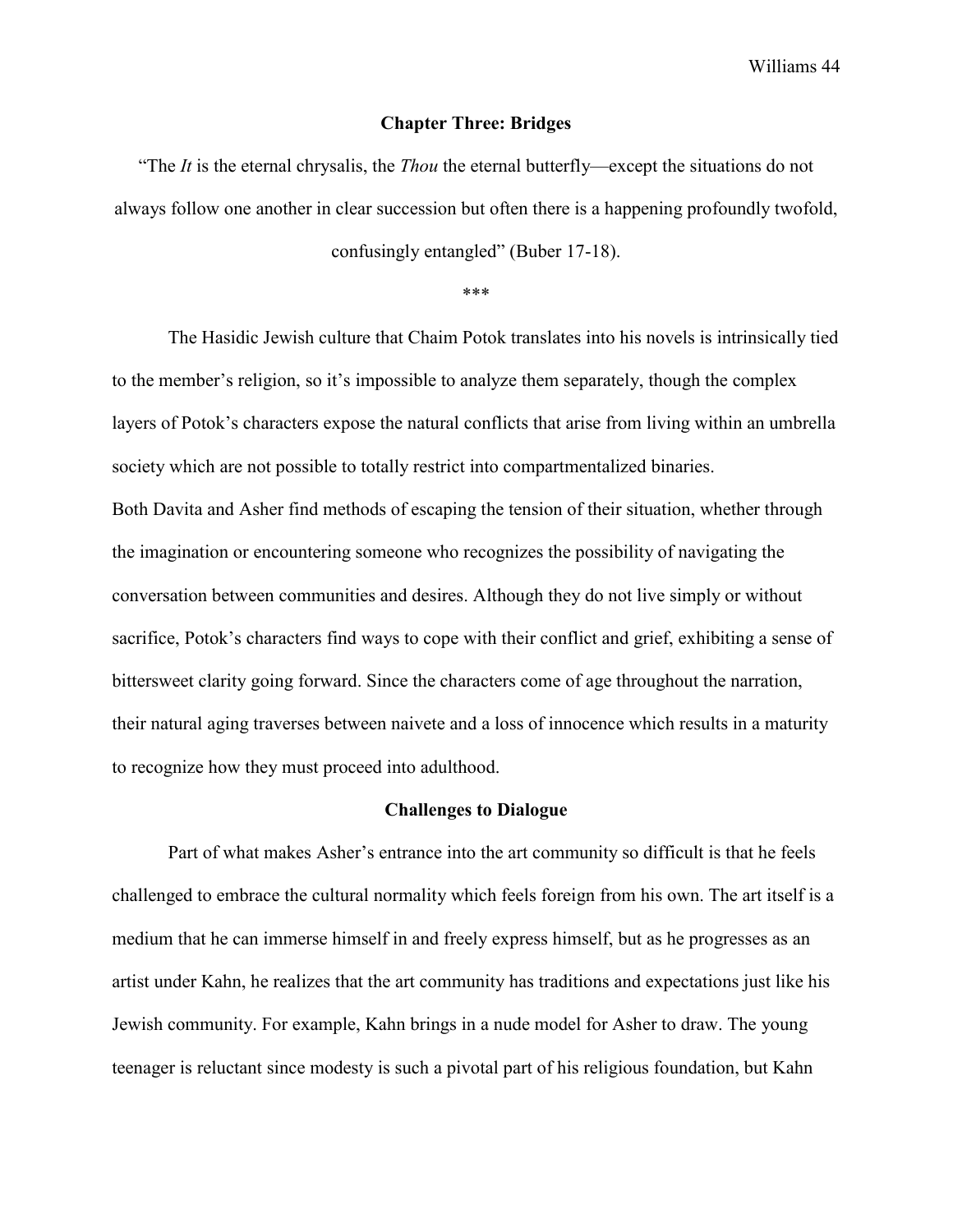#### **Chapter Three: Bridges**

"The *It* is the eternal chrysalis, the *Thou* the eternal butterfly—except the situations do not always follow one another in clear succession but often there is a happening profoundly twofold,

confusingly entangled" (Buber 17-18).

\*\*\*

The Hasidic Jewish culture that Chaim Potok translates into his novels is intrinsically tied to the member's religion, so it's impossible to analyze them separately, though the complex layers of Potok's characters expose the natural conflicts that arise from living within an umbrella society which are not possible to totally restrict into compartmentalized binaries. Both Davita and Asher find methods of escaping the tension of their situation, whether through the imagination or encountering someone who recognizes the possibility of navigating the conversation between communities and desires. Although they do not live simply or without sacrifice, Potok's characters find ways to cope with their conflict and grief, exhibiting a sense of bittersweet clarity going forward. Since the characters come of age throughout the narration, their natural aging traverses between naivete and a loss of innocence which results in a maturity to recognize how they must proceed into adulthood.

#### **Challenges to Dialogue**

Part of what makes Asher's entrance into the art community so difficult is that he feels challenged to embrace the cultural normality which feels foreign from his own. The art itself is a medium that he can immerse himself in and freely express himself, but as he progresses as an artist under Kahn, he realizes that the art community has traditions and expectations just like his Jewish community. For example, Kahn brings in a nude model for Asher to draw. The young teenager is reluctant since modesty is such a pivotal part of his religious foundation, but Kahn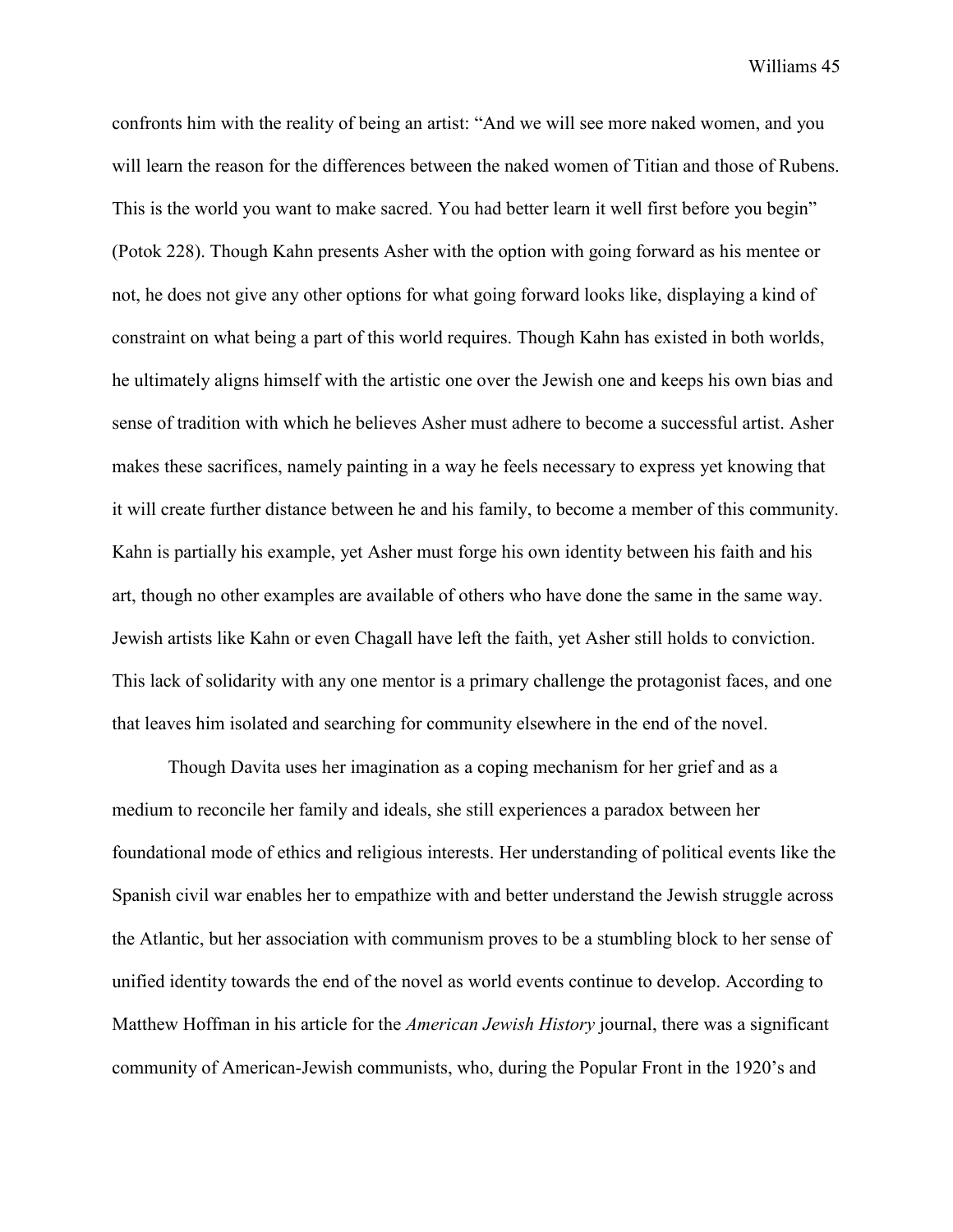confronts him with the reality of being an artist: "And we will see more naked women, and you will learn the reason for the differences between the naked women of Titian and those of Rubens. This is the world you want to make sacred. You had better learn it well first before you begin" (Potok 228). Though Kahn presents Asher with the option with going forward as his mentee or not, he does not give any other options for what going forward looks like, displaying a kind of constraint on what being a part of this world requires. Though Kahn has existed in both worlds, he ultimately aligns himself with the artistic one over the Jewish one and keeps his own bias and sense of tradition with which he believes Asher must adhere to become a successful artist. Asher makes these sacrifices, namely painting in a way he feels necessary to express yet knowing that it will create further distance between he and his family, to become a member of this community. Kahn is partially his example, yet Asher must forge his own identity between his faith and his art, though no other examples are available of others who have done the same in the same way. Jewish artists like Kahn or even Chagall have left the faith, yet Asher still holds to conviction. This lack of solidarity with any one mentor is a primary challenge the protagonist faces, and one that leaves him isolated and searching for community elsewhere in the end of the novel.

Though Davita uses her imagination as a coping mechanism for her grief and as a medium to reconcile her family and ideals, she still experiences a paradox between her foundational mode of ethics and religious interests. Her understanding of political events like the Spanish civil war enables her to empathize with and better understand the Jewish struggle across the Atlantic, but her association with communism proves to be a stumbling block to her sense of unified identity towards the end of the novel as world events continue to develop. According to Matthew Hoffman in his article for the *American Jewish History* journal, there was a significant community of American-Jewish communists, who, during the Popular Front in the 1920's and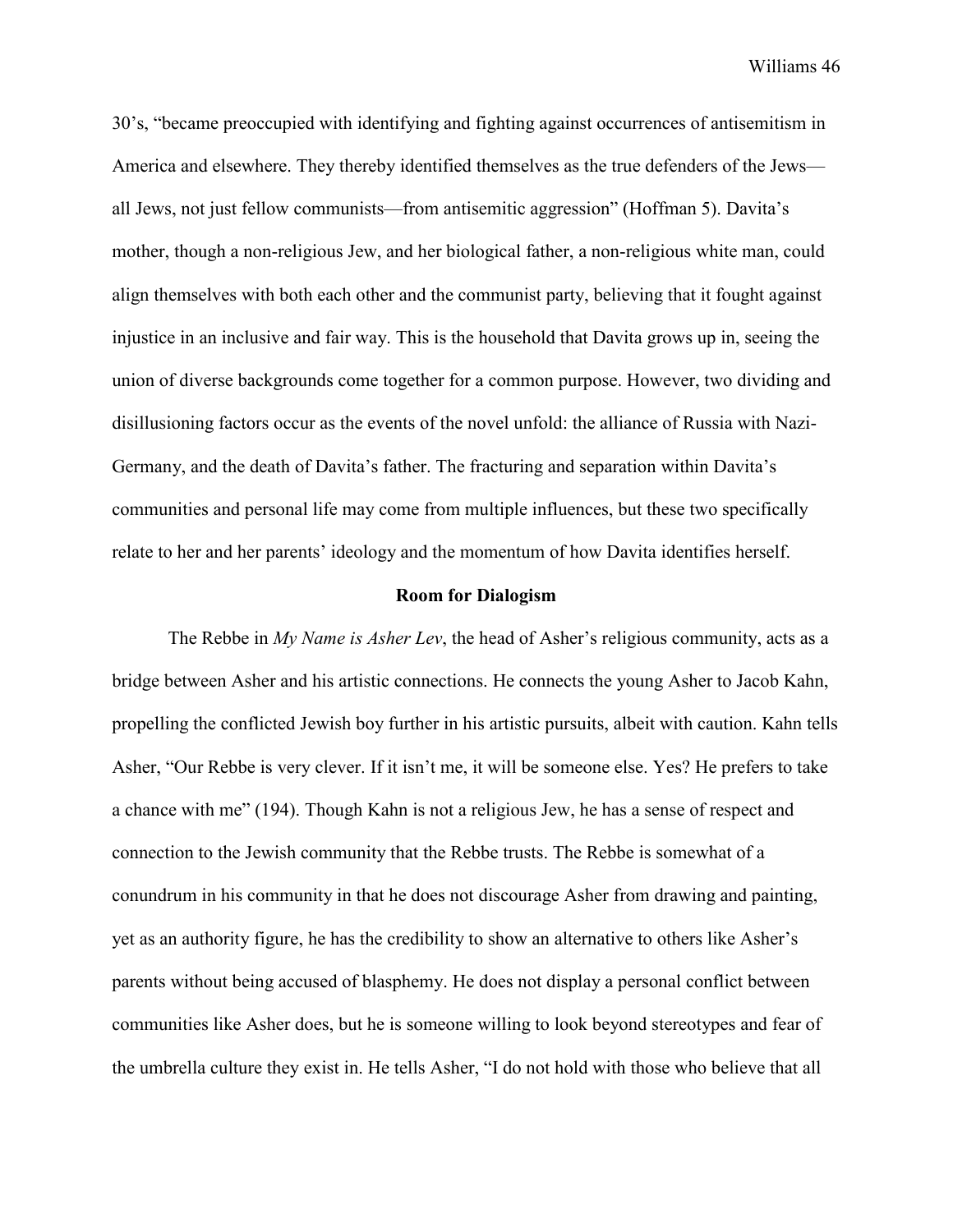30's, "became preoccupied with identifying and fighting against occurrences of antisemitism in America and elsewhere. They thereby identified themselves as the true defenders of the Jews all Jews, not just fellow communists—from antisemitic aggression" (Hoffman 5). Davita's mother, though a non-religious Jew, and her biological father, a non-religious white man, could align themselves with both each other and the communist party, believing that it fought against injustice in an inclusive and fair way. This is the household that Davita grows up in, seeing the union of diverse backgrounds come together for a common purpose. However, two dividing and disillusioning factors occur as the events of the novel unfold: the alliance of Russia with Nazi-Germany, and the death of Davita's father. The fracturing and separation within Davita's communities and personal life may come from multiple influences, but these two specifically relate to her and her parents' ideology and the momentum of how Davita identifies herself.

#### **Room for Dialogism**

The Rebbe in *My Name is Asher Lev*, the head of Asher's religious community, acts as a bridge between Asher and his artistic connections. He connects the young Asher to Jacob Kahn, propelling the conflicted Jewish boy further in his artistic pursuits, albeit with caution. Kahn tells Asher, "Our Rebbe is very clever. If it isn't me, it will be someone else. Yes? He prefers to take a chance with me" (194). Though Kahn is not a religious Jew, he has a sense of respect and connection to the Jewish community that the Rebbe trusts. The Rebbe is somewhat of a conundrum in his community in that he does not discourage Asher from drawing and painting, yet as an authority figure, he has the credibility to show an alternative to others like Asher's parents without being accused of blasphemy. He does not display a personal conflict between communities like Asher does, but he is someone willing to look beyond stereotypes and fear of the umbrella culture they exist in. He tells Asher, "I do not hold with those who believe that all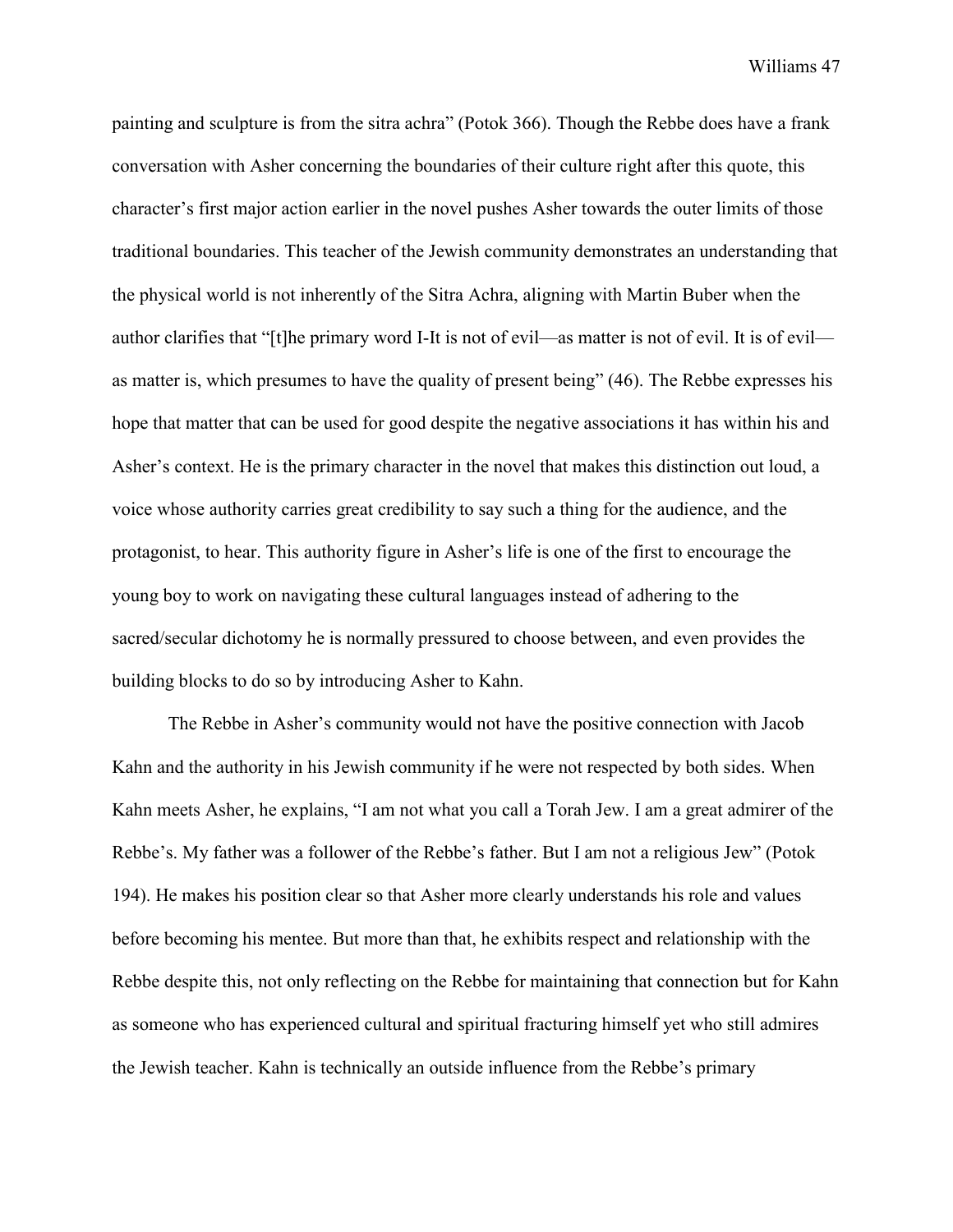painting and sculpture is from the sitra achra" (Potok 366). Though the Rebbe does have a frank conversation with Asher concerning the boundaries of their culture right after this quote, this character's first major action earlier in the novel pushes Asher towards the outer limits of those traditional boundaries. This teacher of the Jewish community demonstrates an understanding that the physical world is not inherently of the Sitra Achra, aligning with Martin Buber when the author clarifies that "[t]he primary word I-It is not of evil—as matter is not of evil. It is of evil as matter is, which presumes to have the quality of present being" (46). The Rebbe expresses his hope that matter that can be used for good despite the negative associations it has within his and Asher's context. He is the primary character in the novel that makes this distinction out loud, a voice whose authority carries great credibility to say such a thing for the audience, and the protagonist, to hear. This authority figure in Asher's life is one of the first to encourage the young boy to work on navigating these cultural languages instead of adhering to the sacred/secular dichotomy he is normally pressured to choose between, and even provides the building blocks to do so by introducing Asher to Kahn.

The Rebbe in Asher's community would not have the positive connection with Jacob Kahn and the authority in his Jewish community if he were not respected by both sides. When Kahn meets Asher, he explains, "I am not what you call a Torah Jew. I am a great admirer of the Rebbe's. My father was a follower of the Rebbe's father. But I am not a religious Jew" (Potok 194). He makes his position clear so that Asher more clearly understands his role and values before becoming his mentee. But more than that, he exhibits respect and relationship with the Rebbe despite this, not only reflecting on the Rebbe for maintaining that connection but for Kahn as someone who has experienced cultural and spiritual fracturing himself yet who still admires the Jewish teacher. Kahn is technically an outside influence from the Rebbe's primary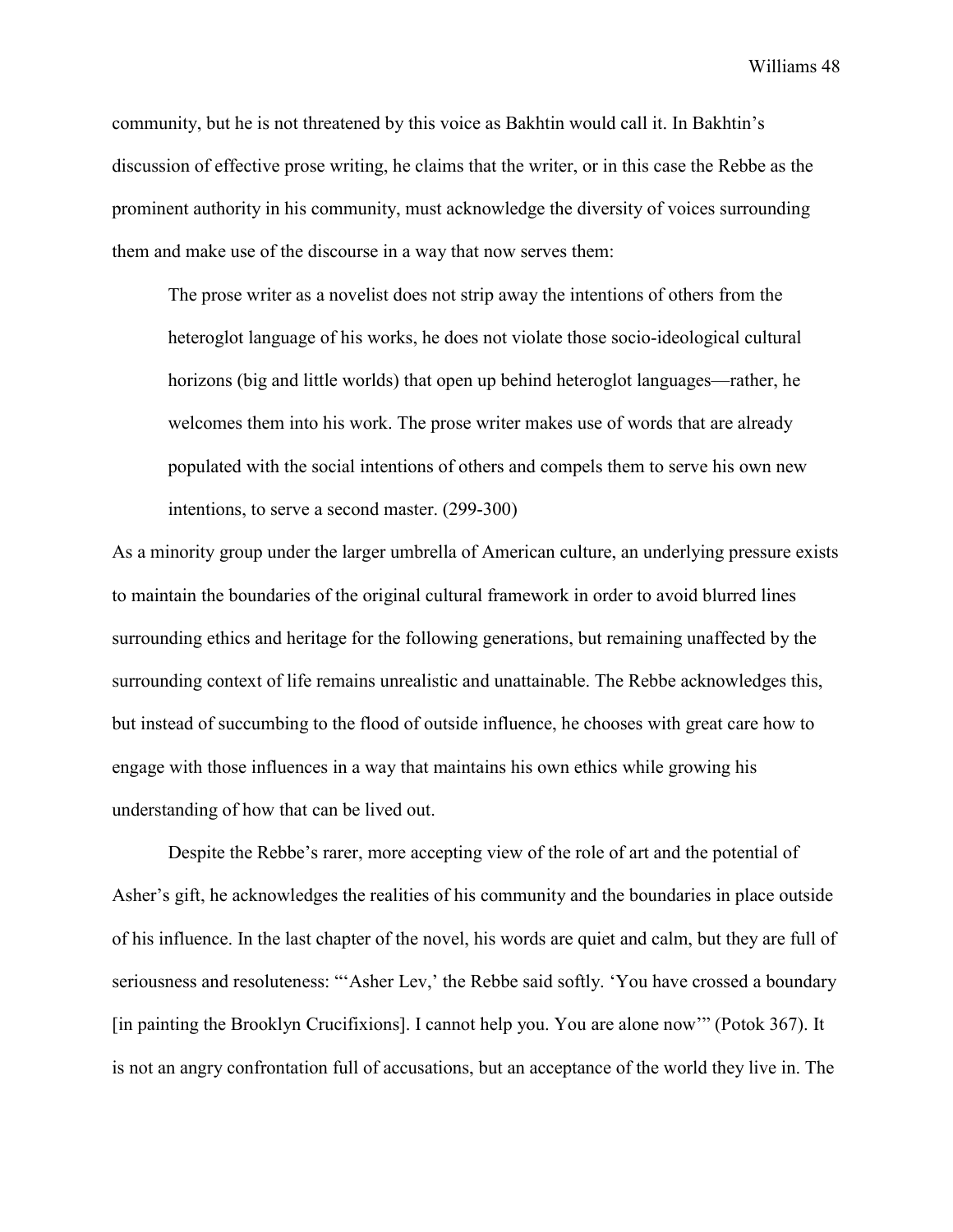community, but he is not threatened by this voice as Bakhtin would call it. In Bakhtin's discussion of effective prose writing, he claims that the writer, or in this case the Rebbe as the prominent authority in his community, must acknowledge the diversity of voices surrounding them and make use of the discourse in a way that now serves them:

The prose writer as a novelist does not strip away the intentions of others from the heteroglot language of his works, he does not violate those socio-ideological cultural horizons (big and little worlds) that open up behind heteroglot languages—rather, he welcomes them into his work. The prose writer makes use of words that are already populated with the social intentions of others and compels them to serve his own new intentions, to serve a second master. (299-300)

As a minority group under the larger umbrella of American culture, an underlying pressure exists to maintain the boundaries of the original cultural framework in order to avoid blurred lines surrounding ethics and heritage for the following generations, but remaining unaffected by the surrounding context of life remains unrealistic and unattainable. The Rebbe acknowledges this, but instead of succumbing to the flood of outside influence, he chooses with great care how to engage with those influences in a way that maintains his own ethics while growing his understanding of how that can be lived out.

Despite the Rebbe's rarer, more accepting view of the role of art and the potential of Asher's gift, he acknowledges the realities of his community and the boundaries in place outside of his influence. In the last chapter of the novel, his words are quiet and calm, but they are full of seriousness and resoluteness: "'Asher Lev,' the Rebbe said softly. 'You have crossed a boundary [in painting the Brooklyn Crucifixions]. I cannot help you. You are alone now'" (Potok 367). It is not an angry confrontation full of accusations, but an acceptance of the world they live in. The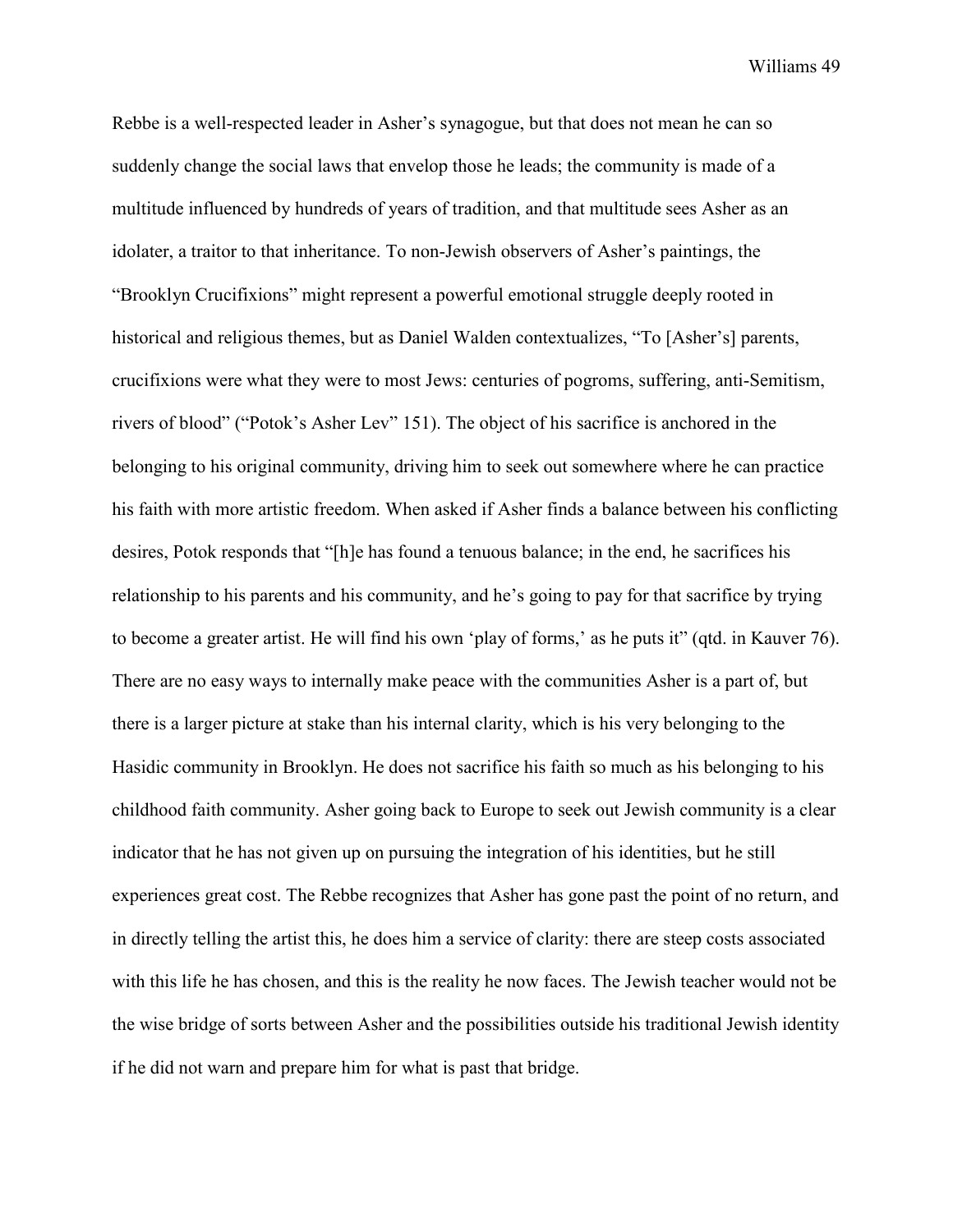Rebbe is a well-respected leader in Asher's synagogue, but that does not mean he can so suddenly change the social laws that envelop those he leads; the community is made of a multitude influenced by hundreds of years of tradition, and that multitude sees Asher as an idolater, a traitor to that inheritance. To non-Jewish observers of Asher's paintings, the "Brooklyn Crucifixions" might represent a powerful emotional struggle deeply rooted in historical and religious themes, but as Daniel Walden contextualizes, "To [Asher's] parents, crucifixions were what they were to most Jews: centuries of pogroms, suffering, anti-Semitism, rivers of blood" ("Potok's Asher Lev" 151). The object of his sacrifice is anchored in the belonging to his original community, driving him to seek out somewhere where he can practice his faith with more artistic freedom. When asked if Asher finds a balance between his conflicting desires, Potok responds that "[h]e has found a tenuous balance; in the end, he sacrifices his relationship to his parents and his community, and he's going to pay for that sacrifice by trying to become a greater artist. He will find his own 'play of forms,' as he puts it" (qtd. in Kauver 76). There are no easy ways to internally make peace with the communities Asher is a part of, but there is a larger picture at stake than his internal clarity, which is his very belonging to the Hasidic community in Brooklyn. He does not sacrifice his faith so much as his belonging to his childhood faith community. Asher going back to Europe to seek out Jewish community is a clear indicator that he has not given up on pursuing the integration of his identities, but he still experiences great cost. The Rebbe recognizes that Asher has gone past the point of no return, and in directly telling the artist this, he does him a service of clarity: there are steep costs associated with this life he has chosen, and this is the reality he now faces. The Jewish teacher would not be the wise bridge of sorts between Asher and the possibilities outside his traditional Jewish identity if he did not warn and prepare him for what is past that bridge.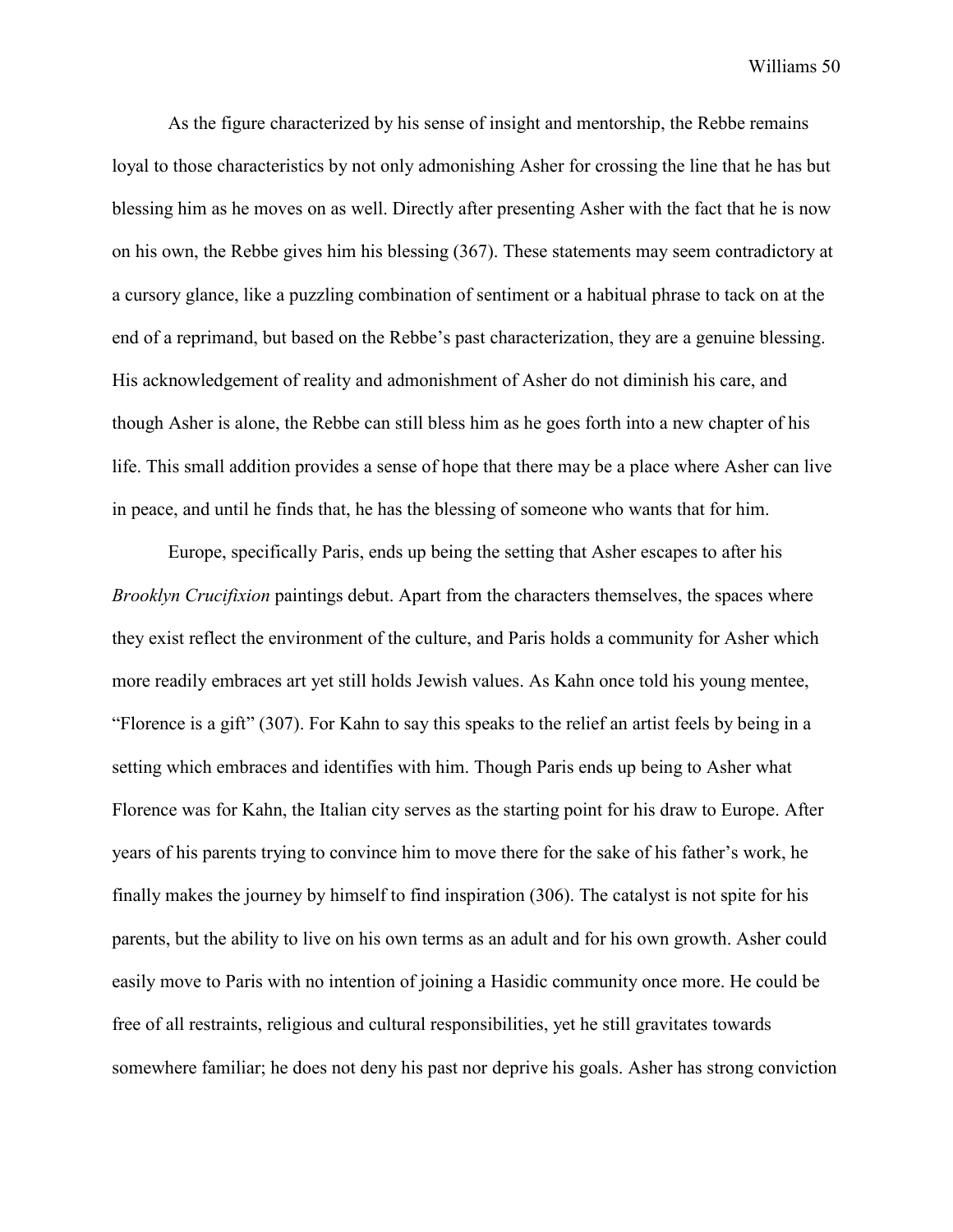As the figure characterized by his sense of insight and mentorship, the Rebbe remains loyal to those characteristics by not only admonishing Asher for crossing the line that he has but blessing him as he moves on as well. Directly after presenting Asher with the fact that he is now on his own, the Rebbe gives him his blessing (367). These statements may seem contradictory at a cursory glance, like a puzzling combination of sentiment or a habitual phrase to tack on at the end of a reprimand, but based on the Rebbe's past characterization, they are a genuine blessing. His acknowledgement of reality and admonishment of Asher do not diminish his care, and though Asher is alone, the Rebbe can still bless him as he goes forth into a new chapter of his life. This small addition provides a sense of hope that there may be a place where Asher can live in peace, and until he finds that, he has the blessing of someone who wants that for him.

Europe, specifically Paris, ends up being the setting that Asher escapes to after his *Brooklyn Crucifixion* paintings debut. Apart from the characters themselves, the spaces where they exist reflect the environment of the culture, and Paris holds a community for Asher which more readily embraces art yet still holds Jewish values. As Kahn once told his young mentee, "Florence is a gift" (307). For Kahn to say this speaks to the relief an artist feels by being in a setting which embraces and identifies with him. Though Paris ends up being to Asher what Florence was for Kahn, the Italian city serves as the starting point for his draw to Europe. After years of his parents trying to convince him to move there for the sake of his father's work, he finally makes the journey by himself to find inspiration (306). The catalyst is not spite for his parents, but the ability to live on his own terms as an adult and for his own growth. Asher could easily move to Paris with no intention of joining a Hasidic community once more. He could be free of all restraints, religious and cultural responsibilities, yet he still gravitates towards somewhere familiar; he does not deny his past nor deprive his goals. Asher has strong conviction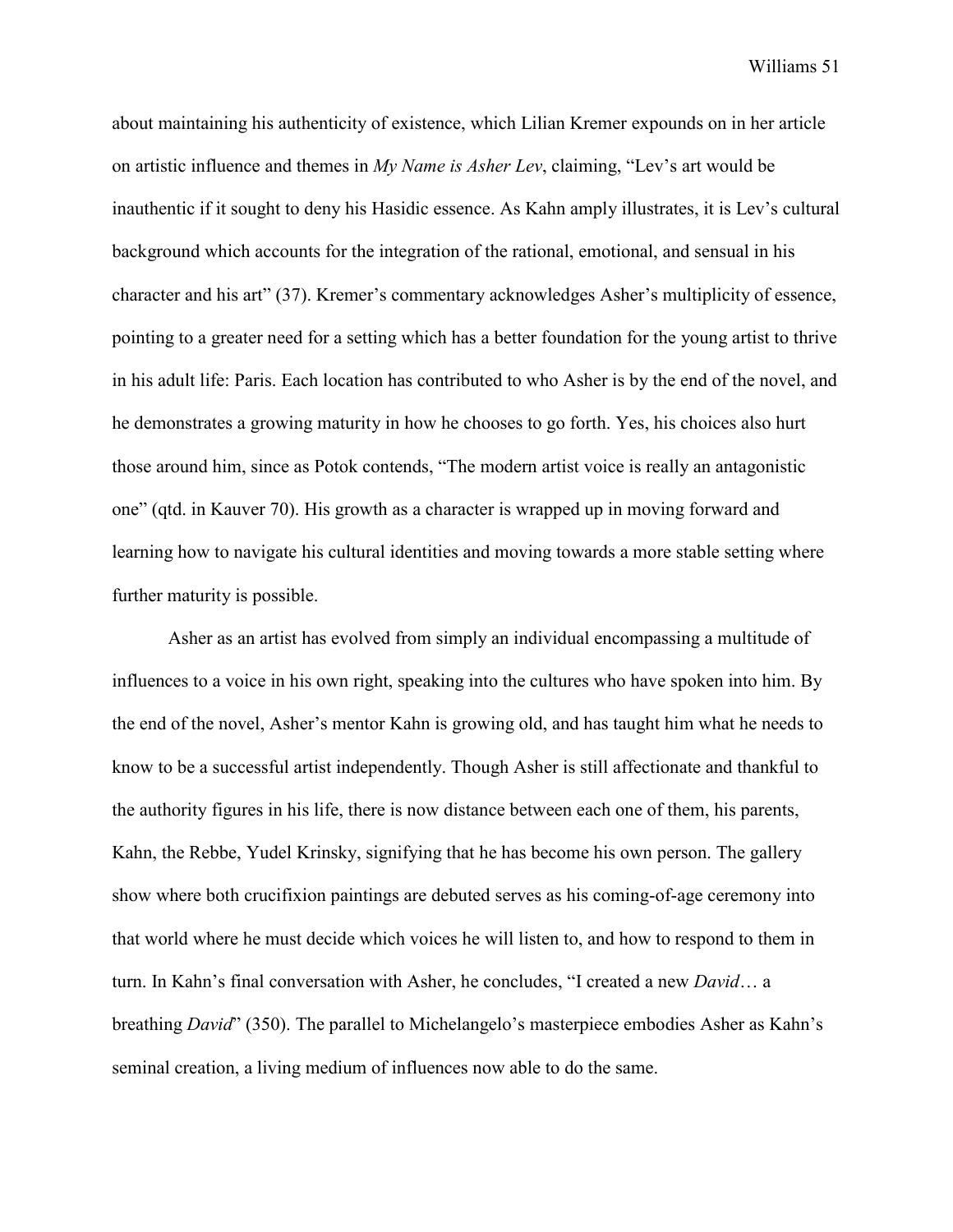about maintaining his authenticity of existence, which Lilian Kremer expounds on in her article on artistic influence and themes in *My Name is Asher Lev*, claiming, "Lev's art would be inauthentic if it sought to deny his Hasidic essence. As Kahn amply illustrates, it is Lev's cultural background which accounts for the integration of the rational, emotional, and sensual in his character and his art" (37). Kremer's commentary acknowledges Asher's multiplicity of essence, pointing to a greater need for a setting which has a better foundation for the young artist to thrive in his adult life: Paris. Each location has contributed to who Asher is by the end of the novel, and he demonstrates a growing maturity in how he chooses to go forth. Yes, his choices also hurt those around him, since as Potok contends, "The modern artist voice is really an antagonistic one" (qtd. in Kauver 70). His growth as a character is wrapped up in moving forward and learning how to navigate his cultural identities and moving towards a more stable setting where further maturity is possible.

Asher as an artist has evolved from simply an individual encompassing a multitude of influences to a voice in his own right, speaking into the cultures who have spoken into him. By the end of the novel, Asher's mentor Kahn is growing old, and has taught him what he needs to know to be a successful artist independently. Though Asher is still affectionate and thankful to the authority figures in his life, there is now distance between each one of them, his parents, Kahn, the Rebbe, Yudel Krinsky, signifying that he has become his own person. The gallery show where both crucifixion paintings are debuted serves as his coming-of-age ceremony into that world where he must decide which voices he will listen to, and how to respond to them in turn. In Kahn's final conversation with Asher, he concludes, "I created a new *David*… a breathing *David*" (350). The parallel to Michelangelo's masterpiece embodies Asher as Kahn's seminal creation, a living medium of influences now able to do the same.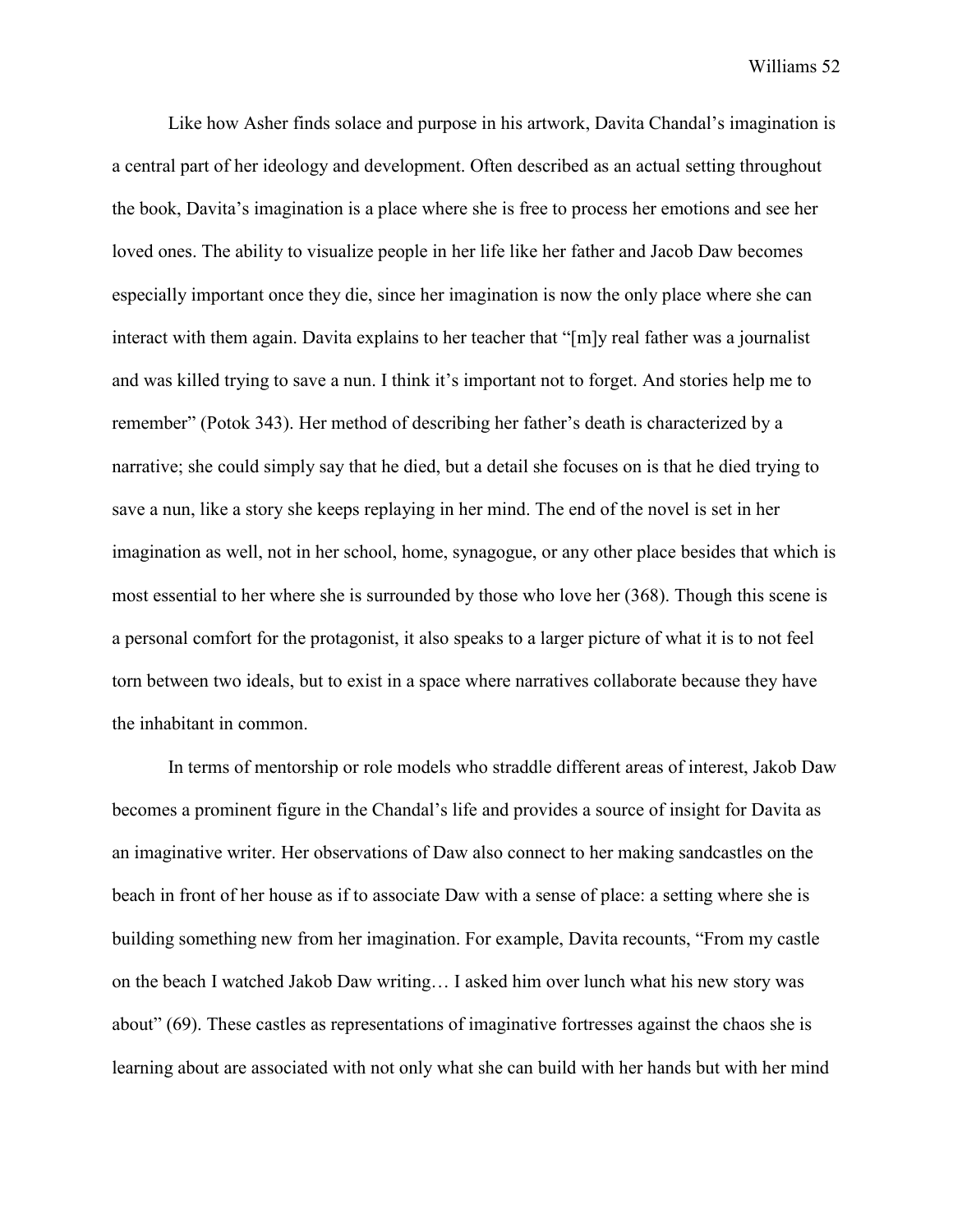Like how Asher finds solace and purpose in his artwork, Davita Chandal's imagination is a central part of her ideology and development. Often described as an actual setting throughout the book, Davita's imagination is a place where she is free to process her emotions and see her loved ones. The ability to visualize people in her life like her father and Jacob Daw becomes especially important once they die, since her imagination is now the only place where she can interact with them again. Davita explains to her teacher that "[m]y real father was a journalist and was killed trying to save a nun. I think it's important not to forget. And stories help me to remember" (Potok 343). Her method of describing her father's death is characterized by a narrative; she could simply say that he died, but a detail she focuses on is that he died trying to save a nun, like a story she keeps replaying in her mind. The end of the novel is set in her imagination as well, not in her school, home, synagogue, or any other place besides that which is most essential to her where she is surrounded by those who love her (368). Though this scene is a personal comfort for the protagonist, it also speaks to a larger picture of what it is to not feel torn between two ideals, but to exist in a space where narratives collaborate because they have the inhabitant in common.

In terms of mentorship or role models who straddle different areas of interest, Jakob Daw becomes a prominent figure in the Chandal's life and provides a source of insight for Davita as an imaginative writer. Her observations of Daw also connect to her making sandcastles on the beach in front of her house as if to associate Daw with a sense of place: a setting where she is building something new from her imagination. For example, Davita recounts, "From my castle on the beach I watched Jakob Daw writing… I asked him over lunch what his new story was about" (69). These castles as representations of imaginative fortresses against the chaos she is learning about are associated with not only what she can build with her hands but with her mind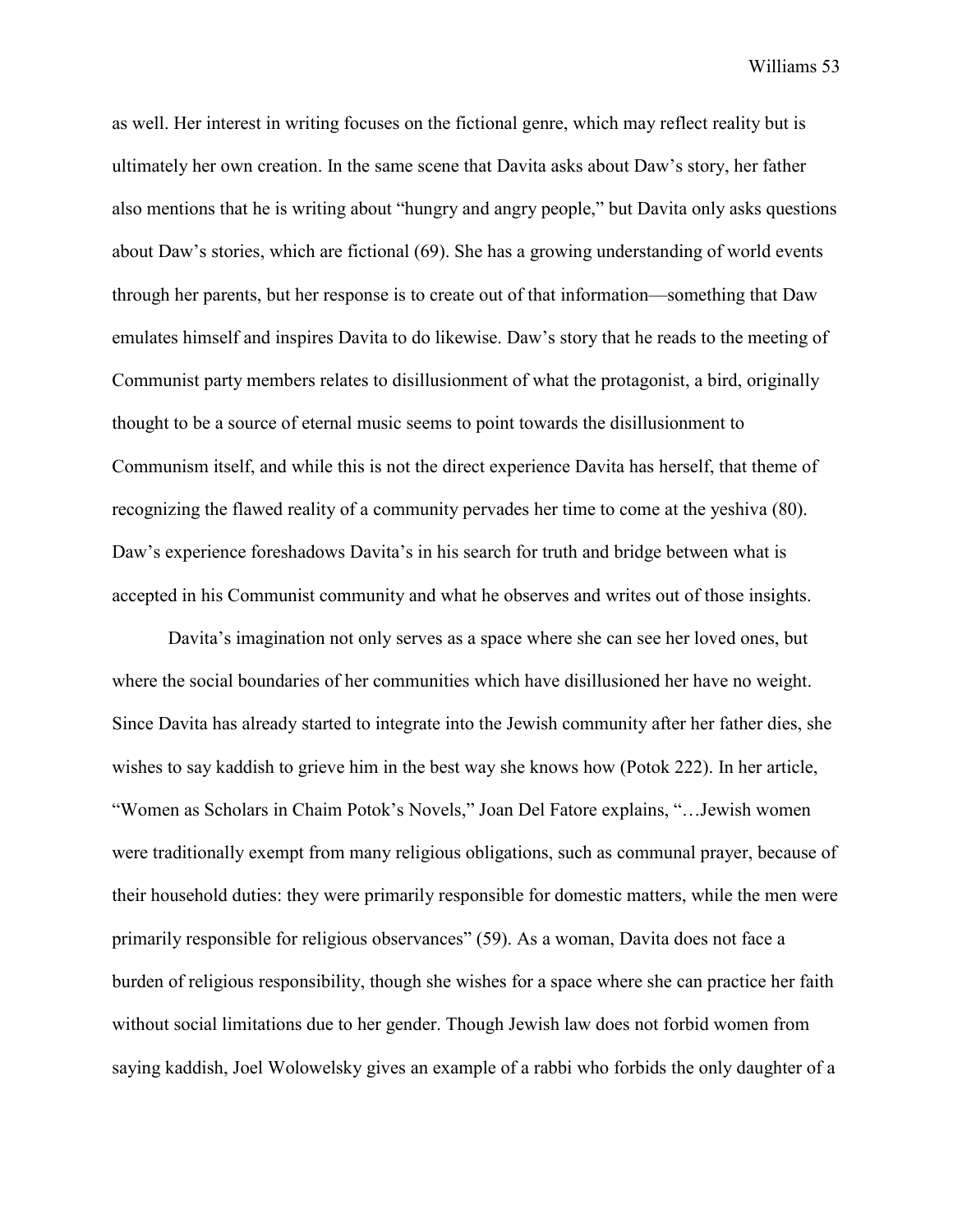as well. Her interest in writing focuses on the fictional genre, which may reflect reality but is ultimately her own creation. In the same scene that Davita asks about Daw's story, her father also mentions that he is writing about "hungry and angry people," but Davita only asks questions about Daw's stories, which are fictional (69). She has a growing understanding of world events through her parents, but her response is to create out of that information—something that Daw emulates himself and inspires Davita to do likewise. Daw's story that he reads to the meeting of Communist party members relates to disillusionment of what the protagonist, a bird, originally thought to be a source of eternal music seems to point towards the disillusionment to Communism itself, and while this is not the direct experience Davita has herself, that theme of recognizing the flawed reality of a community pervades her time to come at the yeshiva (80). Daw's experience foreshadows Davita's in his search for truth and bridge between what is accepted in his Communist community and what he observes and writes out of those insights.

Davita's imagination not only serves as a space where she can see her loved ones, but where the social boundaries of her communities which have disillusioned her have no weight. Since Davita has already started to integrate into the Jewish community after her father dies, she wishes to say kaddish to grieve him in the best way she knows how (Potok 222). In her article, "Women as Scholars in Chaim Potok's Novels," Joan Del Fatore explains, "…Jewish women were traditionally exempt from many religious obligations, such as communal prayer, because of their household duties: they were primarily responsible for domestic matters, while the men were primarily responsible for religious observances" (59). As a woman, Davita does not face a burden of religious responsibility, though she wishes for a space where she can practice her faith without social limitations due to her gender. Though Jewish law does not forbid women from saying kaddish, Joel Wolowelsky gives an example of a rabbi who forbids the only daughter of a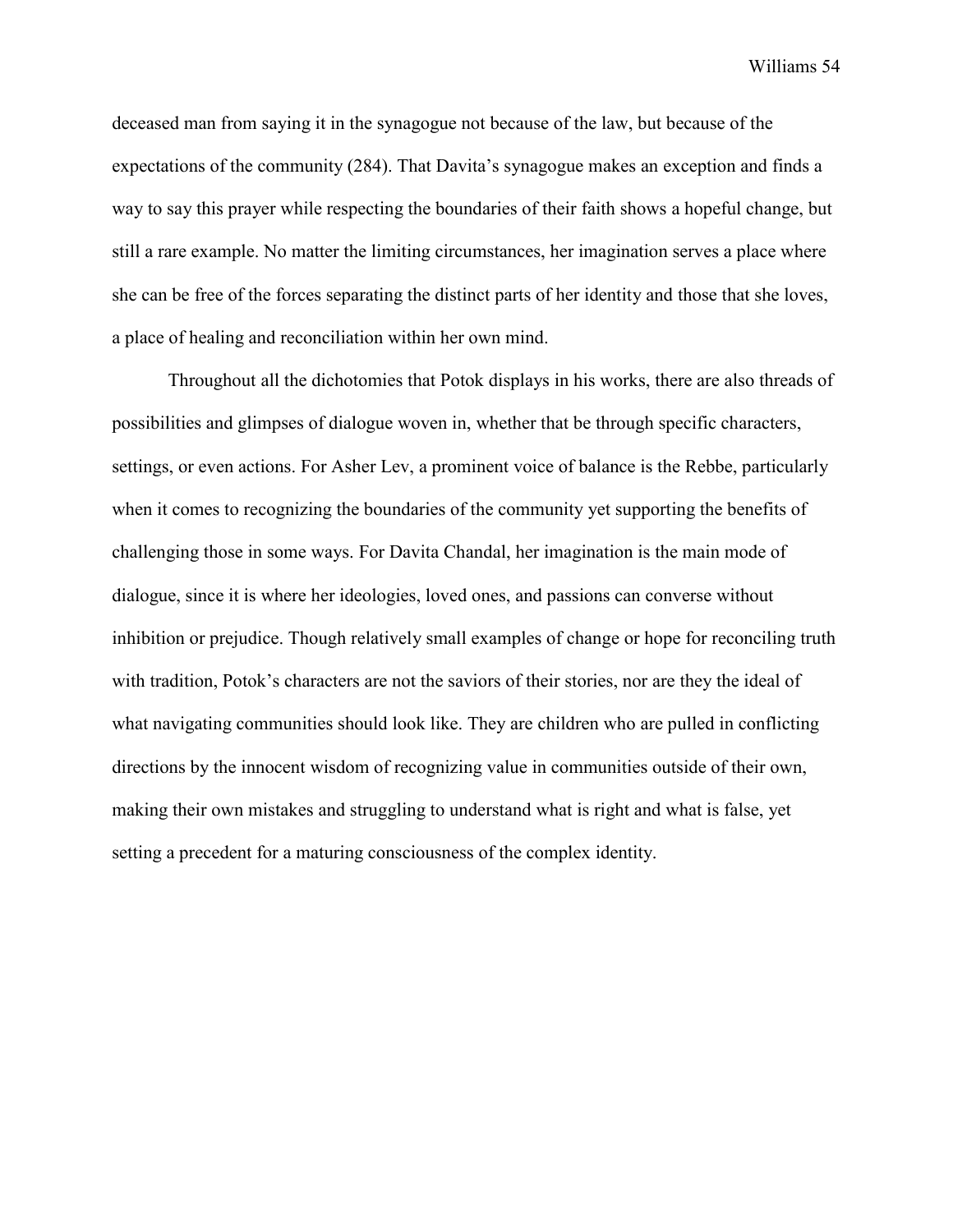deceased man from saying it in the synagogue not because of the law, but because of the expectations of the community (284). That Davita's synagogue makes an exception and finds a way to say this prayer while respecting the boundaries of their faith shows a hopeful change, but still a rare example. No matter the limiting circumstances, her imagination serves a place where she can be free of the forces separating the distinct parts of her identity and those that she loves, a place of healing and reconciliation within her own mind.

Throughout all the dichotomies that Potok displays in his works, there are also threads of possibilities and glimpses of dialogue woven in, whether that be through specific characters, settings, or even actions. For Asher Lev, a prominent voice of balance is the Rebbe, particularly when it comes to recognizing the boundaries of the community yet supporting the benefits of challenging those in some ways. For Davita Chandal, her imagination is the main mode of dialogue, since it is where her ideologies, loved ones, and passions can converse without inhibition or prejudice. Though relatively small examples of change or hope for reconciling truth with tradition, Potok's characters are not the saviors of their stories, nor are they the ideal of what navigating communities should look like. They are children who are pulled in conflicting directions by the innocent wisdom of recognizing value in communities outside of their own, making their own mistakes and struggling to understand what is right and what is false, yet setting a precedent for a maturing consciousness of the complex identity.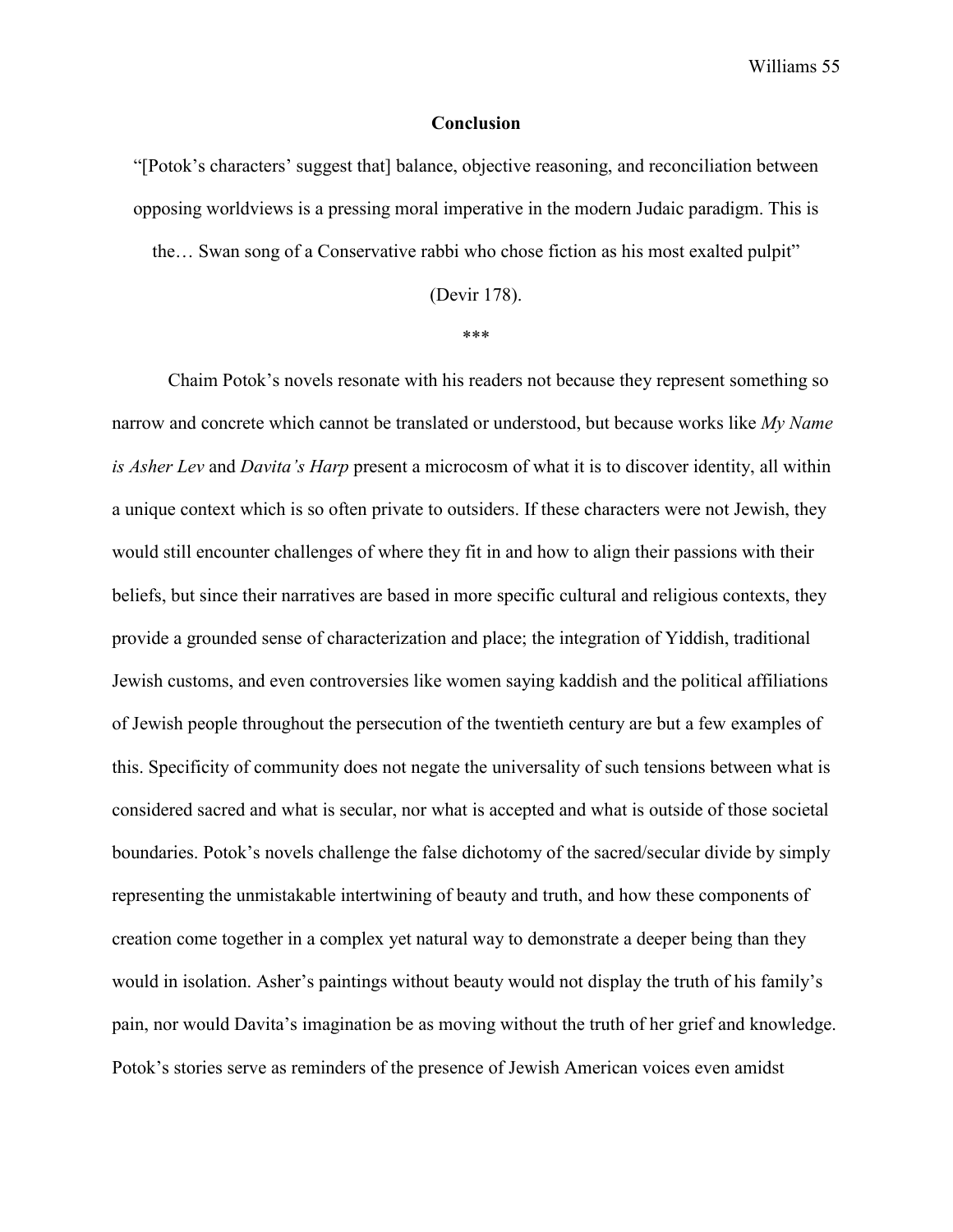#### **Conclusion**

"[Potok's characters' suggest that] balance, objective reasoning, and reconciliation between opposing worldviews is a pressing moral imperative in the modern Judaic paradigm. This is the… Swan song of a Conservative rabbi who chose fiction as his most exalted pulpit"

(Devir 178).

\*\*\*

Chaim Potok's novels resonate with his readers not because they represent something so narrow and concrete which cannot be translated or understood, but because works like *My Name is Asher Lev* and *Davita's Harp* present a microcosm of what it is to discover identity, all within a unique context which is so often private to outsiders. If these characters were not Jewish, they would still encounter challenges of where they fit in and how to align their passions with their beliefs, but since their narratives are based in more specific cultural and religious contexts, they provide a grounded sense of characterization and place; the integration of Yiddish, traditional Jewish customs, and even controversies like women saying kaddish and the political affiliations of Jewish people throughout the persecution of the twentieth century are but a few examples of this. Specificity of community does not negate the universality of such tensions between what is considered sacred and what is secular, nor what is accepted and what is outside of those societal boundaries. Potok's novels challenge the false dichotomy of the sacred/secular divide by simply representing the unmistakable intertwining of beauty and truth, and how these components of creation come together in a complex yet natural way to demonstrate a deeper being than they would in isolation. Asher's paintings without beauty would not display the truth of his family's pain, nor would Davita's imagination be as moving without the truth of her grief and knowledge. Potok's stories serve as reminders of the presence of Jewish American voices even amidst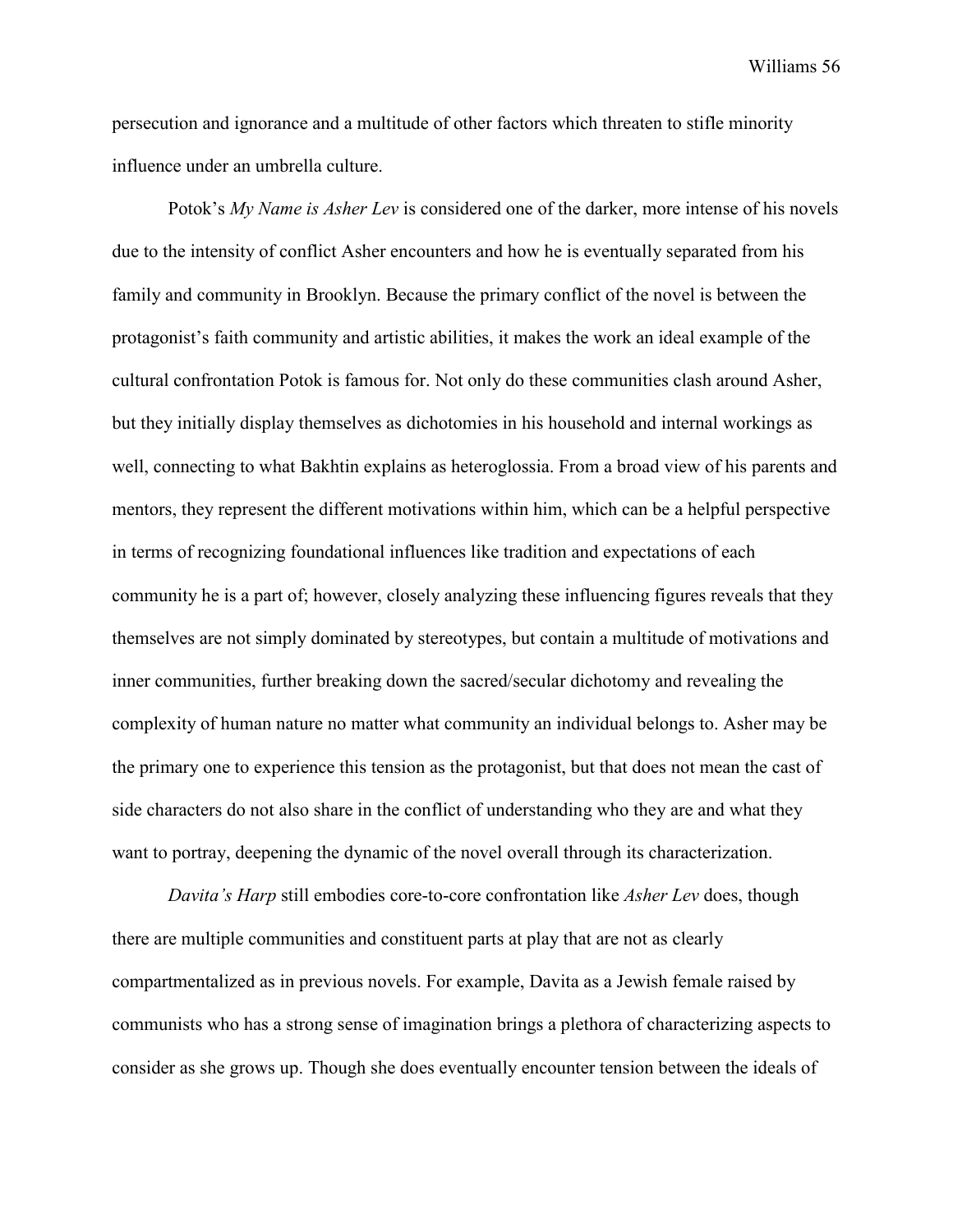persecution and ignorance and a multitude of other factors which threaten to stifle minority influence under an umbrella culture.

Potok's *My Name is Asher Lev* is considered one of the darker, more intense of his novels due to the intensity of conflict Asher encounters and how he is eventually separated from his family and community in Brooklyn. Because the primary conflict of the novel is between the protagonist's faith community and artistic abilities, it makes the work an ideal example of the cultural confrontation Potok is famous for. Not only do these communities clash around Asher, but they initially display themselves as dichotomies in his household and internal workings as well, connecting to what Bakhtin explains as heteroglossia. From a broad view of his parents and mentors, they represent the different motivations within him, which can be a helpful perspective in terms of recognizing foundational influences like tradition and expectations of each community he is a part of; however, closely analyzing these influencing figures reveals that they themselves are not simply dominated by stereotypes, but contain a multitude of motivations and inner communities, further breaking down the sacred/secular dichotomy and revealing the complexity of human nature no matter what community an individual belongs to. Asher may be the primary one to experience this tension as the protagonist, but that does not mean the cast of side characters do not also share in the conflict of understanding who they are and what they want to portray, deepening the dynamic of the novel overall through its characterization.

*Davita's Harp* still embodies core-to-core confrontation like *Asher Lev* does, though there are multiple communities and constituent parts at play that are not as clearly compartmentalized as in previous novels. For example, Davita as a Jewish female raised by communists who has a strong sense of imagination brings a plethora of characterizing aspects to consider as she grows up. Though she does eventually encounter tension between the ideals of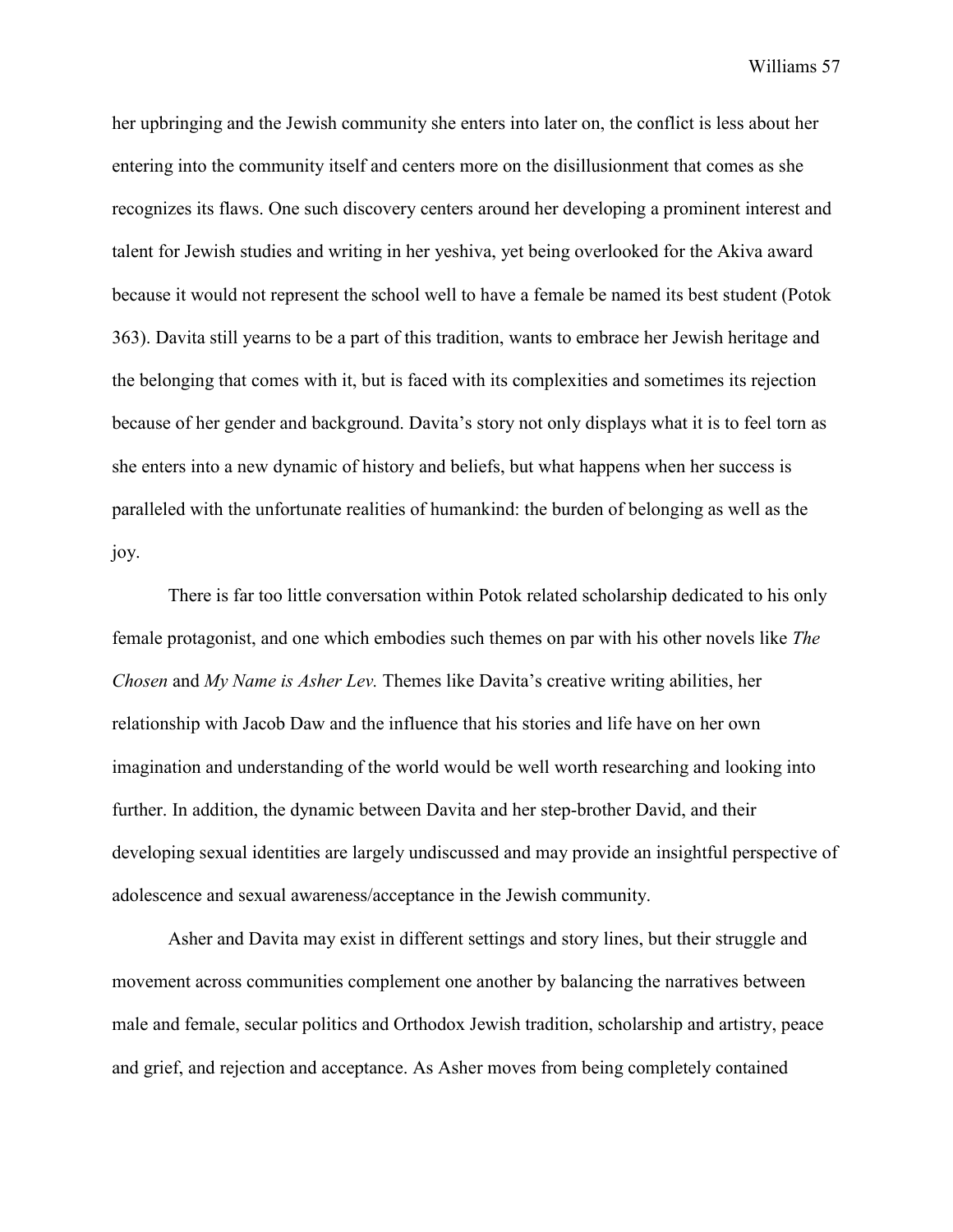her upbringing and the Jewish community she enters into later on, the conflict is less about her entering into the community itself and centers more on the disillusionment that comes as she recognizes its flaws. One such discovery centers around her developing a prominent interest and talent for Jewish studies and writing in her yeshiva, yet being overlooked for the Akiva award because it would not represent the school well to have a female be named its best student (Potok 363). Davita still yearns to be a part of this tradition, wants to embrace her Jewish heritage and the belonging that comes with it, but is faced with its complexities and sometimes its rejection because of her gender and background. Davita's story not only displays what it is to feel torn as she enters into a new dynamic of history and beliefs, but what happens when her success is paralleled with the unfortunate realities of humankind: the burden of belonging as well as the joy.

There is far too little conversation within Potok related scholarship dedicated to his only female protagonist, and one which embodies such themes on par with his other novels like *The Chosen* and *My Name is Asher Lev.* Themes like Davita's creative writing abilities, her relationship with Jacob Daw and the influence that his stories and life have on her own imagination and understanding of the world would be well worth researching and looking into further. In addition, the dynamic between Davita and her step-brother David, and their developing sexual identities are largely undiscussed and may provide an insightful perspective of adolescence and sexual awareness/acceptance in the Jewish community.

Asher and Davita may exist in different settings and story lines, but their struggle and movement across communities complement one another by balancing the narratives between male and female, secular politics and Orthodox Jewish tradition, scholarship and artistry, peace and grief, and rejection and acceptance. As Asher moves from being completely contained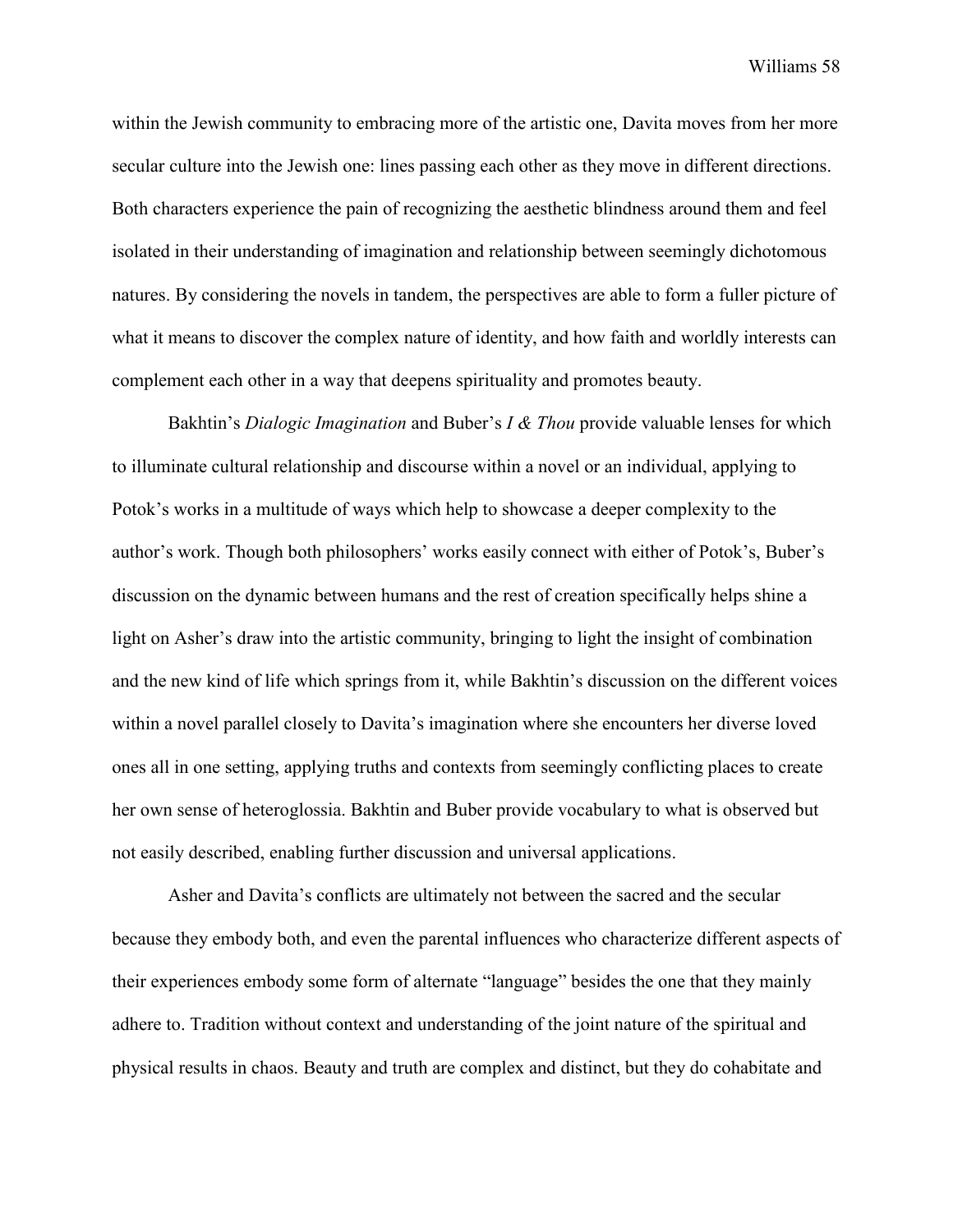within the Jewish community to embracing more of the artistic one, Davita moves from her more secular culture into the Jewish one: lines passing each other as they move in different directions. Both characters experience the pain of recognizing the aesthetic blindness around them and feel isolated in their understanding of imagination and relationship between seemingly dichotomous natures. By considering the novels in tandem, the perspectives are able to form a fuller picture of what it means to discover the complex nature of identity, and how faith and worldly interests can complement each other in a way that deepens spirituality and promotes beauty.

Bakhtin's *Dialogic Imagination* and Buber's *I & Thou* provide valuable lenses for which to illuminate cultural relationship and discourse within a novel or an individual, applying to Potok's works in a multitude of ways which help to showcase a deeper complexity to the author's work. Though both philosophers' works easily connect with either of Potok's, Buber's discussion on the dynamic between humans and the rest of creation specifically helps shine a light on Asher's draw into the artistic community, bringing to light the insight of combination and the new kind of life which springs from it, while Bakhtin's discussion on the different voices within a novel parallel closely to Davita's imagination where she encounters her diverse loved ones all in one setting, applying truths and contexts from seemingly conflicting places to create her own sense of heteroglossia. Bakhtin and Buber provide vocabulary to what is observed but not easily described, enabling further discussion and universal applications.

Asher and Davita's conflicts are ultimately not between the sacred and the secular because they embody both, and even the parental influences who characterize different aspects of their experiences embody some form of alternate "language" besides the one that they mainly adhere to. Tradition without context and understanding of the joint nature of the spiritual and physical results in chaos. Beauty and truth are complex and distinct, but they do cohabitate and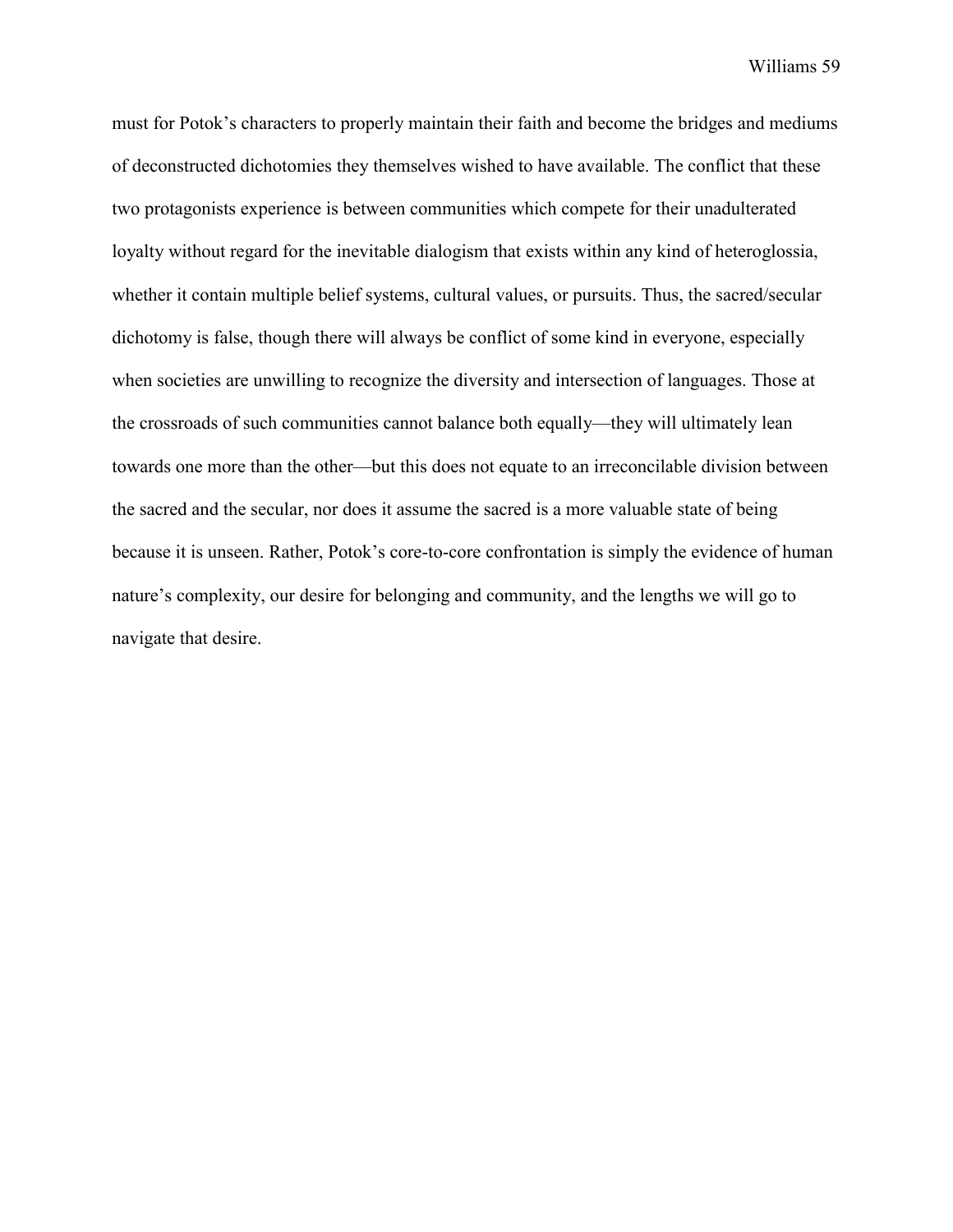must for Potok's characters to properly maintain their faith and become the bridges and mediums of deconstructed dichotomies they themselves wished to have available. The conflict that these two protagonists experience is between communities which compete for their unadulterated loyalty without regard for the inevitable dialogism that exists within any kind of heteroglossia, whether it contain multiple belief systems, cultural values, or pursuits. Thus, the sacred/secular dichotomy is false, though there will always be conflict of some kind in everyone, especially when societies are unwilling to recognize the diversity and intersection of languages. Those at the crossroads of such communities cannot balance both equally—they will ultimately lean towards one more than the other—but this does not equate to an irreconcilable division between the sacred and the secular, nor does it assume the sacred is a more valuable state of being because it is unseen. Rather, Potok's core-to-core confrontation is simply the evidence of human nature's complexity, our desire for belonging and community, and the lengths we will go to navigate that desire.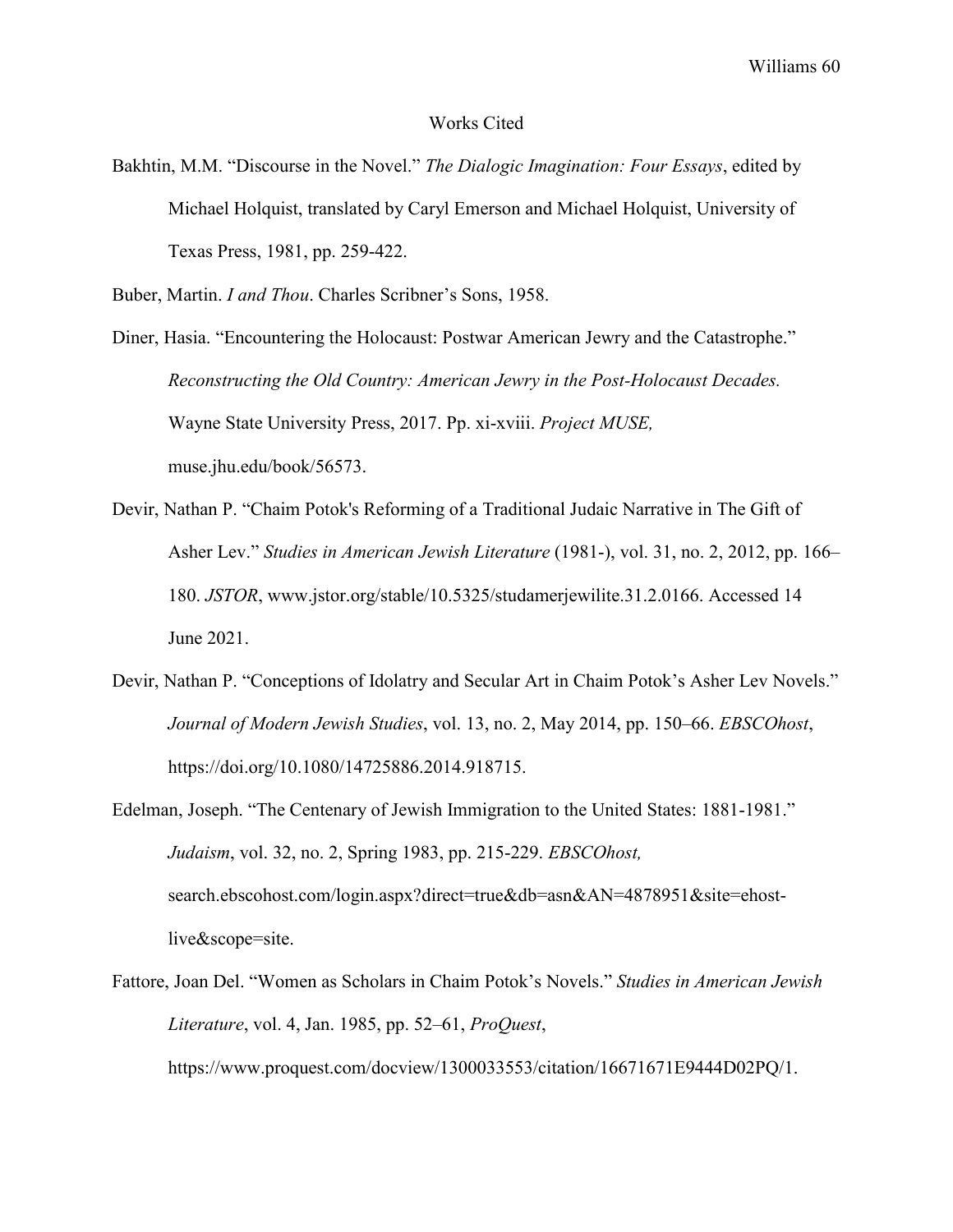#### Works Cited

Bakhtin, M.M. "Discourse in the Novel." *The Dialogic Imagination: Four Essays*, edited by Michael Holquist, translated by Caryl Emerson and Michael Holquist, University of Texas Press, 1981, pp. 259-422.

Buber, Martin. *I and Thou*. Charles Scribner's Sons, 1958.

Diner, Hasia. "Encountering the Holocaust: Postwar American Jewry and the Catastrophe." *Reconstructing the Old Country: American Jewry in the Post-Holocaust Decades.* Wayne State University Press, 2017. Pp. xi-xviii. *Project MUSE,* muse.jhu.edu/book/56573.

- Devir, Nathan P. "Chaim Potok's Reforming of a Traditional Judaic Narrative in The Gift of Asher Lev." *Studies in American Jewish Literature* (1981-), vol. 31, no. 2, 2012, pp. 166– 180. *JSTOR*, [www.jstor.org/stable/10.5325/studamerjewilite.31.2.0166. Accessed 14](http://www.jstor.org/stable/10.5325/studamerjewilite.31.2.0166.%20Accessed%2014%20June%202021)  [June 2021.](http://www.jstor.org/stable/10.5325/studamerjewilite.31.2.0166.%20Accessed%2014%20June%202021)
- Devir, Nathan P. "Conceptions of Idolatry and Secular Art in Chaim Potok's Asher Lev Novels." *Journal of Modern Jewish Studies*, vol. 13, no. 2, May 2014, pp. 150–66. *EBSCOhost*, https://doi.org/10.1080/14725886.2014.918715.
- Edelman, Joseph. "The Centenary of Jewish Immigration to the United States: 1881-1981." *Judaism*, vol. 32, no. 2, Spring 1983, pp. 215-229. *EBSCOhost,* search.ebscohost.com/login.aspx?direct=true&db=asn&AN=4878951&site=ehostlive&scope=site.
- Fattore, Joan Del. "Women as Scholars in Chaim Potok's Novels." *Studies in American Jewish Literature*, vol. 4, Jan. 1985, pp. 52–61, *ProQuest*,

[https://www.proquest.com/docview/1300033553/citation/16671671E9444D02PQ/1.](https://www.proquest.com/docview/1300033553/citation/16671671E9444D02PQ/1)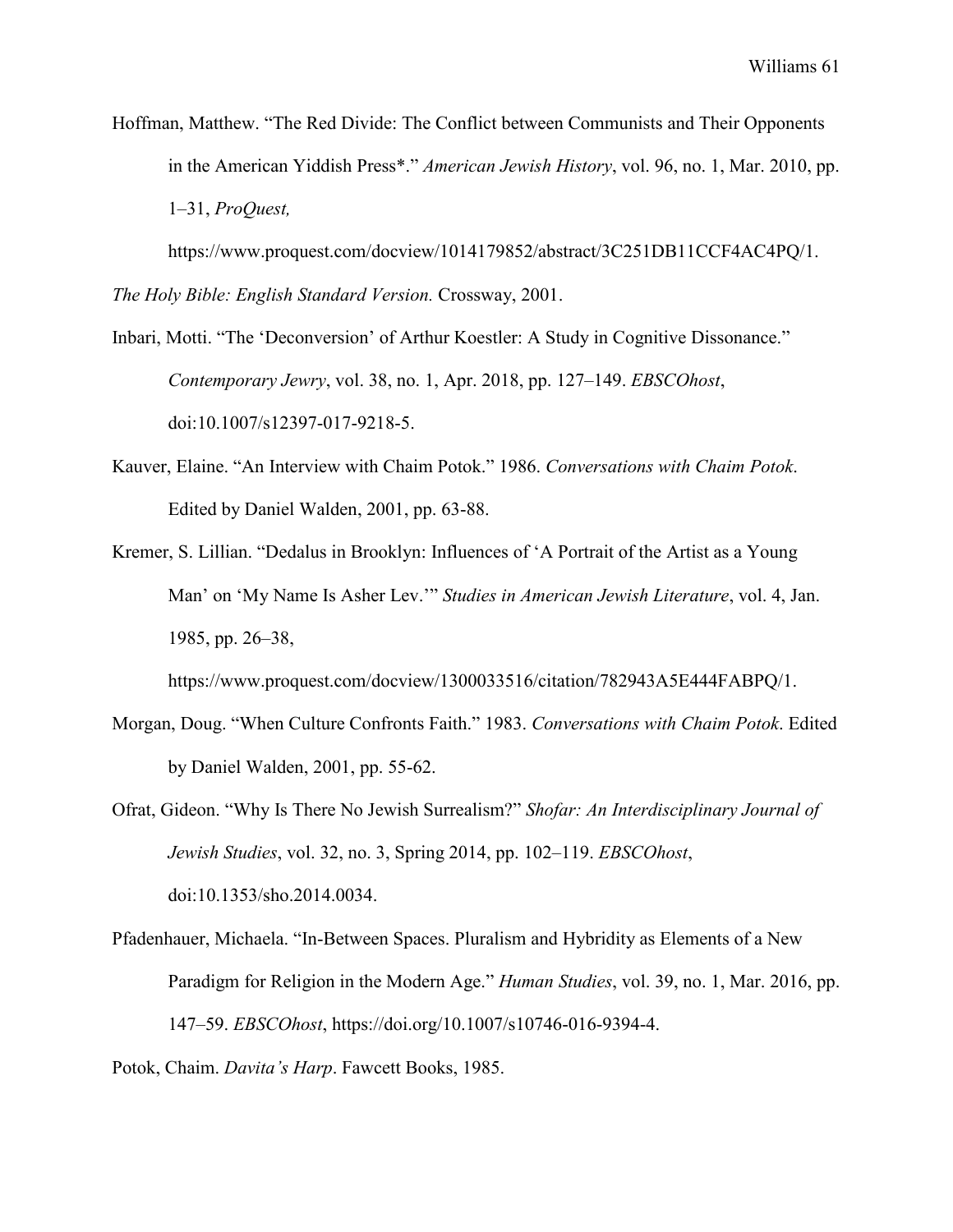Hoffman, Matthew. "The Red Divide: The Conflict between Communists and Their Opponents in the American Yiddish Press\*." *American Jewish History*, vol. 96, no. 1, Mar. 2010, pp. 1–31, *ProQuest,*

[https://www.proquest.com/docview/1014179852/abstract/3C251DB11CCF4AC4PQ/1.](https://www.proquest.com/docview/1014179852/abstract/3C251DB11CCF4AC4PQ/1)

*The Holy Bible: English Standard Version.* Crossway, 2001.

- Inbari, Motti. "The 'Deconversion' of Arthur Koestler: A Study in Cognitive Dissonance." *Contemporary Jewry*, vol. 38, no. 1, Apr. 2018, pp. 127–149. *EBSCOhost*, doi:10.1007/s12397-017-9218-5.
- Kauver, Elaine. "An Interview with Chaim Potok." 1986. *Conversations with Chaim Potok*. Edited by Daniel Walden, 2001, pp. 63-88.
- Kremer, S. Lillian. "Dedalus in Brooklyn: Influences of 'A Portrait of the Artist as a Young Man' on 'My Name Is Asher Lev.'" *Studies in American Jewish Literature*, vol. 4, Jan. 1985, pp. 26–38,

[https://www.proquest.com/docview/1300033516/citation/782943A5E444FABPQ/1.](https://www.proquest.com/docview/1300033516/citation/782943A5E444FABPQ/1)

- Morgan, Doug. "When Culture Confronts Faith." 1983. *Conversations with Chaim Potok*. Edited by Daniel Walden, 2001, pp. 55-62.
- Ofrat, Gideon. "Why Is There No Jewish Surrealism?" *Shofar: An Interdisciplinary Journal of Jewish Studies*, vol. 32, no. 3, Spring 2014, pp. 102–119. *EBSCOhost*, doi:10.1353/sho.2014.0034.
- Pfadenhauer, Michaela. "In-Between Spaces. Pluralism and Hybridity as Elements of a New Paradigm for Religion in the Modern Age." *Human Studies*, vol. 39, no. 1, Mar. 2016, pp. 147–59. *EBSCOhost*, [https://doi.org/10.1007/s10746-016-9394-4.](https://doi.org/10.1007/s10746-016-9394-4)

Potok, Chaim. *Davita's Harp*. Fawcett Books, 1985.